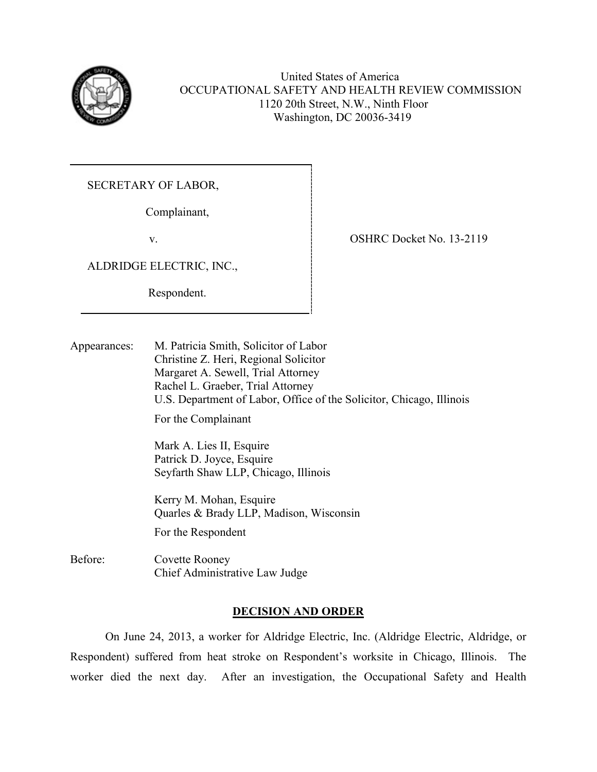

United States of America OCCUPATIONAL SAFETY AND HEALTH REVIEW COMMISSION 1120 20th Street, N.W., Ninth Floor Washington, DC 20036-3419

SECRETARY OF LABOR,

Complainant,

v.

ALDRIDGE ELECTRIC, INC.,

Respondent.

OSHRC Docket No. 13-2119

Appearances: M. Patricia Smith, Solicitor of Labor Christine Z. Heri, Regional Solicitor Margaret A. Sewell, Trial Attorney Rachel L. Graeber, Trial Attorney U.S. Department of Labor, Office of the Solicitor, Chicago, Illinois For the Complainant Mark A. Lies II, Esquire Patrick D. Joyce, Esquire

Seyfarth Shaw LLP, Chicago, Illinois

 Kerry M. Mohan, Esquire Quarles & Brady LLP, Madison, Wisconsin

For the Respondent

Before: Covette Rooney Chief Administrative Law Judge

# **DECISION AND ORDER**

On June 24, 2013, a worker for Aldridge Electric, Inc. (Aldridge Electric, Aldridge, or Respondent) suffered from heat stroke on Respondent's worksite in Chicago, Illinois. The worker died the next day. After an investigation, the Occupational Safety and Health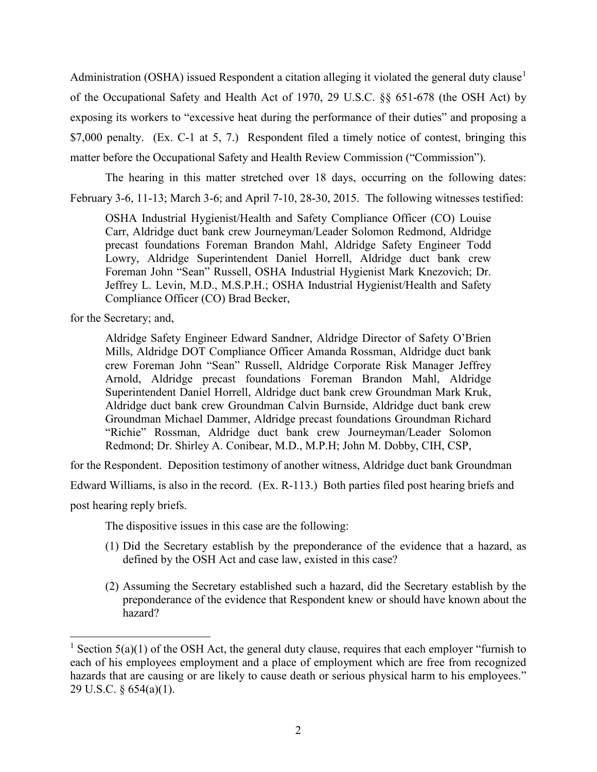Administration (OSHA) issued Respondent a citation alleging it violated the general duty clause<sup>[1](#page-1-0)</sup> of the Occupational Safety and Health Act of 1970, 29 U.S.C. §§ 651-678 (the OSH Act) by exposing its workers to "excessive heat during the performance of their duties" and proposing a \$7,000 penalty. (Ex. C-1 at 5, 7.) Respondent filed a timely notice of contest, bringing this matter before the Occupational Safety and Health Review Commission ("Commission").

The hearing in this matter stretched over 18 days, occurring on the following dates: February 3-6, 11-13; March 3-6; and April 7-10, 28-30, 2015. The following witnesses testified:

OSHA Industrial Hygienist/Health and Safety Compliance Officer (CO) Louise Carr, Aldridge duct bank crew Journeyman/Leader Solomon Redmond, Aldridge precast foundations Foreman Brandon Mahl, Aldridge Safety Engineer Todd Lowry, Aldridge Superintendent Daniel Horrell, Aldridge duct bank crew Foreman John "Sean" Russell, OSHA Industrial Hygienist Mark Knezovich; Dr. Jeffrey L. Levin, M.D., M.S.P.H.; OSHA Industrial Hygienist/Health and Safety Compliance Officer (CO) Brad Becker,

for the Secretary; and,

Aldridge Safety Engineer Edward Sandner, Aldridge Director of Safety O'Brien Mills, Aldridge DOT Compliance Officer Amanda Rossman, Aldridge duct bank crew Foreman John "Sean" Russell, Aldridge Corporate Risk Manager Jeffrey Arnold, Aldridge precast foundations Foreman Brandon Mahl, Aldridge Superintendent Daniel Horrell, Aldridge duct bank crew Groundman Mark Kruk, Aldridge duct bank crew Groundman Calvin Burnside, Aldridge duct bank crew Groundman Michael Dammer, Aldridge precast foundations Groundman Richard "Richie" Rossman, Aldridge duct bank crew Journeyman/Leader Solomon Redmond; Dr. Shirley A. Conibear, M.D., M.P.H; John M. Dobby, CIH, CSP,

for the Respondent. Deposition testimony of another witness, Aldridge duct bank Groundman

Edward Williams, is also in the record. (Ex. R-113.) Both parties filed post hearing briefs and

post hearing reply briefs.

l

The dispositive issues in this case are the following:

- (1) Did the Secretary establish by the preponderance of the evidence that a hazard, as defined by the OSH Act and case law, existed in this case?
- (2) Assuming the Secretary established such a hazard, did the Secretary establish by the preponderance of the evidence that Respondent knew or should have known about the hazard?

<span id="page-1-0"></span><sup>&</sup>lt;sup>1</sup> Section 5(a)(1) of the OSH Act, the general duty clause, requires that each employer "furnish to each of his employees employment and a place of employment which are free from recognized hazards that are causing or are likely to cause death or serious physical harm to his employees." 29 U.S.C. § 654(a)(1).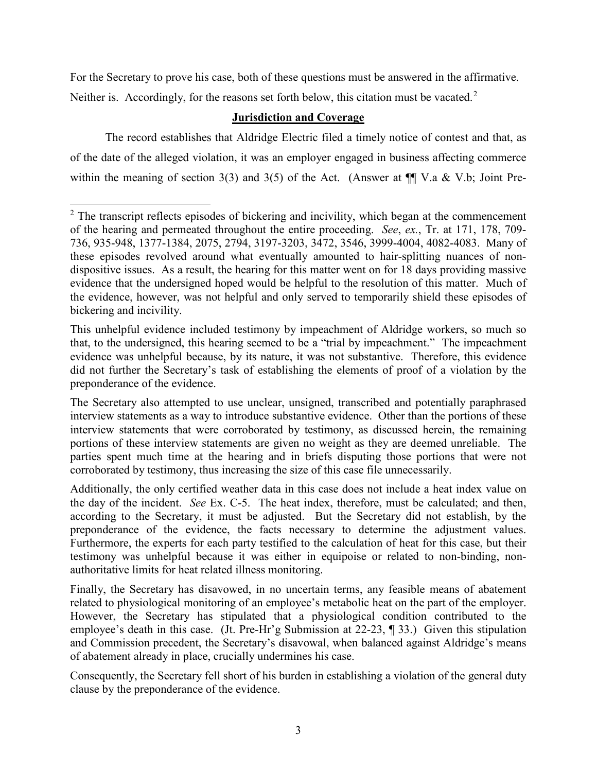For the Secretary to prove his case, both of these questions must be answered in the affirmative. Neither is. Accordingly, for the reasons set forth below, this citation must be vacated.<sup>[2](#page-2-0)</sup>

# **Jurisdiction and Coverage**

The record establishes that Aldridge Electric filed a timely notice of contest and that, as of the date of the alleged violation, it was an employer engaged in business affecting commerce within the meaning of section 3(3) and 3(5) of the Act. (Answer at  $\P$  V.a & V.b; Joint Pre-

l

<span id="page-2-0"></span> $2$ . The transcript reflects episodes of bickering and incivility, which began at the commencement of the hearing and permeated throughout the entire proceeding. *See*, *ex.*, Tr. at 171, 178, 709- 736, 935-948, 1377-1384, 2075, 2794, 3197-3203, 3472, 3546, 3999-4004, 4082-4083. Many of these episodes revolved around what eventually amounted to hair-splitting nuances of nondispositive issues. As a result, the hearing for this matter went on for 18 days providing massive evidence that the undersigned hoped would be helpful to the resolution of this matter. Much of the evidence, however, was not helpful and only served to temporarily shield these episodes of bickering and incivility.

This unhelpful evidence included testimony by impeachment of Aldridge workers, so much so that, to the undersigned, this hearing seemed to be a "trial by impeachment." The impeachment evidence was unhelpful because, by its nature, it was not substantive. Therefore, this evidence did not further the Secretary's task of establishing the elements of proof of a violation by the preponderance of the evidence.

The Secretary also attempted to use unclear, unsigned, transcribed and potentially paraphrased interview statements as a way to introduce substantive evidence. Other than the portions of these interview statements that were corroborated by testimony, as discussed herein, the remaining portions of these interview statements are given no weight as they are deemed unreliable. The parties spent much time at the hearing and in briefs disputing those portions that were not corroborated by testimony, thus increasing the size of this case file unnecessarily.

Additionally, the only certified weather data in this case does not include a heat index value on the day of the incident. *See* Ex. C-5. The heat index, therefore, must be calculated; and then, according to the Secretary, it must be adjusted. But the Secretary did not establish, by the preponderance of the evidence, the facts necessary to determine the adjustment values. Furthermore, the experts for each party testified to the calculation of heat for this case, but their testimony was unhelpful because it was either in equipoise or related to non-binding, nonauthoritative limits for heat related illness monitoring.

Finally, the Secretary has disavowed, in no uncertain terms, any feasible means of abatement related to physiological monitoring of an employee's metabolic heat on the part of the employer. However, the Secretary has stipulated that a physiological condition contributed to the employee's death in this case. (Jt. Pre-Hr'g Submission at 22-23, ¶ 33.) Given this stipulation and Commission precedent, the Secretary's disavowal, when balanced against Aldridge's means of abatement already in place, crucially undermines his case.

Consequently, the Secretary fell short of his burden in establishing a violation of the general duty clause by the preponderance of the evidence.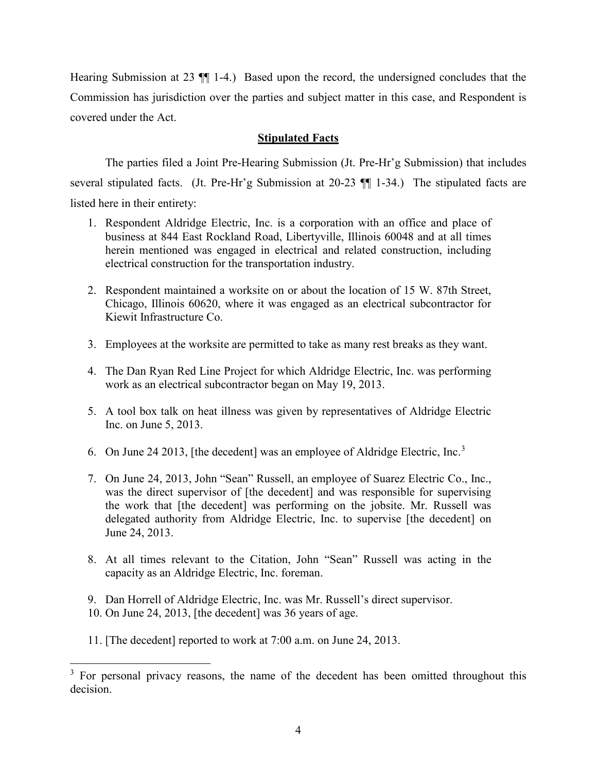Hearing Submission at 23 ¶¶ 1-4.) Based upon the record, the undersigned concludes that the Commission has jurisdiction over the parties and subject matter in this case, and Respondent is covered under the Act.

### **Stipulated Facts**

The parties filed a Joint Pre-Hearing Submission (Jt. Pre-Hr'g Submission) that includes several stipulated facts. (Jt. Pre-Hr'g Submission at 20-23 ¶¶ 1-34.) The stipulated facts are listed here in their entirety:

 $\overline{a}$ 

- 1. Respondent Aldridge Electric, Inc. is a corporation with an office and place of business at 844 East Rockland Road, Libertyville, Illinois 60048 and at all times herein mentioned was engaged in electrical and related construction, including electrical construction for the transportation industry.
- 2. Respondent maintained a worksite on or about the location of 15 W. 87th Street, Chicago, Illinois 60620, where it was engaged as an electrical subcontractor for Kiewit Infrastructure Co.
- 3. Employees at the worksite are permitted to take as many rest breaks as they want.
- 4. The Dan Ryan Red Line Project for which Aldridge Electric, Inc. was performing work as an electrical subcontractor began on May 19, 2013.
- 5. A tool box talk on heat illness was given by representatives of Aldridge Electric Inc. on June 5, 2013.
- 6. On June 24 201[3](#page-3-0), [the decedent] was an employee of Aldridge Electric, Inc.<sup>3</sup>
- 7. On June 24, 2013, John "Sean" Russell, an employee of Suarez Electric Co., Inc., was the direct supervisor of [the decedent] and was responsible for supervising the work that [the decedent] was performing on the jobsite. Mr. Russell was delegated authority from Aldridge Electric, Inc. to supervise [the decedent] on June 24, 2013.
- 8. At all times relevant to the Citation, John "Sean" Russell was acting in the capacity as an Aldridge Electric, Inc. foreman.
- 9. Dan Horrell of Aldridge Electric, Inc. was Mr. Russell's direct supervisor.
- 10. On June 24, 2013, [the decedent] was 36 years of age.
- 11. [The decedent] reported to work at 7:00 a.m. on June 24, 2013.

<span id="page-3-0"></span> $3$  For personal privacy reasons, the name of the decedent has been omitted throughout this decision.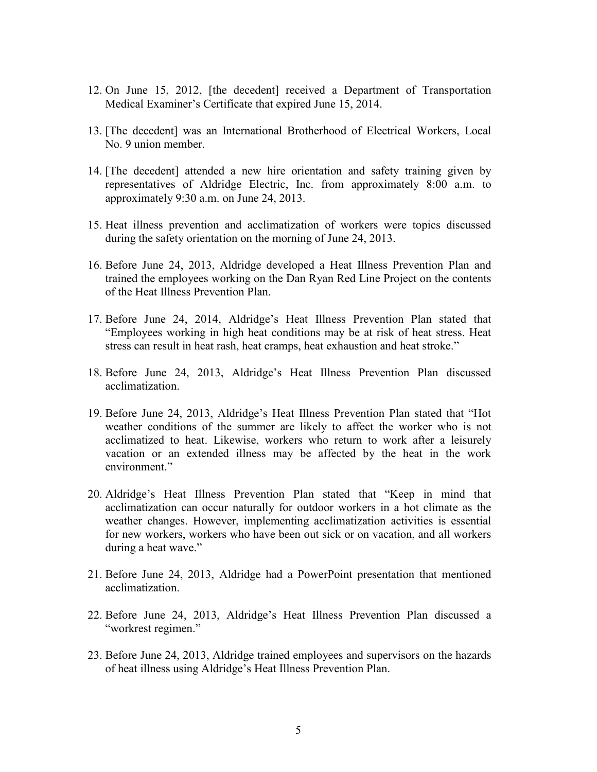- 12. On June 15, 2012, [the decedent] received a Department of Transportation Medical Examiner's Certificate that expired June 15, 2014.
- 13. [The decedent] was an International Brotherhood of Electrical Workers, Local No. 9 union member.
- 14. [The decedent] attended a new hire orientation and safety training given by representatives of Aldridge Electric, Inc. from approximately 8:00 a.m. to approximately 9:30 a.m. on June 24, 2013.
- 15. Heat illness prevention and acclimatization of workers were topics discussed during the safety orientation on the morning of June 24, 2013.
- 16. Before June 24, 2013, Aldridge developed a Heat Illness Prevention Plan and trained the employees working on the Dan Ryan Red Line Project on the contents of the Heat Illness Prevention Plan.
- 17. Before June 24, 2014, Aldridge's Heat Illness Prevention Plan stated that "Employees working in high heat conditions may be at risk of heat stress. Heat stress can result in heat rash, heat cramps, heat exhaustion and heat stroke."
- 18. Before June 24, 2013, Aldridge's Heat Illness Prevention Plan discussed acclimatization.
- 19. Before June 24, 2013, Aldridge's Heat Illness Prevention Plan stated that "Hot weather conditions of the summer are likely to affect the worker who is not acclimatized to heat. Likewise, workers who return to work after a leisurely vacation or an extended illness may be affected by the heat in the work environment."
- 20. Aldridge's Heat Illness Prevention Plan stated that "Keep in mind that acclimatization can occur naturally for outdoor workers in a hot climate as the weather changes. However, implementing acclimatization activities is essential for new workers, workers who have been out sick or on vacation, and all workers during a heat wave."
- 21. Before June 24, 2013, Aldridge had a PowerPoint presentation that mentioned acclimatization.
- 22. Before June 24, 2013, Aldridge's Heat Illness Prevention Plan discussed a "workrest regimen."
- 23. Before June 24, 2013, Aldridge trained employees and supervisors on the hazards of heat illness using Aldridge's Heat Illness Prevention Plan.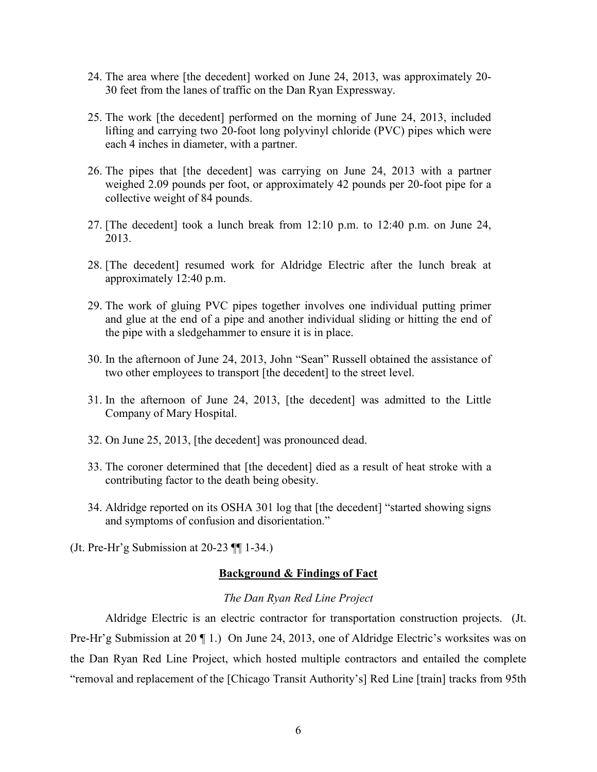- 24. The area where [the decedent] worked on June 24, 2013, was approximately 20- 30 feet from the lanes of traffic on the Dan Ryan Expressway.
- 25. The work [the decedent] performed on the morning of June 24, 2013, included lifting and carrying two 20-foot long polyvinyl chloride (PVC) pipes which were each 4 inches in diameter, with a partner.
- 26. The pipes that [the decedent] was carrying on June 24, 2013 with a partner weighed 2.09 pounds per foot, or approximately 42 pounds per 20-foot pipe for a collective weight of 84 pounds.
- 27. [The decedent] took a lunch break from 12:10 p.m. to 12:40 p.m. on June 24, 2013.
- 28. [The decedent] resumed work for Aldridge Electric after the lunch break at approximately 12:40 p.m.
- 29. The work of gluing PVC pipes together involves one individual putting primer and glue at the end of a pipe and another individual sliding or hitting the end of the pipe with a sledgehammer to ensure it is in place.
- 30. In the afternoon of June 24, 2013, John "Sean" Russell obtained the assistance of two other employees to transport [the decedent] to the street level.
- 31. In the afternoon of June 24, 2013, [the decedent] was admitted to the Little Company of Mary Hospital.
- 32. On June 25, 2013, [the decedent] was pronounced dead.
- 33. The coroner determined that [the decedent] died as a result of heat stroke with a contributing factor to the death being obesity.
- 34. Aldridge reported on its OSHA 301 log that [the decedent] "started showing signs and symptoms of confusion and disorientation."
- (Jt. Pre-Hr'g Submission at  $20-23$  ¶ [ $1-34$ .)

#### **Background & Findings of Fact**

#### *The Dan Ryan Red Line Project*

Aldridge Electric is an electric contractor for transportation construction projects. (Jt. Pre-Hr'g Submission at 20 ¶ 1.) On June 24, 2013, one of Aldridge Electric's worksites was on the Dan Ryan Red Line Project, which hosted multiple contractors and entailed the complete "removal and replacement of the [Chicago Transit Authority's] Red Line [train] tracks from 95th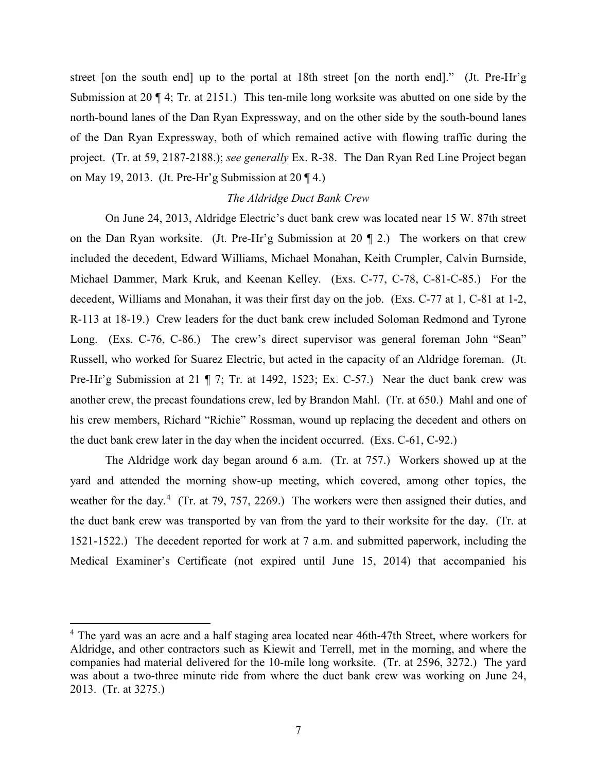street [on the south end] up to the portal at 18th street [on the north end]." (Jt. Pre-Hr'g Submission at 20 ¶ 4; Tr. at 2151.) This ten-mile long worksite was abutted on one side by the north-bound lanes of the Dan Ryan Expressway, and on the other side by the south-bound lanes of the Dan Ryan Expressway, both of which remained active with flowing traffic during the project. (Tr. at 59, 2187-2188.); *see generally* Ex. R-38. The Dan Ryan Red Line Project began on May 19, 2013. (Jt. Pre-Hr'g Submission at  $20 \text{ } \textdegree$ )

#### *The Aldridge Duct Bank Crew*

On June 24, 2013, Aldridge Electric's duct bank crew was located near 15 W. 87th street on the Dan Ryan worksite. (Jt. Pre-Hr'g Submission at 20 ¶ 2.) The workers on that crew included the decedent, Edward Williams, Michael Monahan, Keith Crumpler, Calvin Burnside, Michael Dammer, Mark Kruk, and Keenan Kelley. (Exs. C-77, C-78, C-81-C-85.) For the decedent, Williams and Monahan, it was their first day on the job. (Exs. C-77 at 1, C-81 at 1-2, R-113 at 18-19.) Crew leaders for the duct bank crew included Soloman Redmond and Tyrone Long. (Exs. C-76, C-86.) The crew's direct supervisor was general foreman John "Sean" Russell, who worked for Suarez Electric, but acted in the capacity of an Aldridge foreman. (Jt. Pre-Hr'g Submission at 21 ¶ 7; Tr. at 1492, 1523; Ex. C-57.) Near the duct bank crew was another crew, the precast foundations crew, led by Brandon Mahl. (Tr. at 650.) Mahl and one of his crew members, Richard "Richie" Rossman, wound up replacing the decedent and others on the duct bank crew later in the day when the incident occurred. (Exs. C-61, C-92.)

The Aldridge work day began around 6 a.m. (Tr. at 757.) Workers showed up at the yard and attended the morning show-up meeting, which covered, among other topics, the weather for the day.<sup>[4](#page-6-0)</sup> (Tr. at 79, 757, 2269.) The workers were then assigned their duties, and the duct bank crew was transported by van from the yard to their worksite for the day. (Tr. at 1521-1522.) The decedent reported for work at 7 a.m. and submitted paperwork, including the Medical Examiner's Certificate (not expired until June 15, 2014) that accompanied his

<span id="page-6-0"></span><sup>&</sup>lt;sup>4</sup> The yard was an acre and a half staging area located near 46th-47th Street, where workers for Aldridge, and other contractors such as Kiewit and Terrell, met in the morning, and where the companies had material delivered for the 10-mile long worksite. (Tr. at 2596, 3272.) The yard was about a two-three minute ride from where the duct bank crew was working on June 24, 2013. (Tr. at 3275.)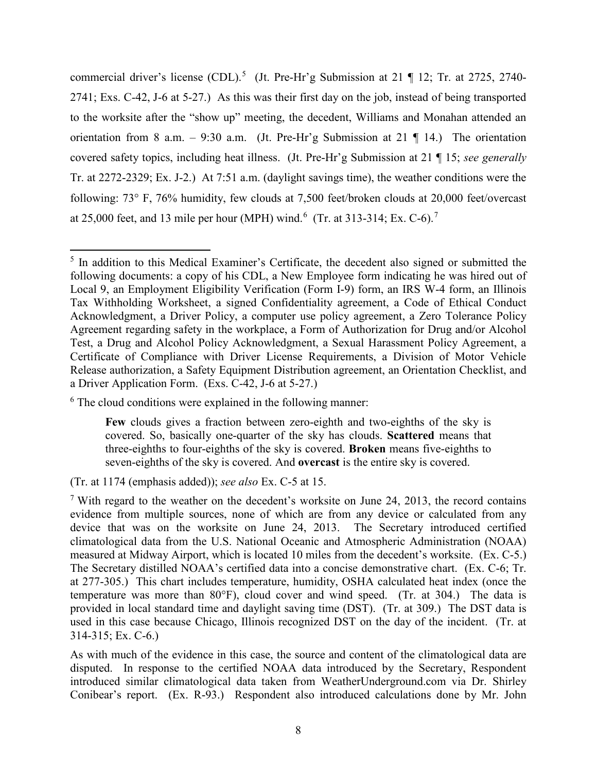commercial driver's license (CDL).<sup>[5](#page-7-0)</sup> (Jt. Pre-Hr'g Submission at 21 ¶ 12; Tr. at 2725, 2740-2741; Exs. C-42, J-6 at 5-27.) As this was their first day on the job, instead of being transported to the worksite after the "show up" meeting, the decedent, Williams and Monahan attended an orientation from 8 a.m. – 9:30 a.m. (Jt. Pre-Hr'g Submission at 21  $\P$  14.) The orientation covered safety topics, including heat illness. (Jt. Pre-Hr'g Submission at 21 ¶ 15; *see generally* Tr. at 2272-2329; Ex. J-2.) At 7:51 a.m. (daylight savings time), the weather conditions were the following: 73° F, 76% humidity, few clouds at 7,500 feet/broken clouds at 20,000 feet/overcast at 25,000 feet, and 13 mile per hour (MPH) wind.<sup>[6](#page-7-1)</sup> (Tr. at 313-314; Ex. C-6).<sup>[7](#page-7-2)</sup>

<span id="page-7-0"></span> $5$  In addition to this Medical Examiner's Certificate, the decedent also signed or submitted the following documents: a copy of his CDL, a New Employee form indicating he was hired out of Local 9, an Employment Eligibility Verification (Form I-9) form, an IRS W-4 form, an Illinois Tax Withholding Worksheet, a signed Confidentiality agreement, a Code of Ethical Conduct Acknowledgment, a Driver Policy, a computer use policy agreement, a Zero Tolerance Policy Agreement regarding safety in the workplace, a Form of Authorization for Drug and/or Alcohol Test, a Drug and Alcohol Policy Acknowledgment, a Sexual Harassment Policy Agreement, a Certificate of Compliance with Driver License Requirements, a Division of Motor Vehicle Release authorization, a Safety Equipment Distribution agreement, an Orientation Checklist, and a Driver Application Form. (Exs. C-42, J-6 at 5-27.)

<span id="page-7-1"></span><sup>&</sup>lt;sup>6</sup> The cloud conditions were explained in the following manner:

**Few** clouds gives a fraction between zero-eighth and two-eighths of the sky is covered. So, basically one-quarter of the sky has clouds. **Scattered** means that three-eighths to four-eighths of the sky is covered. **Broken** means five-eighths to seven-eighths of the sky is covered. And **overcast** is the entire sky is covered.

<sup>(</sup>Tr. at 1174 (emphasis added)); *see also* Ex. C-5 at 15.

<span id="page-7-2"></span><sup>&</sup>lt;sup>7</sup> With regard to the weather on the decedent's worksite on June 24, 2013, the record contains evidence from multiple sources, none of which are from any device or calculated from any device that was on the worksite on June 24, 2013. The Secretary introduced certified climatological data from the U.S. National Oceanic and Atmospheric Administration (NOAA) measured at Midway Airport, which is located 10 miles from the decedent's worksite. (Ex. C-5.) The Secretary distilled NOAA's certified data into a concise demonstrative chart. (Ex. C-6; Tr. at 277-305.) This chart includes temperature, humidity, OSHA calculated heat index (once the temperature was more than 80°F), cloud cover and wind speed. (Tr. at 304.) The data is provided in local standard time and daylight saving time (DST). (Tr. at 309.) The DST data is used in this case because Chicago, Illinois recognized DST on the day of the incident. (Tr. at 314-315; Ex. C-6.)

As with much of the evidence in this case, the source and content of the climatological data are disputed. In response to the certified NOAA data introduced by the Secretary, Respondent introduced similar climatological data taken from WeatherUnderground.com via Dr. Shirley Conibear's report. (Ex. R-93.) Respondent also introduced calculations done by Mr. John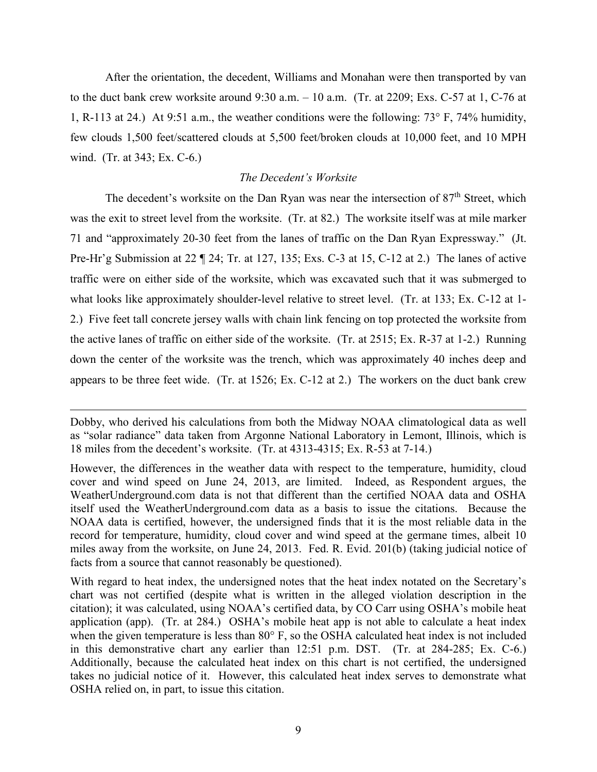After the orientation, the decedent, Williams and Monahan were then transported by van to the duct bank crew worksite around 9:30 a.m. – 10 a.m. (Tr. at 2209; Exs. C-57 at 1, C-76 at 1, R-113 at 24.) At 9:51 a.m., the weather conditions were the following: 73° F, 74% humidity, few clouds 1,500 feet/scattered clouds at 5,500 feet/broken clouds at 10,000 feet, and 10 MPH wind. (Tr. at 343; Ex. C-6.)

### *The Decedent's Worksite*

The decedent's worksite on the Dan Ryan was near the intersection of 87<sup>th</sup> Street, which was the exit to street level from the worksite. (Tr. at 82.) The worksite itself was at mile marker 71 and "approximately 20-30 feet from the lanes of traffic on the Dan Ryan Expressway." (Jt. Pre-Hr'g Submission at 22 ¶ 24; Tr. at 127, 135; Exs. C-3 at 15, C-12 at 2.) The lanes of active traffic were on either side of the worksite, which was excavated such that it was submerged to what looks like approximately shoulder-level relative to street level. (Tr. at 133; Ex. C-12 at 1- 2.) Five feet tall concrete jersey walls with chain link fencing on top protected the worksite from the active lanes of traffic on either side of the worksite. (Tr. at 2515; Ex. R-37 at 1-2.) Running down the center of the worksite was the trench, which was approximately 40 inches deep and appears to be three feet wide. (Tr. at 1526; Ex. C-12 at 2.) The workers on the duct bank crew

Dobby, who derived his calculations from both the Midway NOAA climatological data as well as "solar radiance" data taken from Argonne National Laboratory in Lemont, Illinois, which is 18 miles from the decedent's worksite. (Tr. at 4313-4315; Ex. R-53 at 7-14.)

However, the differences in the weather data with respect to the temperature, humidity, cloud cover and wind speed on June 24, 2013, are limited. Indeed, as Respondent argues, the WeatherUnderground.com data is not that different than the certified NOAA data and OSHA itself used the WeatherUnderground.com data as a basis to issue the citations. Because the NOAA data is certified, however, the undersigned finds that it is the most reliable data in the record for temperature, humidity, cloud cover and wind speed at the germane times, albeit 10 miles away from the worksite, on June 24, 2013. Fed. R. Evid. 201(b) (taking judicial notice of facts from a source that cannot reasonably be questioned).

With regard to heat index, the undersigned notes that the heat index notated on the Secretary's chart was not certified (despite what is written in the alleged violation description in the citation); it was calculated, using NOAA's certified data, by CO Carr using OSHA's mobile heat application (app). (Tr. at 284.) OSHA's mobile heat app is not able to calculate a heat index when the given temperature is less than 80° F, so the OSHA calculated heat index is not included in this demonstrative chart any earlier than 12:51 p.m. DST. (Tr. at 284-285; Ex. C-6.) Additionally, because the calculated heat index on this chart is not certified, the undersigned takes no judicial notice of it. However, this calculated heat index serves to demonstrate what OSHA relied on, in part, to issue this citation.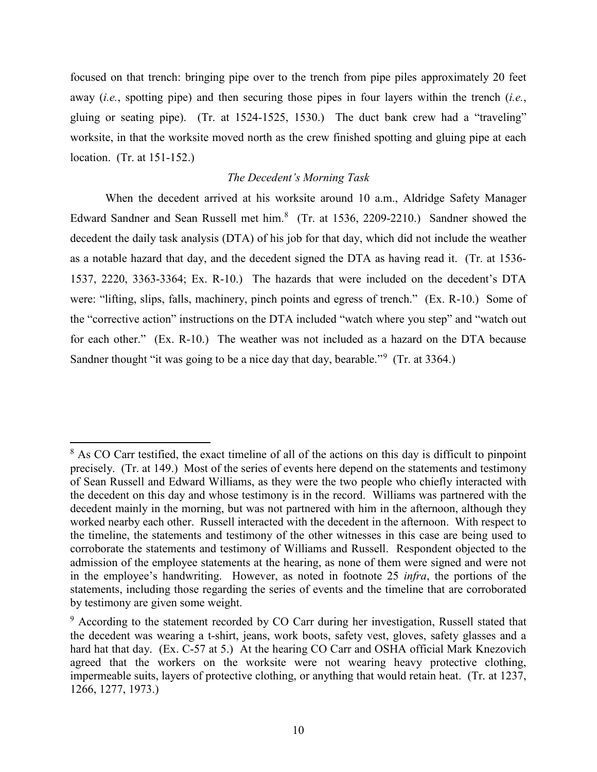focused on that trench: bringing pipe over to the trench from pipe piles approximately 20 feet away (*i.e.*, spotting pipe) and then securing those pipes in four layers within the trench (*i.e.*, gluing or seating pipe). (Tr. at 1524-1525, 1530.) The duct bank crew had a "traveling" worksite, in that the worksite moved north as the crew finished spotting and gluing pipe at each location. (Tr. at 151-152.)

## *The Decedent's Morning Task*

When the decedent arrived at his worksite around 10 a.m., Aldridge Safety Manager Edward Sandner and Sean Russell met him.<sup>[8](#page-9-0)</sup> (Tr. at 1536, 2209-2210.) Sandner showed the decedent the daily task analysis (DTA) of his job for that day, which did not include the weather as a notable hazard that day, and the decedent signed the DTA as having read it. (Tr. at 1536- 1537, 2220, 3363-3364; Ex. R-10.) The hazards that were included on the decedent's DTA were: "lifting, slips, falls, machinery, pinch points and egress of trench." (Ex. R-10.) Some of the "corrective action" instructions on the DTA included "watch where you step" and "watch out for each other." (Ex. R-10.) The weather was not included as a hazard on the DTA because Sandner thought "it was going to be a nice day that day, bearable."<sup>[9](#page-9-1)</sup> (Tr. at 3364.)

l

<span id="page-9-0"></span> $8$  As CO Carr testified, the exact timeline of all of the actions on this day is difficult to pinpoint precisely. (Tr. at 149.) Most of the series of events here depend on the statements and testimony of Sean Russell and Edward Williams, as they were the two people who chiefly interacted with the decedent on this day and whose testimony is in the record. Williams was partnered with the decedent mainly in the morning, but was not partnered with him in the afternoon, although they worked nearby each other. Russell interacted with the decedent in the afternoon. With respect to the timeline, the statements and testimony of the other witnesses in this case are being used to corroborate the statements and testimony of Williams and Russell. Respondent objected to the admission of the employee statements at the hearing, as none of them were signed and were not in the employee's handwriting. However, as noted in footnote 25 *infra*, the portions of the statements, including those regarding the series of events and the timeline that are corroborated by testimony are given some weight.

<span id="page-9-1"></span><sup>&</sup>lt;sup>9</sup> According to the statement recorded by CO Carr during her investigation, Russell stated that the decedent was wearing a t-shirt, jeans, work boots, safety vest, gloves, safety glasses and a hard hat that day. (Ex. C-57 at 5.) At the hearing CO Carr and OSHA official Mark Knezovich agreed that the workers on the worksite were not wearing heavy protective clothing, impermeable suits, layers of protective clothing, or anything that would retain heat. (Tr. at 1237, 1266, 1277, 1973.)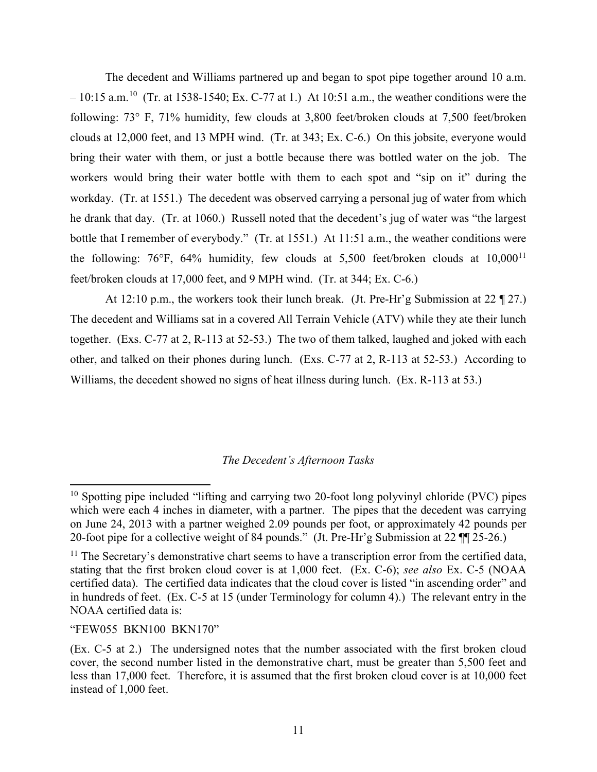The decedent and Williams partnered up and began to spot pipe together around 10 a.m.  $-10:15$  a.m.<sup>10</sup> (Tr. at 1538-1540; Ex. C-77 at 1.) At 10:51 a.m., the weather conditions were the following: 73° F, 71% humidity, few clouds at 3,800 feet/broken clouds at 7,500 feet/broken clouds at 12,000 feet, and 13 MPH wind. (Tr. at 343; Ex. C-6.) On this jobsite, everyone would bring their water with them, or just a bottle because there was bottled water on the job. The workers would bring their water bottle with them to each spot and "sip on it" during the workday. (Tr. at 1551.) The decedent was observed carrying a personal jug of water from which he drank that day. (Tr. at 1060.) Russell noted that the decedent's jug of water was "the largest bottle that I remember of everybody." (Tr. at 1551.) At 11:51 a.m., the weather conditions were the following: 76°F, 64% humidity, few clouds at 5,500 feet/broken clouds at 10,000<sup>[11](#page-10-1)</sup> feet/broken clouds at 17,000 feet, and 9 MPH wind. (Tr. at 344; Ex. C-6.)

At 12:10 p.m., the workers took their lunch break. (Jt. Pre-Hr'g Submission at 22 ¶ 27.) The decedent and Williams sat in a covered All Terrain Vehicle (ATV) while they ate their lunch together. (Exs. C-77 at 2, R-113 at 52-53.) The two of them talked, laughed and joked with each other, and talked on their phones during lunch. (Exs. C-77 at 2, R-113 at 52-53.) According to Williams, the decedent showed no signs of heat illness during lunch. (Ex. R-113 at 53.)

### *The Decedent's Afternoon Tasks*

#### "FEW055 BKN100 BKN170"

l

<span id="page-10-0"></span> $10$  Spotting pipe included "lifting and carrying two 20-foot long polyvinyl chloride (PVC) pipes which were each 4 inches in diameter, with a partner. The pipes that the decedent was carrying on June 24, 2013 with a partner weighed 2.09 pounds per foot, or approximately 42 pounds per 20-foot pipe for a collective weight of 84 pounds." (Jt. Pre-Hr'g Submission at 22 ¶¶ 25-26.)

<span id="page-10-1"></span> $11$  The Secretary's demonstrative chart seems to have a transcription error from the certified data, stating that the first broken cloud cover is at 1,000 feet. (Ex. C-6); *see also* Ex. C-5 (NOAA certified data). The certified data indicates that the cloud cover is listed "in ascending order" and in hundreds of feet. (Ex. C-5 at 15 (under Terminology for column 4).) The relevant entry in the NOAA certified data is:

<sup>(</sup>Ex. C-5 at 2.) The undersigned notes that the number associated with the first broken cloud cover, the second number listed in the demonstrative chart, must be greater than 5,500 feet and less than 17,000 feet. Therefore, it is assumed that the first broken cloud cover is at 10,000 feet instead of 1,000 feet.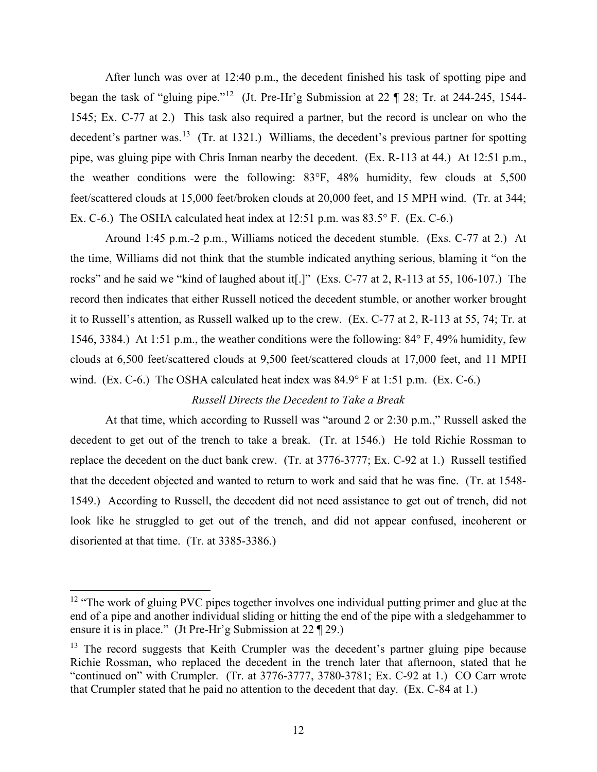After lunch was over at 12:40 p.m., the decedent finished his task of spotting pipe and began the task of "gluing pipe."[12](#page-11-0) (Jt. Pre-Hr'g Submission at 22 ¶ 28; Tr. at 244-245, 1544- 1545; Ex. C-77 at 2.) This task also required a partner, but the record is unclear on who the decedent's partner was.<sup>[13](#page-11-1)</sup> (Tr. at 1321.) Williams, the decedent's previous partner for spotting pipe, was gluing pipe with Chris Inman nearby the decedent. (Ex. R-113 at 44.) At 12:51 p.m., the weather conditions were the following: 83°F, 48% humidity, few clouds at 5,500 feet/scattered clouds at 15,000 feet/broken clouds at 20,000 feet, and 15 MPH wind. (Tr. at 344; Ex. C-6.) The OSHA calculated heat index at 12:51 p.m. was 83.5° F. (Ex. C-6.)

Around 1:45 p.m.-2 p.m., Williams noticed the decedent stumble. (Exs. C-77 at 2.) At the time, Williams did not think that the stumble indicated anything serious, blaming it "on the rocks" and he said we "kind of laughed about it[.]" (Exs. C-77 at 2, R-113 at 55, 106-107.) The record then indicates that either Russell noticed the decedent stumble, or another worker brought it to Russell's attention, as Russell walked up to the crew. (Ex. C-77 at 2, R-113 at 55, 74; Tr. at 1546, 3384.) At 1:51 p.m., the weather conditions were the following: 84° F, 49% humidity, few clouds at 6,500 feet/scattered clouds at 9,500 feet/scattered clouds at 17,000 feet, and 11 MPH wind. (Ex. C-6.) The OSHA calculated heat index was 84.9° F at 1:51 p.m. (Ex. C-6.)

## *Russell Directs the Decedent to Take a Break*

At that time, which according to Russell was "around 2 or 2:30 p.m.," Russell asked the decedent to get out of the trench to take a break. (Tr. at 1546.) He told Richie Rossman to replace the decedent on the duct bank crew. (Tr. at 3776-3777; Ex. C-92 at 1.) Russell testified that the decedent objected and wanted to return to work and said that he was fine. (Tr. at 1548- 1549.) According to Russell, the decedent did not need assistance to get out of trench, did not look like he struggled to get out of the trench, and did not appear confused, incoherent or disoriented at that time. (Tr. at 3385-3386.)

 $\overline{a}$ 

<span id="page-11-0"></span><sup>&</sup>lt;sup>12</sup> "The work of gluing PVC pipes together involves one individual putting primer and glue at the end of a pipe and another individual sliding or hitting the end of the pipe with a sledgehammer to ensure it is in place." (Jt Pre-Hr'g Submission at 22 ¶ 29.)

<span id="page-11-1"></span> $13$  The record suggests that Keith Crumpler was the decedent's partner gluing pipe because Richie Rossman, who replaced the decedent in the trench later that afternoon, stated that he "continued on" with Crumpler. (Tr. at 3776-3777, 3780-3781; Ex. C-92 at 1.) CO Carr wrote that Crumpler stated that he paid no attention to the decedent that day. (Ex. C-84 at 1.)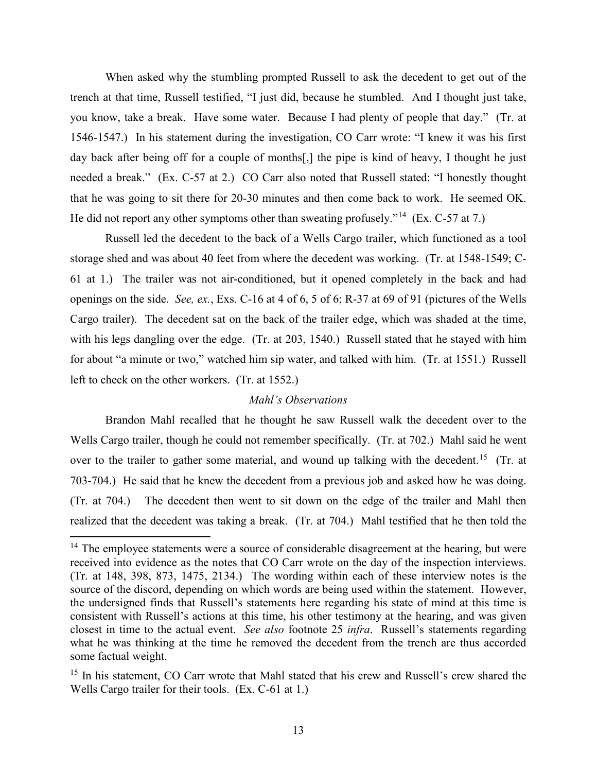When asked why the stumbling prompted Russell to ask the decedent to get out of the trench at that time, Russell testified, "I just did, because he stumbled. And I thought just take, you know, take a break. Have some water. Because I had plenty of people that day." (Tr. at 1546-1547.) In his statement during the investigation, CO Carr wrote: "I knew it was his first day back after being off for a couple of months[,] the pipe is kind of heavy, I thought he just needed a break." (Ex. C-57 at 2.) CO Carr also noted that Russell stated: "I honestly thought that he was going to sit there for 20-30 minutes and then come back to work. He seemed OK. He did not report any other symptoms other than sweating profusely."<sup>14</sup> (Ex. C-57 at 7.)

Russell led the decedent to the back of a Wells Cargo trailer, which functioned as a tool storage shed and was about 40 feet from where the decedent was working. (Tr. at 1548-1549; C-61 at 1.) The trailer was not air-conditioned, but it opened completely in the back and had openings on the side. *See, ex.*, Exs. C-16 at 4 of 6, 5 of 6; R-37 at 69 of 91 (pictures of the Wells Cargo trailer). The decedent sat on the back of the trailer edge, which was shaded at the time, with his legs dangling over the edge. (Tr. at 203, 1540.) Russell stated that he stayed with him for about "a minute or two," watched him sip water, and talked with him. (Tr. at 1551.) Russell left to check on the other workers. (Tr. at 1552.)

### *Mahl's Observations*

Brandon Mahl recalled that he thought he saw Russell walk the decedent over to the Wells Cargo trailer, though he could not remember specifically. (Tr. at 702.) Mahl said he went over to the trailer to gather some material, and wound up talking with the decedent.<sup>[15](#page-12-1)</sup> (Tr. at 703-704.) He said that he knew the decedent from a previous job and asked how he was doing. (Tr. at 704.) The decedent then went to sit down on the edge of the trailer and Mahl then realized that the decedent was taking a break. (Tr. at 704.) Mahl testified that he then told the

<span id="page-12-0"></span> $14$  The employee statements were a source of considerable disagreement at the hearing, but were received into evidence as the notes that CO Carr wrote on the day of the inspection interviews. (Tr. at 148, 398, 873, 1475, 2134.) The wording within each of these interview notes is the source of the discord, depending on which words are being used within the statement. However, the undersigned finds that Russell's statements here regarding his state of mind at this time is consistent with Russell's actions at this time, his other testimony at the hearing, and was given closest in time to the actual event. *See also* footnote 25 *infra*. Russell's statements regarding what he was thinking at the time he removed the decedent from the trench are thus accorded some factual weight.

<span id="page-12-1"></span><sup>&</sup>lt;sup>15</sup> In his statement, CO Carr wrote that Mahl stated that his crew and Russell's crew shared the Wells Cargo trailer for their tools. (Ex. C-61 at 1.)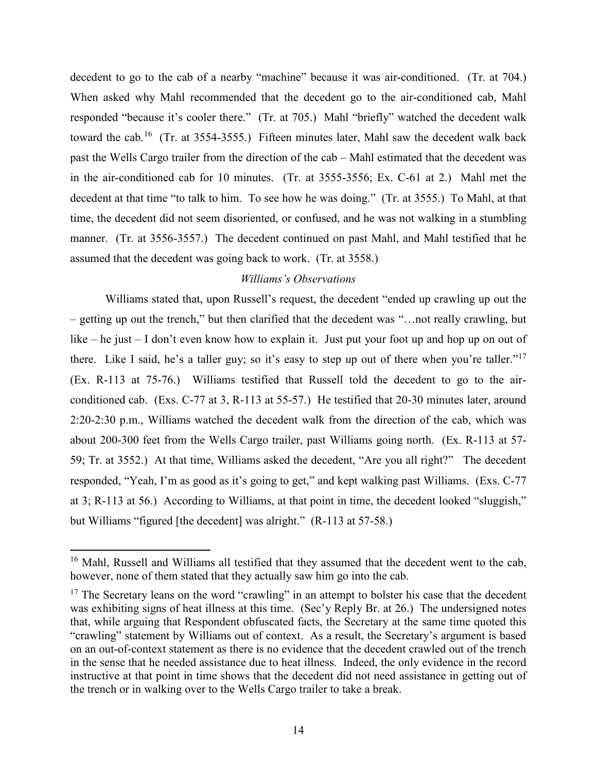decedent to go to the cab of a nearby "machine" because it was air-conditioned. (Tr. at 704.) When asked why Mahl recommended that the decedent go to the air-conditioned cab, Mahl responded "because it's cooler there." (Tr. at 705.) Mahl "briefly" watched the decedent walk toward the cab.<sup>[16](#page-13-0)</sup> (Tr. at 3554-3555.) Fifteen minutes later, Mahl saw the decedent walk back past the Wells Cargo trailer from the direction of the cab – Mahl estimated that the decedent was in the air-conditioned cab for 10 minutes. (Tr. at 3555-3556; Ex. C-61 at 2.) Mahl met the decedent at that time "to talk to him. To see how he was doing." (Tr. at 3555.) To Mahl, at that time, the decedent did not seem disoriented, or confused, and he was not walking in a stumbling manner. (Tr. at 3556-3557.) The decedent continued on past Mahl, and Mahl testified that he assumed that the decedent was going back to work. (Tr. at 3558.)

## *Williams's Observations*

Williams stated that, upon Russell's request, the decedent "ended up crawling up out the – getting up out the trench," but then clarified that the decedent was "…not really crawling, but like – he just – I don't even know how to explain it. Just put your foot up and hop up on out of there. Like I said, he's a taller guy; so it's easy to step up out of there when you're taller."<sup>[17](#page-13-1)</sup> (Ex. R-113 at 75-76.) Williams testified that Russell told the decedent to go to the airconditioned cab. (Exs. C-77 at 3, R-113 at 55-57.) He testified that 20-30 minutes later, around 2:20-2:30 p.m., Williams watched the decedent walk from the direction of the cab, which was about 200-300 feet from the Wells Cargo trailer, past Williams going north. (Ex. R-113 at 57- 59; Tr. at 3552.) At that time, Williams asked the decedent, "Are you all right?" The decedent responded, "Yeah, I'm as good as it's going to get," and kept walking past Williams. (Exs. C-77 at 3; R-113 at 56.) According to Williams, at that point in time, the decedent looked "sluggish," but Williams "figured [the decedent] was alright." (R-113 at 57-58.)

<span id="page-13-0"></span><sup>&</sup>lt;sup>16</sup> Mahl, Russell and Williams all testified that they assumed that the decedent went to the cab, however, none of them stated that they actually saw him go into the cab.

<span id="page-13-1"></span> $17$  The Secretary leans on the word "crawling" in an attempt to bolster his case that the decedent was exhibiting signs of heat illness at this time. (Sec'y Reply Br. at 26.) The undersigned notes that, while arguing that Respondent obfuscated facts, the Secretary at the same time quoted this "crawling" statement by Williams out of context. As a result, the Secretary's argument is based on an out-of-context statement as there is no evidence that the decedent crawled out of the trench in the sense that he needed assistance due to heat illness. Indeed, the only evidence in the record instructive at that point in time shows that the decedent did not need assistance in getting out of the trench or in walking over to the Wells Cargo trailer to take a break.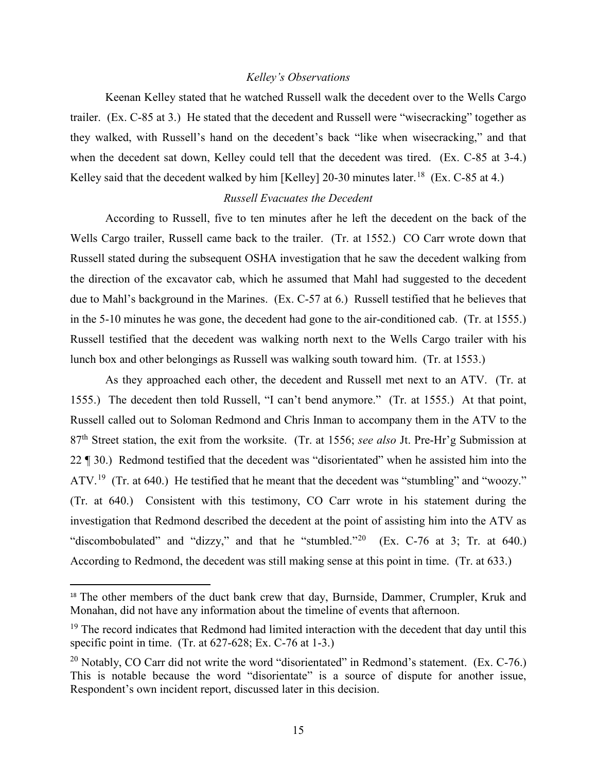### *Kelley's Observations*

Keenan Kelley stated that he watched Russell walk the decedent over to the Wells Cargo trailer. (Ex. C-85 at 3.) He stated that the decedent and Russell were "wisecracking" together as they walked, with Russell's hand on the decedent's back "like when wisecracking," and that when the decedent sat down, Kelley could tell that the decedent was tired. (Ex. C-85 at 3-4.) Kelley said that the decedent walked by him [Kelley] 20-30 minutes later.<sup>18</sup> (Ex. C-85 at 4.)

### *Russell Evacuates the Decedent*

According to Russell, five to ten minutes after he left the decedent on the back of the Wells Cargo trailer, Russell came back to the trailer. (Tr. at 1552.) CO Carr wrote down that Russell stated during the subsequent OSHA investigation that he saw the decedent walking from the direction of the excavator cab, which he assumed that Mahl had suggested to the decedent due to Mahl's background in the Marines. (Ex. C-57 at 6.) Russell testified that he believes that in the 5-10 minutes he was gone, the decedent had gone to the air-conditioned cab. (Tr. at 1555.) Russell testified that the decedent was walking north next to the Wells Cargo trailer with his lunch box and other belongings as Russell was walking south toward him. (Tr. at 1553.)

As they approached each other, the decedent and Russell met next to an ATV. (Tr. at 1555.) The decedent then told Russell, "I can't bend anymore." (Tr. at 1555.) At that point, Russell called out to Soloman Redmond and Chris Inman to accompany them in the ATV to the 87th Street station, the exit from the worksite. (Tr. at 1556; *see also* Jt. Pre-Hr'g Submission at 22 ¶ 30.) Redmond testified that the decedent was "disorientated" when he assisted him into the ATV.<sup>[19](#page-14-1)</sup> (Tr. at 640.) He testified that he meant that the decedent was "stumbling" and "woozy." (Tr. at 640.) Consistent with this testimony, CO Carr wrote in his statement during the investigation that Redmond described the decedent at the point of assisting him into the ATV as "discombobulated" and "dizzy," and that he "stumbled."<sup>[20](#page-14-2)</sup> (Ex. C-76 at 3; Tr. at 640.) According to Redmond, the decedent was still making sense at this point in time. (Tr. at 633.)

<span id="page-14-0"></span><sup>&</sup>lt;sup>18</sup> The other members of the duct bank crew that day, Burnside, Dammer, Crumpler, Kruk and Monahan, did not have any information about the timeline of events that afternoon.

<span id="page-14-1"></span> $19$  The record indicates that Redmond had limited interaction with the decedent that day until this specific point in time. (Tr. at 627-628; Ex. C-76 at 1-3.)

<span id="page-14-2"></span><sup>&</sup>lt;sup>20</sup> Notably, CO Carr did not write the word "disorientated" in Redmond's statement. (Ex. C-76.) This is notable because the word "disorientate" is a source of dispute for another issue, Respondent's own incident report, discussed later in this decision.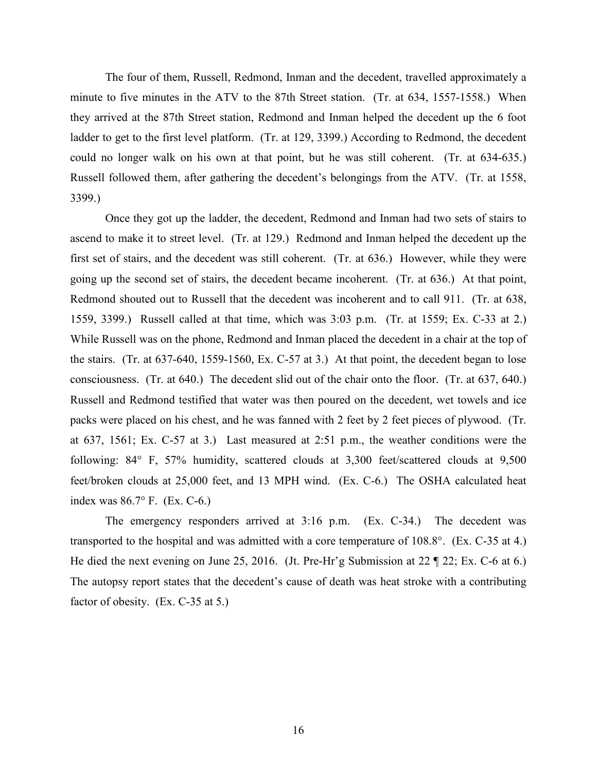The four of them, Russell, Redmond, Inman and the decedent, travelled approximately a minute to five minutes in the ATV to the 87th Street station. (Tr. at 634, 1557-1558.) When they arrived at the 87th Street station, Redmond and Inman helped the decedent up the 6 foot ladder to get to the first level platform. (Tr. at 129, 3399.) According to Redmond, the decedent could no longer walk on his own at that point, but he was still coherent. (Tr. at 634-635.) Russell followed them, after gathering the decedent's belongings from the ATV. (Tr. at 1558, 3399.)

Once they got up the ladder, the decedent, Redmond and Inman had two sets of stairs to ascend to make it to street level. (Tr. at 129.) Redmond and Inman helped the decedent up the first set of stairs, and the decedent was still coherent. (Tr. at 636.) However, while they were going up the second set of stairs, the decedent became incoherent. (Tr. at 636.) At that point, Redmond shouted out to Russell that the decedent was incoherent and to call 911. (Tr. at 638, 1559, 3399.) Russell called at that time, which was 3:03 p.m. (Tr. at 1559; Ex. C-33 at 2.) While Russell was on the phone, Redmond and Inman placed the decedent in a chair at the top of the stairs. (Tr. at 637-640, 1559-1560, Ex. C-57 at 3.) At that point, the decedent began to lose consciousness. (Tr. at 640.) The decedent slid out of the chair onto the floor. (Tr. at 637, 640.) Russell and Redmond testified that water was then poured on the decedent, wet towels and ice packs were placed on his chest, and he was fanned with 2 feet by 2 feet pieces of plywood. (Tr. at 637, 1561; Ex. C-57 at 3.) Last measured at 2:51 p.m., the weather conditions were the following: 84° F, 57% humidity, scattered clouds at 3,300 feet/scattered clouds at 9,500 feet/broken clouds at 25,000 feet, and 13 MPH wind. (Ex. C-6.) The OSHA calculated heat index was 86.7° F. (Ex. C-6.)

The emergency responders arrived at 3:16 p.m. (Ex. C-34.) The decedent was transported to the hospital and was admitted with a core temperature of 108.8°. (Ex. C-35 at 4.) He died the next evening on June 25, 2016. (Jt. Pre-Hr'g Submission at 22 ¶ 22; Ex. C-6 at 6.) The autopsy report states that the decedent's cause of death was heat stroke with a contributing factor of obesity. (Ex. C-35 at 5.)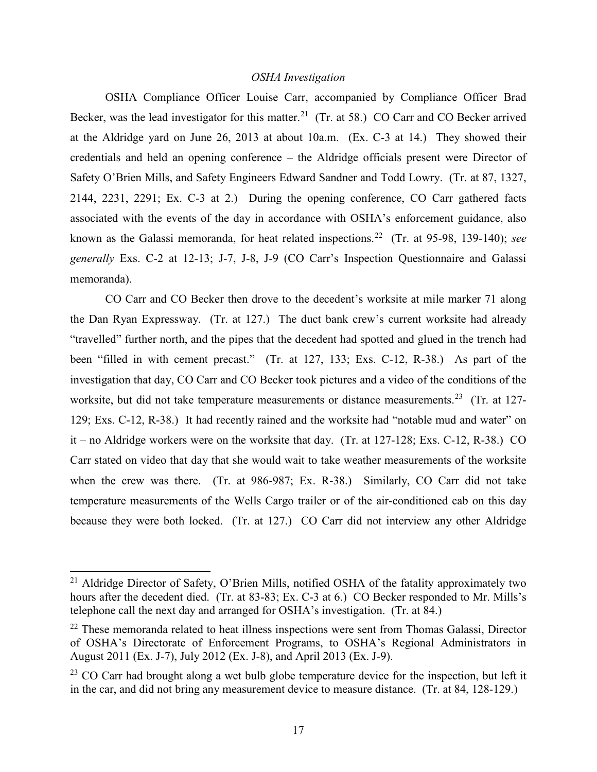### *OSHA Investigation*

OSHA Compliance Officer Louise Carr, accompanied by Compliance Officer Brad Becker, was the lead investigator for this matter.<sup>21</sup> (Tr. at 58.) CO Carr and CO Becker arrived at the Aldridge yard on June 26, 2013 at about 10a.m. (Ex. C-3 at 14.) They showed their credentials and held an opening conference – the Aldridge officials present were Director of Safety O'Brien Mills, and Safety Engineers Edward Sandner and Todd Lowry. (Tr. at 87, 1327, 2144, 2231, 2291; Ex. C-3 at 2.) During the opening conference, CO Carr gathered facts associated with the events of the day in accordance with OSHA's enforcement guidance, also known as the Galassi memoranda, for heat related inspections.[22](#page-16-1) (Tr. at 95-98, 139-140); *see generally* Exs. C-2 at 12-13; J-7, J-8, J-9 (CO Carr's Inspection Questionnaire and Galassi memoranda).

CO Carr and CO Becker then drove to the decedent's worksite at mile marker 71 along the Dan Ryan Expressway. (Tr. at 127.) The duct bank crew's current worksite had already "travelled" further north, and the pipes that the decedent had spotted and glued in the trench had been "filled in with cement precast." (Tr. at 127, 133; Exs. C-12, R-38.) As part of the investigation that day, CO Carr and CO Becker took pictures and a video of the conditions of the worksite, but did not take temperature measurements or distance measurements.<sup>23</sup> (Tr. at 127-129; Exs. C-12, R-38.) It had recently rained and the worksite had "notable mud and water" on it – no Aldridge workers were on the worksite that day. (Tr. at 127-128; Exs. C-12, R-38.) CO Carr stated on video that day that she would wait to take weather measurements of the worksite when the crew was there. (Tr. at 986-987; Ex. R-38.) Similarly, CO Carr did not take temperature measurements of the Wells Cargo trailer or of the air-conditioned cab on this day because they were both locked. (Tr. at 127.) CO Carr did not interview any other Aldridge

l

<span id="page-16-0"></span><sup>&</sup>lt;sup>21</sup> Aldridge Director of Safety, O'Brien Mills, notified OSHA of the fatality approximately two hours after the decedent died. (Tr. at 83-83; Ex. C-3 at 6.) CO Becker responded to Mr. Mills's telephone call the next day and arranged for OSHA's investigation. (Tr. at 84.)

<span id="page-16-1"></span> $22$  These memoranda related to heat illness inspections were sent from Thomas Galassi, Director of OSHA's Directorate of Enforcement Programs, to OSHA's Regional Administrators in August 2011 (Ex. J-7), July 2012 (Ex. J-8), and April 2013 (Ex. J-9).

<span id="page-16-2"></span> $23$  CO Carr had brought along a wet bulb globe temperature device for the inspection, but left it in the car, and did not bring any measurement device to measure distance. (Tr. at 84, 128-129.)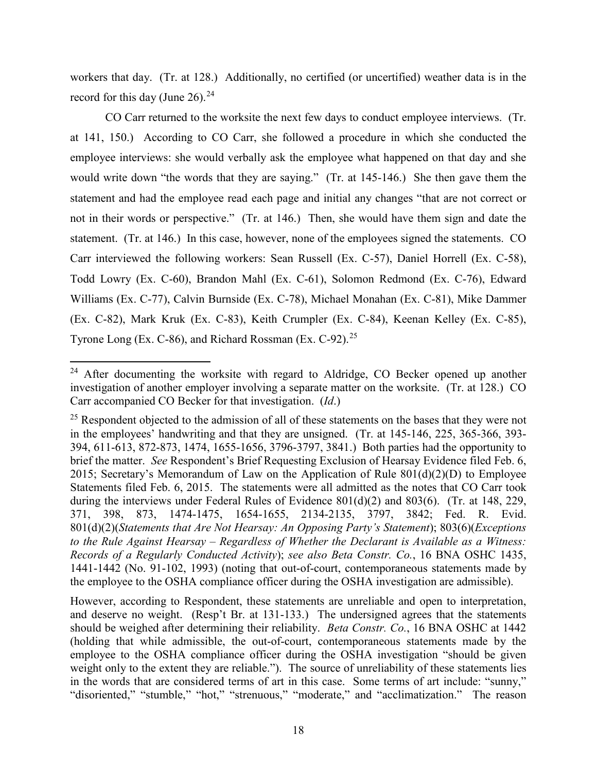workers that day. (Tr. at 128.) Additionally, no certified (or uncertified) weather data is in the record for this day (June 26). $24$ 

CO Carr returned to the worksite the next few days to conduct employee interviews. (Tr. at 141, 150.) According to CO Carr, she followed a procedure in which she conducted the employee interviews: she would verbally ask the employee what happened on that day and she would write down "the words that they are saying." (Tr. at 145-146.) She then gave them the statement and had the employee read each page and initial any changes "that are not correct or not in their words or perspective." (Tr. at 146.) Then, she would have them sign and date the statement. (Tr. at 146.) In this case, however, none of the employees signed the statements. CO Carr interviewed the following workers: Sean Russell (Ex. C-57), Daniel Horrell (Ex. C-58), Todd Lowry (Ex. C-60), Brandon Mahl (Ex. C-61), Solomon Redmond (Ex. C-76), Edward Williams (Ex. C-77), Calvin Burnside (Ex. C-78), Michael Monahan (Ex. C-81), Mike Dammer (Ex. C-82), Mark Kruk (Ex. C-83), Keith Crumpler (Ex. C-84), Keenan Kelley (Ex. C-85), Tyrone Long (Ex. C-86), and Richard Rossman (Ex. C-92).<sup>[25](#page-17-1)</sup>

l

<span id="page-17-0"></span> $24$  After documenting the worksite with regard to Aldridge, CO Becker opened up another investigation of another employer involving a separate matter on the worksite. (Tr. at 128.) CO Carr accompanied CO Becker for that investigation. (*Id*.)

<span id="page-17-1"></span> $25$  Respondent objected to the admission of all of these statements on the bases that they were not in the employees' handwriting and that they are unsigned. (Tr. at 145-146, 225, 365-366, 393- 394, 611-613, 872-873, 1474, 1655-1656, 3796-3797, 3841.) Both parties had the opportunity to brief the matter. *See* Respondent's Brief Requesting Exclusion of Hearsay Evidence filed Feb. 6, 2015; Secretary's Memorandum of Law on the Application of Rule  $801(d)(2)(D)$  to Employee Statements filed Feb. 6, 2015. The statements were all admitted as the notes that CO Carr took during the interviews under Federal Rules of Evidence 801(d)(2) and 803(6). (Tr. at 148, 229, 371, 398, 873, 1474-1475, 1654-1655, 2134-2135, 3797, 3842; Fed. R. Evid. 801(d)(2)(*Statements that Are Not Hearsay: An Opposing Party's Statement*); 803(6)(*Exceptions to the Rule Against Hearsay – Regardless of Whether the Declarant is Available as a Witness: Records of a Regularly Conducted Activity*); *see also Beta Constr. Co.*, 16 BNA OSHC 1435, 1441-1442 (No. 91-102, 1993) (noting that out-of-court, contemporaneous statements made by the employee to the OSHA compliance officer during the OSHA investigation are admissible).

However, according to Respondent, these statements are unreliable and open to interpretation, and deserve no weight. (Resp't Br. at 131-133.) The undersigned agrees that the statements should be weighed after determining their reliability. *Beta Constr. Co.*, 16 BNA OSHC at 1442 (holding that while admissible, the out-of-court, contemporaneous statements made by the employee to the OSHA compliance officer during the OSHA investigation "should be given weight only to the extent they are reliable."). The source of unreliability of these statements lies in the words that are considered terms of art in this case. Some terms of art include: "sunny," "disoriented," "stumble," "hot," "strenuous," "moderate," and "acclimatization." The reason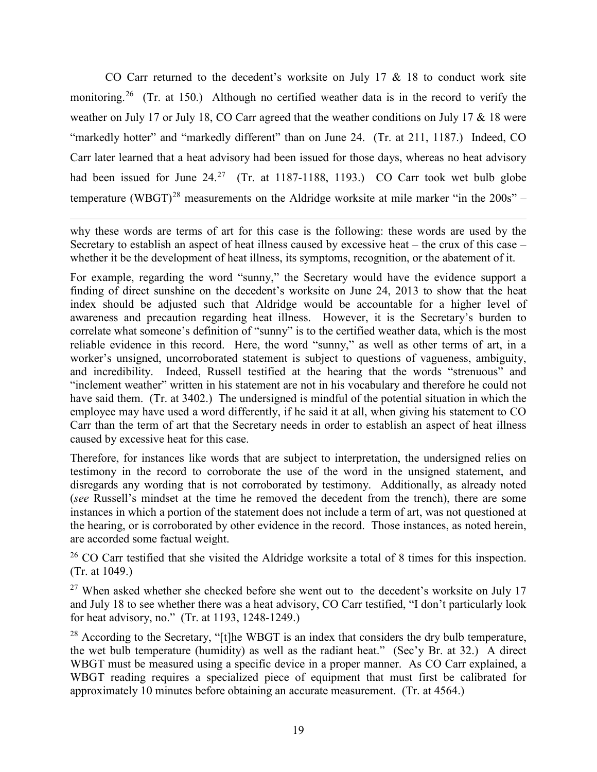CO Carr returned to the decedent's worksite on July 17  $\&$  18 to conduct work site monitoring.<sup>[26](#page-18-0)</sup> (Tr. at 150.) Although no certified weather data is in the record to verify the weather on July 17 or July 18, CO Carr agreed that the weather conditions on July 17 & 18 were "markedly hotter" and "markedly different" than on June 24. (Tr. at 211, 1187.) Indeed, CO Carr later learned that a heat advisory had been issued for those days, whereas no heat advisory had been issued for June  $24.^{27}$  $24.^{27}$  $24.^{27}$  (Tr. at 1187-1188, 1193.) CO Carr took wet bulb globe temperature (WBGT)<sup>[28](#page-18-2)</sup> measurements on the Aldridge worksite at mile marker "in the  $200s"$  -

why these words are terms of art for this case is the following: these words are used by the Secretary to establish an aspect of heat illness caused by excessive heat – the crux of this case – whether it be the development of heat illness, its symptoms, recognition, or the abatement of it.

 $\overline{\phantom{a}}$ 

For example, regarding the word "sunny," the Secretary would have the evidence support a finding of direct sunshine on the decedent's worksite on June 24, 2013 to show that the heat index should be adjusted such that Aldridge would be accountable for a higher level of awareness and precaution regarding heat illness. However, it is the Secretary's burden to correlate what someone's definition of "sunny" is to the certified weather data, which is the most reliable evidence in this record. Here, the word "sunny," as well as other terms of art, in a worker's unsigned, uncorroborated statement is subject to questions of vagueness, ambiguity, and incredibility. Indeed, Russell testified at the hearing that the words "strenuous" and "inclement weather" written in his statement are not in his vocabulary and therefore he could not have said them. (Tr. at 3402.) The undersigned is mindful of the potential situation in which the employee may have used a word differently, if he said it at all, when giving his statement to CO Carr than the term of art that the Secretary needs in order to establish an aspect of heat illness caused by excessive heat for this case.

Therefore, for instances like words that are subject to interpretation, the undersigned relies on testimony in the record to corroborate the use of the word in the unsigned statement, and disregards any wording that is not corroborated by testimony. Additionally, as already noted (*see* Russell's mindset at the time he removed the decedent from the trench), there are some instances in which a portion of the statement does not include a term of art, was not questioned at the hearing, or is corroborated by other evidence in the record. Those instances, as noted herein, are accorded some factual weight.

<span id="page-18-0"></span><sup>26</sup> CO Carr testified that she visited the Aldridge worksite a total of 8 times for this inspection. (Tr. at 1049.)

<span id="page-18-1"></span> $27$  When asked whether she checked before she went out to the decedent's worksite on July 17 and July 18 to see whether there was a heat advisory, CO Carr testified, "I don't particularly look for heat advisory, no." (Tr. at 1193, 1248-1249.)

<span id="page-18-2"></span><sup>28</sup> According to the Secretary, "[t]he WBGT is an index that considers the dry bulb temperature, the wet bulb temperature (humidity) as well as the radiant heat." (Sec'y Br. at 32.) A direct WBGT must be measured using a specific device in a proper manner. As CO Carr explained, a WBGT reading requires a specialized piece of equipment that must first be calibrated for approximately 10 minutes before obtaining an accurate measurement. (Tr. at 4564.)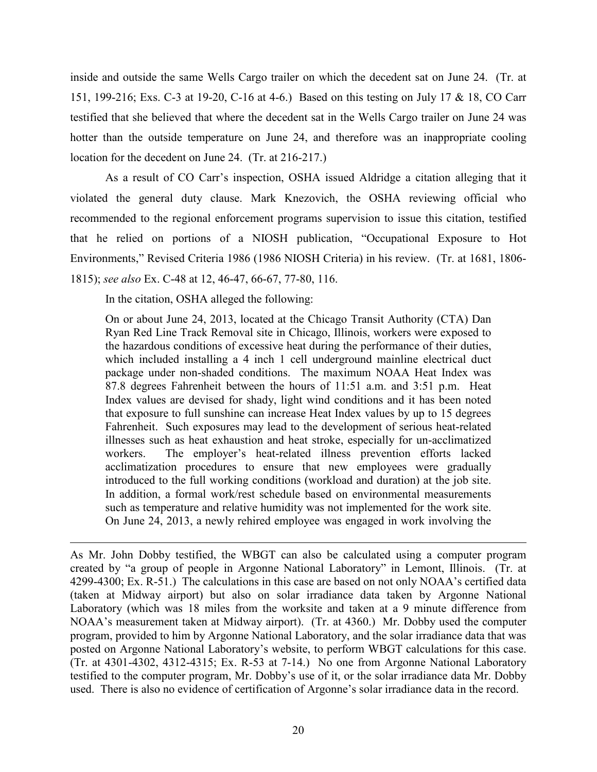inside and outside the same Wells Cargo trailer on which the decedent sat on June 24. (Tr. at 151, 199-216; Exs. C-3 at 19-20, C-16 at 4-6.) Based on this testing on July 17 & 18, CO Carr testified that she believed that where the decedent sat in the Wells Cargo trailer on June 24 was hotter than the outside temperature on June 24, and therefore was an inappropriate cooling location for the decedent on June 24. (Tr. at 216-217.)

As a result of CO Carr's inspection, OSHA issued Aldridge a citation alleging that it violated the general duty clause. Mark Knezovich, the OSHA reviewing official who recommended to the regional enforcement programs supervision to issue this citation, testified that he relied on portions of a NIOSH publication, "Occupational Exposure to Hot Environments," Revised Criteria 1986 (1986 NIOSH Criteria) in his review. (Tr. at 1681, 1806- 1815); *see also* Ex. C-48 at 12, 46-47, 66-67, 77-80, 116.

In the citation, OSHA alleged the following:

 $\overline{\phantom{a}}$ 

On or about June 24, 2013, located at the Chicago Transit Authority (CTA) Dan Ryan Red Line Track Removal site in Chicago, Illinois, workers were exposed to the hazardous conditions of excessive heat during the performance of their duties, which included installing a 4 inch 1 cell underground mainline electrical duct package under non-shaded conditions. The maximum NOAA Heat Index was 87.8 degrees Fahrenheit between the hours of 11:51 a.m. and 3:51 p.m. Heat Index values are devised for shady, light wind conditions and it has been noted that exposure to full sunshine can increase Heat Index values by up to 15 degrees Fahrenheit. Such exposures may lead to the development of serious heat-related illnesses such as heat exhaustion and heat stroke, especially for un-acclimatized workers. The employer's heat-related illness prevention efforts lacked acclimatization procedures to ensure that new employees were gradually introduced to the full working conditions (workload and duration) at the job site. In addition, a formal work/rest schedule based on environmental measurements such as temperature and relative humidity was not implemented for the work site. On June 24, 2013, a newly rehired employee was engaged in work involving the

As Mr. John Dobby testified, the WBGT can also be calculated using a computer program created by "a group of people in Argonne National Laboratory" in Lemont, Illinois. (Tr. at 4299-4300; Ex. R-51.) The calculations in this case are based on not only NOAA's certified data (taken at Midway airport) but also on solar irradiance data taken by Argonne National Laboratory (which was 18 miles from the worksite and taken at a 9 minute difference from NOAA's measurement taken at Midway airport). (Tr. at 4360.) Mr. Dobby used the computer program, provided to him by Argonne National Laboratory, and the solar irradiance data that was posted on Argonne National Laboratory's website, to perform WBGT calculations for this case. (Tr. at 4301-4302, 4312-4315; Ex. R-53 at 7-14.) No one from Argonne National Laboratory testified to the computer program, Mr. Dobby's use of it, or the solar irradiance data Mr. Dobby used. There is also no evidence of certification of Argonne's solar irradiance data in the record.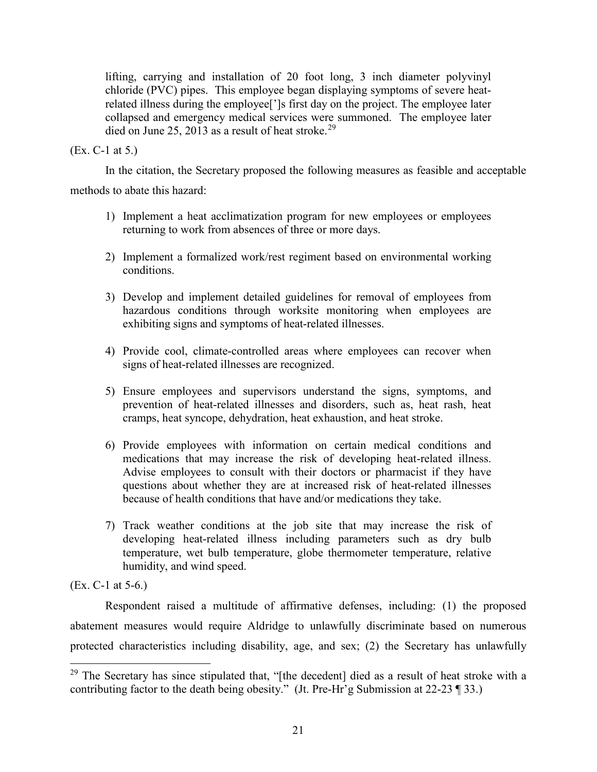lifting, carrying and installation of 20 foot long, 3 inch diameter polyvinyl chloride (PVC) pipes. This employee began displaying symptoms of severe heatrelated illness during the employee[']s first day on the project. The employee later collapsed and emergency medical services were summoned. The employee later died on June 25, 2013 as a result of heat stroke.<sup>[29](#page-20-0)</sup>

## (Ex. C-1 at 5.)

In the citation, the Secretary proposed the following measures as feasible and acceptable

methods to abate this hazard:

- 1) Implement a heat acclimatization program for new employees or employees returning to work from absences of three or more days.
- 2) Implement a formalized work/rest regiment based on environmental working conditions.
- 3) Develop and implement detailed guidelines for removal of employees from hazardous conditions through worksite monitoring when employees are exhibiting signs and symptoms of heat-related illnesses.
- 4) Provide cool, climate-controlled areas where employees can recover when signs of heat-related illnesses are recognized.
- 5) Ensure employees and supervisors understand the signs, symptoms, and prevention of heat-related illnesses and disorders, such as, heat rash, heat cramps, heat syncope, dehydration, heat exhaustion, and heat stroke.
- 6) Provide employees with information on certain medical conditions and medications that may increase the risk of developing heat-related illness. Advise employees to consult with their doctors or pharmacist if they have questions about whether they are at increased risk of heat-related illnesses because of health conditions that have and/or medications they take.
- 7) Track weather conditions at the job site that may increase the risk of developing heat-related illness including parameters such as dry bulb temperature, wet bulb temperature, globe thermometer temperature, relative humidity, and wind speed.

(Ex. C-1 at 5-6.)

 $\overline{a}$ 

Respondent raised a multitude of affirmative defenses, including: (1) the proposed abatement measures would require Aldridge to unlawfully discriminate based on numerous protected characteristics including disability, age, and sex; (2) the Secretary has unlawfully

<span id="page-20-0"></span><sup>&</sup>lt;sup>29</sup> The Secretary has since stipulated that, "[the decedent] died as a result of heat stroke with a contributing factor to the death being obesity." (Jt. Pre-Hr'g Submission at 22-23 ¶ 33.)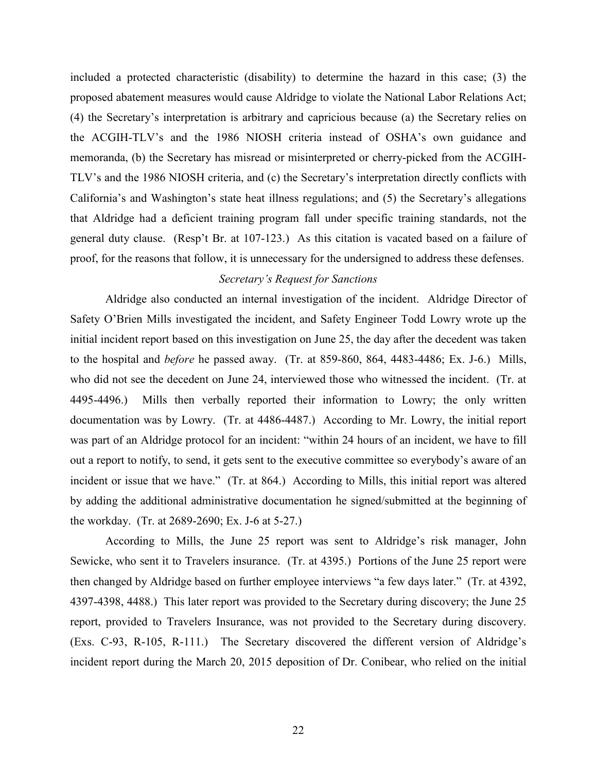included a protected characteristic (disability) to determine the hazard in this case; (3) the proposed abatement measures would cause Aldridge to violate the National Labor Relations Act; (4) the Secretary's interpretation is arbitrary and capricious because (a) the Secretary relies on the ACGIH-TLV's and the 1986 NIOSH criteria instead of OSHA's own guidance and memoranda, (b) the Secretary has misread or misinterpreted or cherry-picked from the ACGIH-TLV's and the 1986 NIOSH criteria, and (c) the Secretary's interpretation directly conflicts with California's and Washington's state heat illness regulations; and (5) the Secretary's allegations that Aldridge had a deficient training program fall under specific training standards, not the general duty clause. (Resp't Br. at 107-123.) As this citation is vacated based on a failure of proof, for the reasons that follow, it is unnecessary for the undersigned to address these defenses.

# *Secretary's Request for Sanctions*

Aldridge also conducted an internal investigation of the incident. Aldridge Director of Safety O'Brien Mills investigated the incident, and Safety Engineer Todd Lowry wrote up the initial incident report based on this investigation on June 25, the day after the decedent was taken to the hospital and *before* he passed away. (Tr. at 859-860, 864, 4483-4486; Ex. J-6.) Mills, who did not see the decedent on June 24, interviewed those who witnessed the incident. (Tr. at 4495-4496.) Mills then verbally reported their information to Lowry; the only written documentation was by Lowry. (Tr. at 4486-4487.) According to Mr. Lowry, the initial report was part of an Aldridge protocol for an incident: "within 24 hours of an incident, we have to fill out a report to notify, to send, it gets sent to the executive committee so everybody's aware of an incident or issue that we have." (Tr. at 864.) According to Mills, this initial report was altered by adding the additional administrative documentation he signed/submitted at the beginning of the workday. (Tr. at 2689-2690; Ex. J-6 at 5-27.)

According to Mills, the June 25 report was sent to Aldridge's risk manager, John Sewicke, who sent it to Travelers insurance. (Tr. at 4395.) Portions of the June 25 report were then changed by Aldridge based on further employee interviews "a few days later." (Tr. at 4392, 4397-4398, 4488.) This later report was provided to the Secretary during discovery; the June 25 report, provided to Travelers Insurance, was not provided to the Secretary during discovery. (Exs. C-93, R-105, R-111.) The Secretary discovered the different version of Aldridge's incident report during the March 20, 2015 deposition of Dr. Conibear, who relied on the initial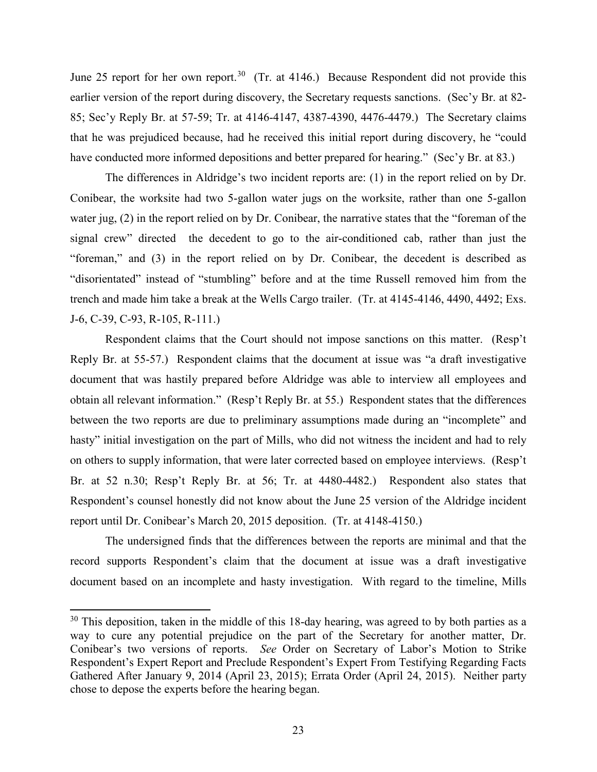June 25 report for her own report.<sup>30</sup> (Tr. at 4146.) Because Respondent did not provide this earlier version of the report during discovery, the Secretary requests sanctions. (Sec'y Br. at 82- 85; Sec'y Reply Br. at 57-59; Tr. at 4146-4147, 4387-4390, 4476-4479.) The Secretary claims that he was prejudiced because, had he received this initial report during discovery, he "could have conducted more informed depositions and better prepared for hearing." (Sec'y Br. at 83.)

The differences in Aldridge's two incident reports are: (1) in the report relied on by Dr. Conibear, the worksite had two 5-gallon water jugs on the worksite, rather than one 5-gallon water jug, (2) in the report relied on by Dr. Conibear, the narrative states that the "foreman of the signal crew" directed the decedent to go to the air-conditioned cab, rather than just the "foreman," and (3) in the report relied on by Dr. Conibear, the decedent is described as "disorientated" instead of "stumbling" before and at the time Russell removed him from the trench and made him take a break at the Wells Cargo trailer. (Tr. at 4145-4146, 4490, 4492; Exs. J-6, C-39, C-93, R-105, R-111.)

Respondent claims that the Court should not impose sanctions on this matter. (Resp't Reply Br. at 55-57.) Respondent claims that the document at issue was "a draft investigative document that was hastily prepared before Aldridge was able to interview all employees and obtain all relevant information." (Resp't Reply Br. at 55.) Respondent states that the differences between the two reports are due to preliminary assumptions made during an "incomplete" and hasty" initial investigation on the part of Mills, who did not witness the incident and had to rely on others to supply information, that were later corrected based on employee interviews. (Resp't Br. at 52 n.30; Resp't Reply Br. at 56; Tr. at 4480-4482.) Respondent also states that Respondent's counsel honestly did not know about the June 25 version of the Aldridge incident report until Dr. Conibear's March 20, 2015 deposition. (Tr. at 4148-4150.)

The undersigned finds that the differences between the reports are minimal and that the record supports Respondent's claim that the document at issue was a draft investigative document based on an incomplete and hasty investigation. With regard to the timeline, Mills

<span id="page-22-0"></span> $30$  This deposition, taken in the middle of this 18-day hearing, was agreed to by both parties as a way to cure any potential prejudice on the part of the Secretary for another matter, Dr. Conibear's two versions of reports. *See* Order on Secretary of Labor's Motion to Strike Respondent's Expert Report and Preclude Respondent's Expert From Testifying Regarding Facts Gathered After January 9, 2014 (April 23, 2015); Errata Order (April 24, 2015). Neither party chose to depose the experts before the hearing began.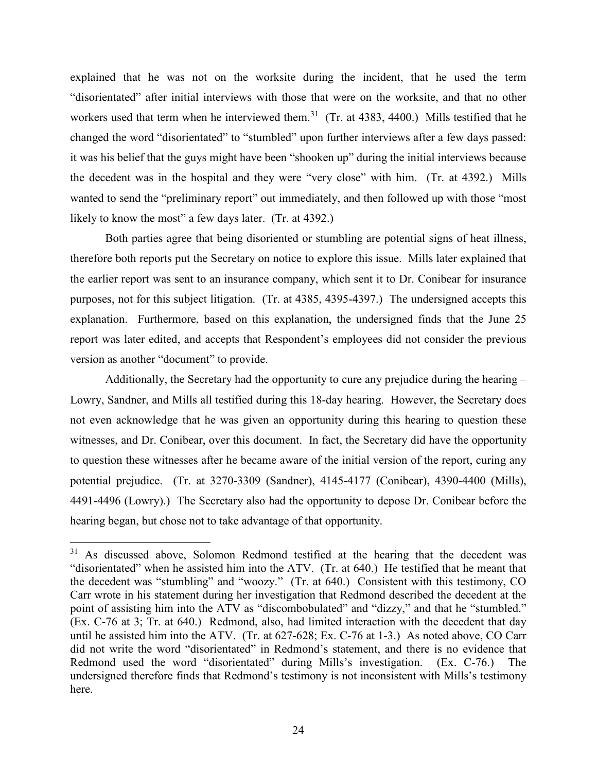explained that he was not on the worksite during the incident, that he used the term "disorientated" after initial interviews with those that were on the worksite, and that no other workers used that term when he interviewed them.<sup>31</sup> (Tr. at  $4383, 4400$ .) Mills testified that he changed the word "disorientated" to "stumbled" upon further interviews after a few days passed: it was his belief that the guys might have been "shooken up" during the initial interviews because the decedent was in the hospital and they were "very close" with him. (Tr. at 4392.) Mills wanted to send the "preliminary report" out immediately, and then followed up with those "most likely to know the most" a few days later. (Tr. at 4392.)

Both parties agree that being disoriented or stumbling are potential signs of heat illness, therefore both reports put the Secretary on notice to explore this issue. Mills later explained that the earlier report was sent to an insurance company, which sent it to Dr. Conibear for insurance purposes, not for this subject litigation. (Tr. at 4385, 4395-4397.) The undersigned accepts this explanation. Furthermore, based on this explanation, the undersigned finds that the June 25 report was later edited, and accepts that Respondent's employees did not consider the previous version as another "document" to provide.

Additionally, the Secretary had the opportunity to cure any prejudice during the hearing  $-$ Lowry, Sandner, and Mills all testified during this 18-day hearing. However, the Secretary does not even acknowledge that he was given an opportunity during this hearing to question these witnesses, and Dr. Conibear, over this document. In fact, the Secretary did have the opportunity to question these witnesses after he became aware of the initial version of the report, curing any potential prejudice. (Tr. at 3270-3309 (Sandner), 4145-4177 (Conibear), 4390-4400 (Mills), 4491-4496 (Lowry).) The Secretary also had the opportunity to depose Dr. Conibear before the hearing began, but chose not to take advantage of that opportunity.

<span id="page-23-0"></span><sup>&</sup>lt;sup>31</sup> As discussed above, Solomon Redmond testified at the hearing that the decedent was "disorientated" when he assisted him into the ATV. (Tr. at 640.) He testified that he meant that the decedent was "stumbling" and "woozy." (Tr. at 640.) Consistent with this testimony, CO Carr wrote in his statement during her investigation that Redmond described the decedent at the point of assisting him into the ATV as "discombobulated" and "dizzy," and that he "stumbled." (Ex. C-76 at 3; Tr. at 640.) Redmond, also, had limited interaction with the decedent that day until he assisted him into the ATV. (Tr. at 627-628; Ex. C-76 at 1-3.) As noted above, CO Carr did not write the word "disorientated" in Redmond's statement, and there is no evidence that Redmond used the word "disorientated" during Mills's investigation. (Ex. C-76.) The undersigned therefore finds that Redmond's testimony is not inconsistent with Mills's testimony here.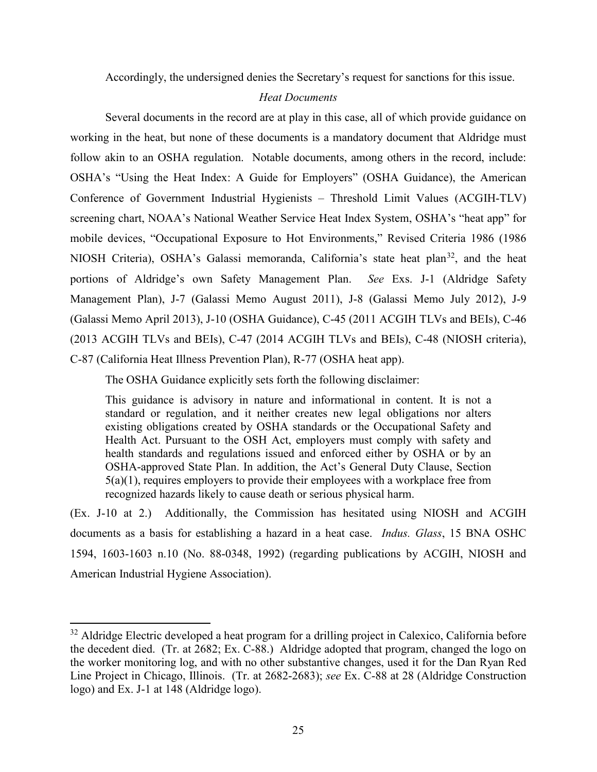Accordingly, the undersigned denies the Secretary's request for sanctions for this issue.

#### *Heat Documents*

Several documents in the record are at play in this case, all of which provide guidance on working in the heat, but none of these documents is a mandatory document that Aldridge must follow akin to an OSHA regulation. Notable documents, among others in the record, include: OSHA's "Using the Heat Index: A Guide for Employers" (OSHA Guidance), the American Conference of Government Industrial Hygienists – Threshold Limit Values (ACGIH-TLV) screening chart, NOAA's National Weather Service Heat Index System, OSHA's "heat app" for mobile devices, "Occupational Exposure to Hot Environments," Revised Criteria 1986 (1986 NIOSH Criteria), OSHA's Galassi memoranda, California's state heat plan<sup>32</sup>, and the heat portions of Aldridge's own Safety Management Plan. *See* Exs. J-1 (Aldridge Safety Management Plan), J-7 (Galassi Memo August 2011), J-8 (Galassi Memo July 2012), J-9 (Galassi Memo April 2013), J-10 (OSHA Guidance), C-45 (2011 ACGIH TLVs and BEIs), C-46 (2013 ACGIH TLVs and BEIs), C-47 (2014 ACGIH TLVs and BEIs), C-48 (NIOSH criteria), C-87 (California Heat Illness Prevention Plan), R-77 (OSHA heat app).

The OSHA Guidance explicitly sets forth the following disclaimer:

This guidance is advisory in nature and informational in content. It is not a standard or regulation, and it neither creates new legal obligations nor alters existing obligations created by OSHA standards or the Occupational Safety and Health Act. Pursuant to the OSH Act, employers must comply with safety and health standards and regulations issued and enforced either by OSHA or by an OSHA-approved State Plan. In addition, the Act's General Duty Clause, Section 5(a)(1), requires employers to provide their employees with a workplace free from recognized hazards likely to cause death or serious physical harm.

(Ex. J-10 at 2.) Additionally, the Commission has hesitated using NIOSH and ACGIH documents as a basis for establishing a hazard in a heat case. *Indus. Glass*, 15 BNA OSHC 1594, 1603-1603 n.10 (No. 88-0348, 1992) (regarding publications by ACGIH, NIOSH and American Industrial Hygiene Association).

<span id="page-24-0"></span><sup>&</sup>lt;sup>32</sup> Aldridge Electric developed a heat program for a drilling project in Calexico, California before the decedent died. (Tr. at 2682; Ex. C-88.) Aldridge adopted that program, changed the logo on the worker monitoring log, and with no other substantive changes, used it for the Dan Ryan Red Line Project in Chicago, Illinois. (Tr. at 2682-2683); *see* Ex. C-88 at 28 (Aldridge Construction logo) and Ex. J-1 at 148 (Aldridge logo).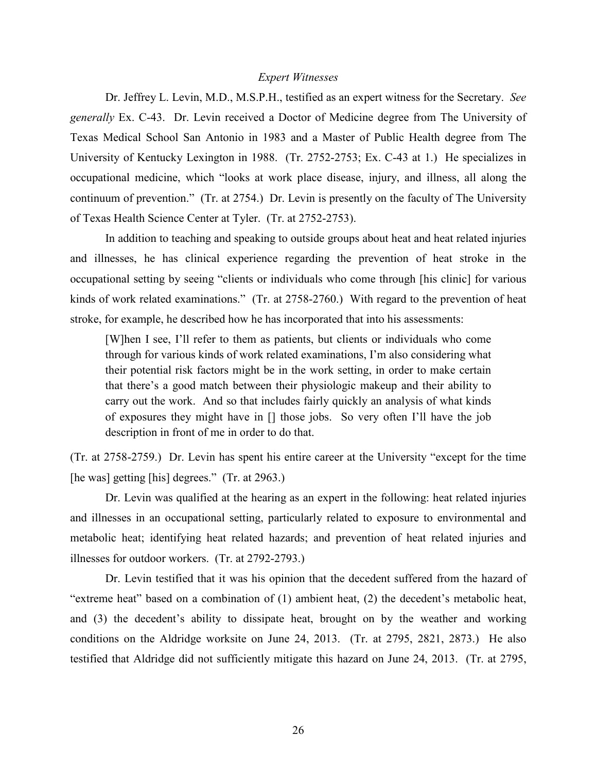#### *Expert Witnesses*

Dr. Jeffrey L. Levin, M.D., M.S.P.H., testified as an expert witness for the Secretary. *See generally* Ex. C-43. Dr. Levin received a Doctor of Medicine degree from The University of Texas Medical School San Antonio in 1983 and a Master of Public Health degree from The University of Kentucky Lexington in 1988. (Tr. 2752-2753; Ex. C-43 at 1.) He specializes in occupational medicine, which "looks at work place disease, injury, and illness, all along the continuum of prevention." (Tr. at 2754.) Dr. Levin is presently on the faculty of The University of Texas Health Science Center at Tyler. (Tr. at 2752-2753).

In addition to teaching and speaking to outside groups about heat and heat related injuries and illnesses, he has clinical experience regarding the prevention of heat stroke in the occupational setting by seeing "clients or individuals who come through [his clinic] for various kinds of work related examinations." (Tr. at 2758-2760.) With regard to the prevention of heat stroke, for example, he described how he has incorporated that into his assessments:

[W]hen I see, I'll refer to them as patients, but clients or individuals who come through for various kinds of work related examinations, I'm also considering what their potential risk factors might be in the work setting, in order to make certain that there's a good match between their physiologic makeup and their ability to carry out the work. And so that includes fairly quickly an analysis of what kinds of exposures they might have in [] those jobs. So very often I'll have the job description in front of me in order to do that.

(Tr. at 2758-2759.) Dr. Levin has spent his entire career at the University "except for the time [he was] getting [his] degrees." (Tr. at 2963.)

Dr. Levin was qualified at the hearing as an expert in the following: heat related injuries and illnesses in an occupational setting, particularly related to exposure to environmental and metabolic heat; identifying heat related hazards; and prevention of heat related injuries and illnesses for outdoor workers. (Tr. at 2792-2793.)

Dr. Levin testified that it was his opinion that the decedent suffered from the hazard of "extreme heat" based on a combination of (1) ambient heat, (2) the decedent's metabolic heat, and (3) the decedent's ability to dissipate heat, brought on by the weather and working conditions on the Aldridge worksite on June 24, 2013. (Tr. at 2795, 2821, 2873.) He also testified that Aldridge did not sufficiently mitigate this hazard on June 24, 2013. (Tr. at 2795,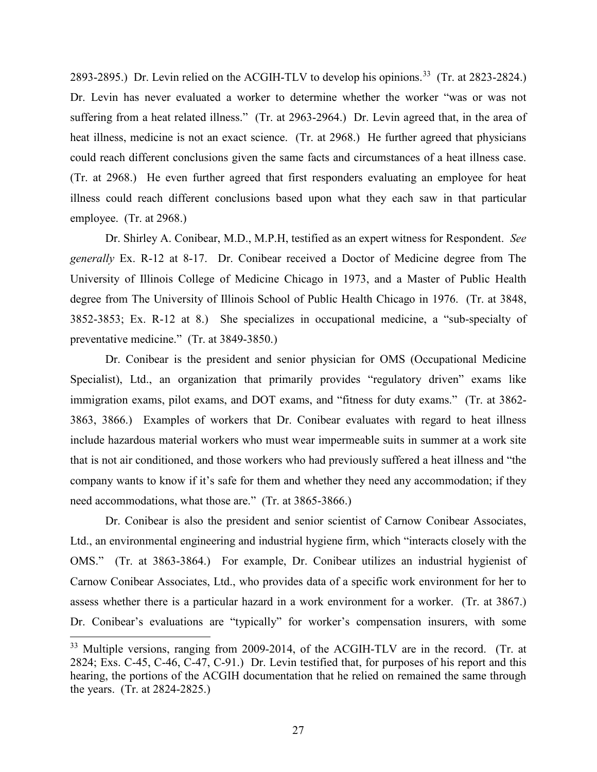2893-2895.) Dr. Levin relied on the ACGIH-TLV to develop his opinions.<sup>33</sup> (Tr. at 2823-2824.) Dr. Levin has never evaluated a worker to determine whether the worker "was or was not suffering from a heat related illness." (Tr. at 2963-2964.) Dr. Levin agreed that, in the area of heat illness, medicine is not an exact science. (Tr. at 2968.) He further agreed that physicians could reach different conclusions given the same facts and circumstances of a heat illness case. (Tr. at 2968.) He even further agreed that first responders evaluating an employee for heat illness could reach different conclusions based upon what they each saw in that particular employee. (Tr. at 2968.)

Dr. Shirley A. Conibear, M.D., M.P.H, testified as an expert witness for Respondent. *See generally* Ex. R-12 at 8-17. Dr. Conibear received a Doctor of Medicine degree from The University of Illinois College of Medicine Chicago in 1973, and a Master of Public Health degree from The University of Illinois School of Public Health Chicago in 1976. (Tr. at 3848, 3852-3853; Ex. R-12 at 8.) She specializes in occupational medicine, a "sub-specialty of preventative medicine." (Tr. at 3849-3850.)

Dr. Conibear is the president and senior physician for OMS (Occupational Medicine Specialist), Ltd., an organization that primarily provides "regulatory driven" exams like immigration exams, pilot exams, and DOT exams, and "fitness for duty exams." (Tr. at 3862- 3863, 3866.) Examples of workers that Dr. Conibear evaluates with regard to heat illness include hazardous material workers who must wear impermeable suits in summer at a work site that is not air conditioned, and those workers who had previously suffered a heat illness and "the company wants to know if it's safe for them and whether they need any accommodation; if they need accommodations, what those are." (Tr. at 3865-3866.)

Dr. Conibear is also the president and senior scientist of Carnow Conibear Associates, Ltd., an environmental engineering and industrial hygiene firm, which "interacts closely with the OMS." (Tr. at 3863-3864.) For example, Dr. Conibear utilizes an industrial hygienist of Carnow Conibear Associates, Ltd., who provides data of a specific work environment for her to assess whether there is a particular hazard in a work environment for a worker. (Tr. at 3867.) Dr. Conibear's evaluations are "typically" for worker's compensation insurers, with some

l

<span id="page-26-0"></span><sup>&</sup>lt;sup>33</sup> Multiple versions, ranging from 2009-2014, of the ACGIH-TLV are in the record. (Tr. at 2824; Exs. C-45, C-46, C-47, C-91.) Dr. Levin testified that, for purposes of his report and this hearing, the portions of the ACGIH documentation that he relied on remained the same through the years. (Tr. at 2824-2825.)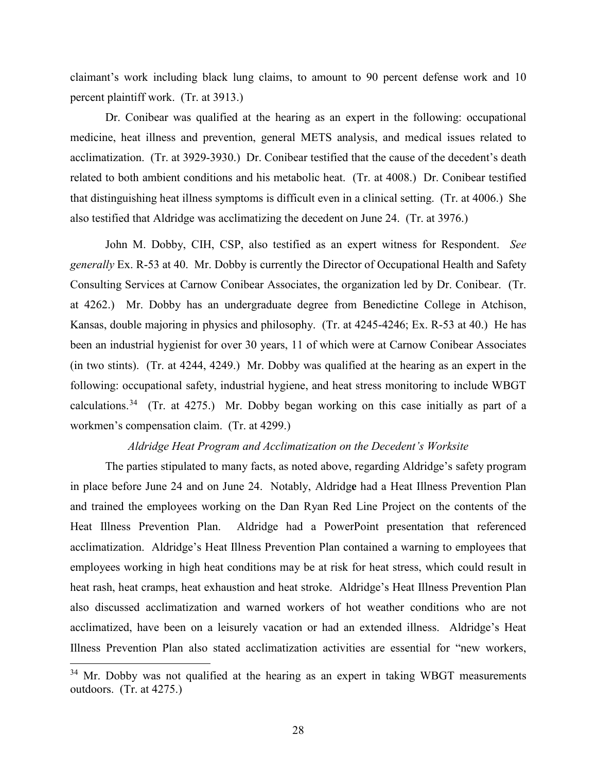claimant's work including black lung claims, to amount to 90 percent defense work and 10 percent plaintiff work. (Tr. at 3913.)

Dr. Conibear was qualified at the hearing as an expert in the following: occupational medicine, heat illness and prevention, general METS analysis, and medical issues related to acclimatization. (Tr. at 3929-3930.) Dr. Conibear testified that the cause of the decedent's death related to both ambient conditions and his metabolic heat. (Tr. at 4008.) Dr. Conibear testified that distinguishing heat illness symptoms is difficult even in a clinical setting. (Tr. at 4006.) She also testified that Aldridge was acclimatizing the decedent on June 24. (Tr. at 3976.)

John M. Dobby, CIH, CSP, also testified as an expert witness for Respondent. *See generally* Ex. R-53 at 40. Mr. Dobby is currently the Director of Occupational Health and Safety Consulting Services at Carnow Conibear Associates, the organization led by Dr. Conibear. (Tr. at 4262.) Mr. Dobby has an undergraduate degree from Benedictine College in Atchison, Kansas, double majoring in physics and philosophy. (Tr. at 4245-4246; Ex. R-53 at 40.) He has been an industrial hygienist for over 30 years, 11 of which were at Carnow Conibear Associates (in two stints). (Tr. at 4244, 4249.) Mr. Dobby was qualified at the hearing as an expert in the following: occupational safety, industrial hygiene, and heat stress monitoring to include WBGT calculations.<sup>[34](#page-27-0)</sup> (Tr. at 4275.) Mr. Dobby began working on this case initially as part of a workmen's compensation claim. (Tr. at 4299.)

#### *Aldridge Heat Program and Acclimatization on the Decedent's Worksite*

The parties stipulated to many facts, as noted above, regarding Aldridge's safety program in place before June 24 and on June 24. Notably, Aldridg**e** had a Heat Illness Prevention Plan and trained the employees working on the Dan Ryan Red Line Project on the contents of the Heat Illness Prevention Plan. Aldridge had a PowerPoint presentation that referenced acclimatization. Aldridge's Heat Illness Prevention Plan contained a warning to employees that employees working in high heat conditions may be at risk for heat stress, which could result in heat rash, heat cramps, heat exhaustion and heat stroke. Aldridge's Heat Illness Prevention Plan also discussed acclimatization and warned workers of hot weather conditions who are not acclimatized, have been on a leisurely vacation or had an extended illness. Aldridge's Heat Illness Prevention Plan also stated acclimatization activities are essential for "new workers,

 $\overline{a}$ 

<span id="page-27-0"></span> $34$  Mr. Dobby was not qualified at the hearing as an expert in taking WBGT measurements outdoors. (Tr. at 4275.)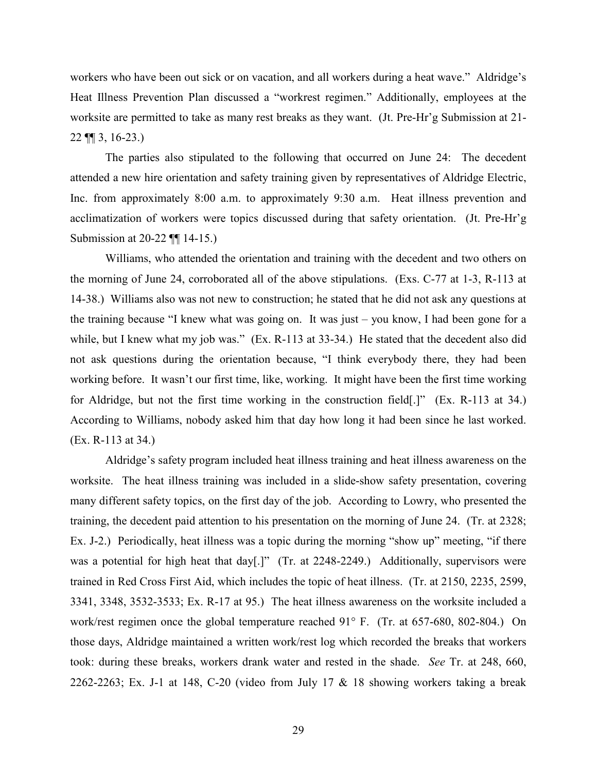workers who have been out sick or on vacation, and all workers during a heat wave." Aldridge's Heat Illness Prevention Plan discussed a "workrest regimen." Additionally, employees at the worksite are permitted to take as many rest breaks as they want. (Jt. Pre-Hr'g Submission at 21- 22 ¶¶ 3, 16-23.)

The parties also stipulated to the following that occurred on June 24: The decedent attended a new hire orientation and safety training given by representatives of Aldridge Electric, Inc. from approximately 8:00 a.m. to approximately 9:30 a.m. Heat illness prevention and acclimatization of workers were topics discussed during that safety orientation. (Jt. Pre-Hr'g Submission at 20-22 ¶¶ 14-15.)

Williams, who attended the orientation and training with the decedent and two others on the morning of June 24, corroborated all of the above stipulations. (Exs. C-77 at 1-3, R-113 at 14-38.) Williams also was not new to construction; he stated that he did not ask any questions at the training because "I knew what was going on. It was just – you know, I had been gone for a while, but I knew what my job was." (Ex. R-113 at 33-34.) He stated that the decedent also did not ask questions during the orientation because, "I think everybody there, they had been working before. It wasn't our first time, like, working. It might have been the first time working for Aldridge, but not the first time working in the construction field[.]" (Ex. R-113 at 34.) According to Williams, nobody asked him that day how long it had been since he last worked. (Ex. R-113 at 34.)

Aldridge's safety program included heat illness training and heat illness awareness on the worksite. The heat illness training was included in a slide-show safety presentation, covering many different safety topics, on the first day of the job. According to Lowry, who presented the training, the decedent paid attention to his presentation on the morning of June 24. (Tr. at 2328; Ex. J-2.) Periodically, heat illness was a topic during the morning "show up" meeting, "if there was a potential for high heat that day[.]" (Tr. at 2248-2249.) Additionally, supervisors were trained in Red Cross First Aid, which includes the topic of heat illness. (Tr. at 2150, 2235, 2599, 3341, 3348, 3532-3533; Ex. R-17 at 95.) The heat illness awareness on the worksite included a work/rest regimen once the global temperature reached 91° F. (Tr. at 657-680, 802-804.) On those days, Aldridge maintained a written work/rest log which recorded the breaks that workers took: during these breaks, workers drank water and rested in the shade. *See* Tr. at 248, 660, 2262-2263; Ex. J-1 at 148, C-20 (video from July 17  $\&$  18 showing workers taking a break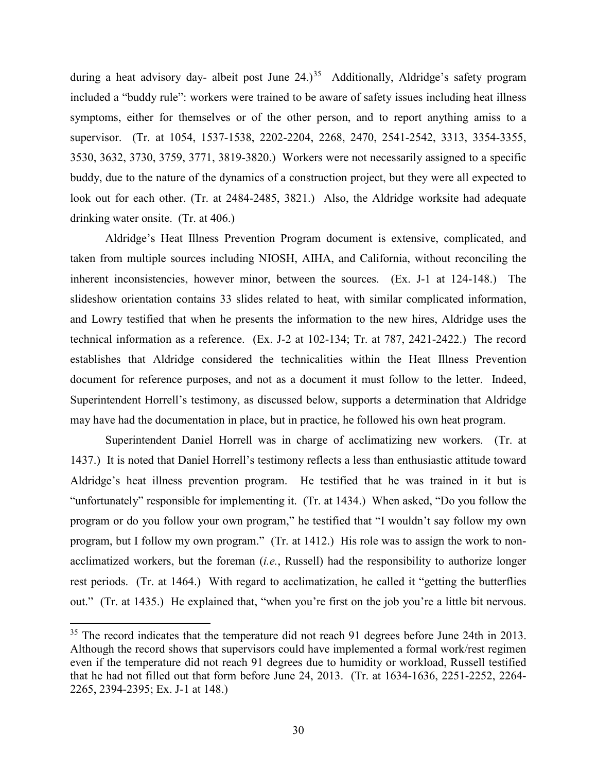during a heat advisory day- albeit post June 24.)<sup>35</sup> Additionally, Aldridge's safety program included a "buddy rule": workers were trained to be aware of safety issues including heat illness symptoms, either for themselves or of the other person, and to report anything amiss to a supervisor. (Tr. at 1054, 1537-1538, 2202-2204, 2268, 2470, 2541-2542, 3313, 3354-3355, 3530, 3632, 3730, 3759, 3771, 3819-3820.) Workers were not necessarily assigned to a specific buddy, due to the nature of the dynamics of a construction project, but they were all expected to look out for each other. (Tr. at 2484-2485, 3821.) Also, the Aldridge worksite had adequate drinking water onsite. (Tr. at 406.)

Aldridge's Heat Illness Prevention Program document is extensive, complicated, and taken from multiple sources including NIOSH, AIHA, and California, without reconciling the inherent inconsistencies, however minor, between the sources. (Ex. J-1 at 124-148.) The slideshow orientation contains 33 slides related to heat, with similar complicated information, and Lowry testified that when he presents the information to the new hires, Aldridge uses the technical information as a reference. (Ex. J-2 at 102-134; Tr. at 787, 2421-2422.) The record establishes that Aldridge considered the technicalities within the Heat Illness Prevention document for reference purposes, and not as a document it must follow to the letter. Indeed, Superintendent Horrell's testimony, as discussed below, supports a determination that Aldridge may have had the documentation in place, but in practice, he followed his own heat program.

Superintendent Daniel Horrell was in charge of acclimatizing new workers. (Tr. at 1437.) It is noted that Daniel Horrell's testimony reflects a less than enthusiastic attitude toward Aldridge's heat illness prevention program. He testified that he was trained in it but is "unfortunately" responsible for implementing it. (Tr. at 1434.) When asked, "Do you follow the program or do you follow your own program," he testified that "I wouldn't say follow my own program, but I follow my own program." (Tr. at 1412.) His role was to assign the work to nonacclimatized workers, but the foreman (*i.e.*, Russell) had the responsibility to authorize longer rest periods. (Tr. at 1464.) With regard to acclimatization, he called it "getting the butterflies out." (Tr. at 1435.) He explained that, "when you're first on the job you're a little bit nervous.

<span id="page-29-0"></span><sup>&</sup>lt;sup>35</sup> The record indicates that the temperature did not reach 91 degrees before June 24th in 2013. Although the record shows that supervisors could have implemented a formal work/rest regimen even if the temperature did not reach 91 degrees due to humidity or workload, Russell testified that he had not filled out that form before June 24, 2013. (Tr. at 1634-1636, 2251-2252, 2264- 2265, 2394-2395; Ex. J-1 at 148.)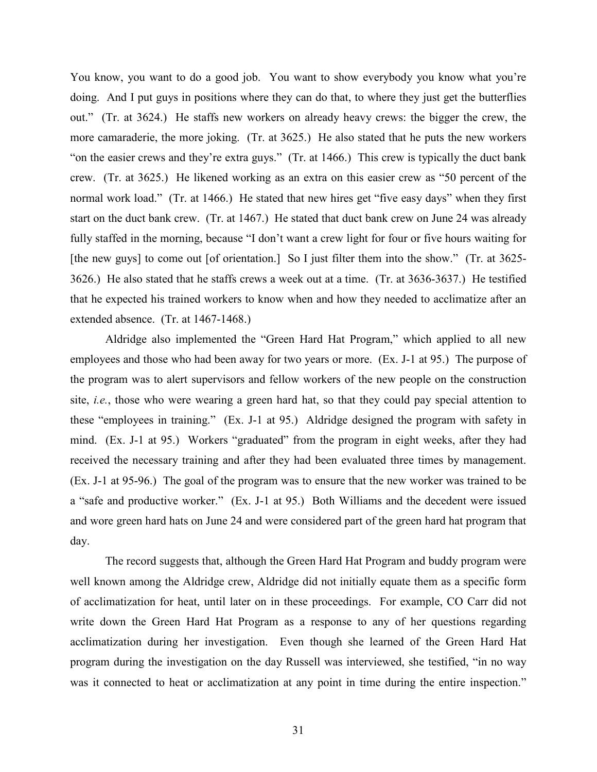You know, you want to do a good job. You want to show everybody you know what you're doing. And I put guys in positions where they can do that, to where they just get the butterflies out." (Tr. at 3624.) He staffs new workers on already heavy crews: the bigger the crew, the more camaraderie, the more joking. (Tr. at 3625.) He also stated that he puts the new workers "on the easier crews and they're extra guys." (Tr. at 1466.) This crew is typically the duct bank crew. (Tr. at 3625.) He likened working as an extra on this easier crew as "50 percent of the normal work load." (Tr. at 1466.) He stated that new hires get "five easy days" when they first start on the duct bank crew. (Tr. at 1467.) He stated that duct bank crew on June 24 was already fully staffed in the morning, because "I don't want a crew light for four or five hours waiting for [the new guys] to come out [of orientation.] So I just filter them into the show." (Tr. at 3625-3626.) He also stated that he staffs crews a week out at a time. (Tr. at 3636-3637.) He testified that he expected his trained workers to know when and how they needed to acclimatize after an extended absence. (Tr. at 1467-1468.)

Aldridge also implemented the "Green Hard Hat Program," which applied to all new employees and those who had been away for two years or more. (Ex. J-1 at 95.) The purpose of the program was to alert supervisors and fellow workers of the new people on the construction site, *i.e.*, those who were wearing a green hard hat, so that they could pay special attention to these "employees in training." (Ex. J-1 at 95.) Aldridge designed the program with safety in mind. (Ex. J-1 at 95.) Workers "graduated" from the program in eight weeks, after they had received the necessary training and after they had been evaluated three times by management. (Ex. J-1 at 95-96.) The goal of the program was to ensure that the new worker was trained to be a "safe and productive worker." (Ex. J-1 at 95.) Both Williams and the decedent were issued and wore green hard hats on June 24 and were considered part of the green hard hat program that day.

The record suggests that, although the Green Hard Hat Program and buddy program were well known among the Aldridge crew, Aldridge did not initially equate them as a specific form of acclimatization for heat, until later on in these proceedings. For example, CO Carr did not write down the Green Hard Hat Program as a response to any of her questions regarding acclimatization during her investigation. Even though she learned of the Green Hard Hat program during the investigation on the day Russell was interviewed, she testified, "in no way was it connected to heat or acclimatization at any point in time during the entire inspection."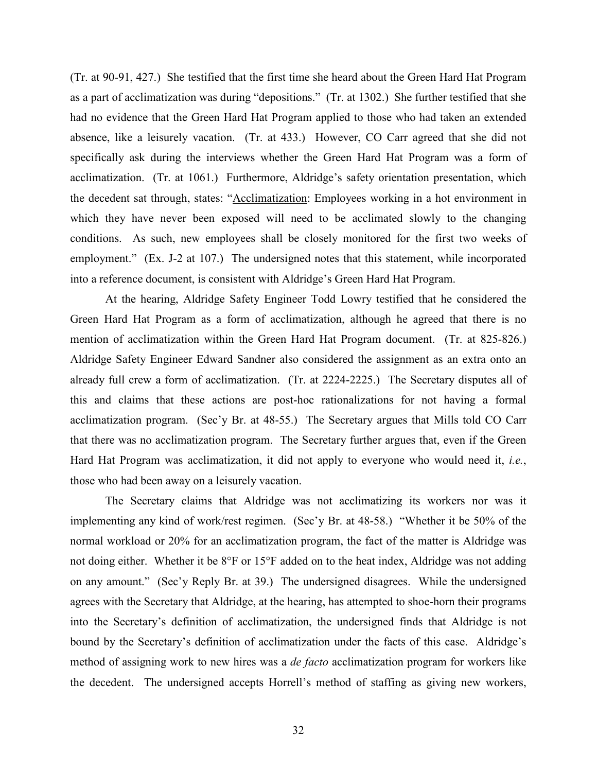(Tr. at 90-91, 427.) She testified that the first time she heard about the Green Hard Hat Program as a part of acclimatization was during "depositions." (Tr. at 1302.) She further testified that she had no evidence that the Green Hard Hat Program applied to those who had taken an extended absence, like a leisurely vacation. (Tr. at 433.) However, CO Carr agreed that she did not specifically ask during the interviews whether the Green Hard Hat Program was a form of acclimatization. (Tr. at 1061.) Furthermore, Aldridge's safety orientation presentation, which the decedent sat through, states: "Acclimatization: Employees working in a hot environment in which they have never been exposed will need to be acclimated slowly to the changing conditions. As such, new employees shall be closely monitored for the first two weeks of employment." (Ex. J-2 at 107.) The undersigned notes that this statement, while incorporated into a reference document, is consistent with Aldridge's Green Hard Hat Program.

At the hearing, Aldridge Safety Engineer Todd Lowry testified that he considered the Green Hard Hat Program as a form of acclimatization, although he agreed that there is no mention of acclimatization within the Green Hard Hat Program document. (Tr. at 825-826.) Aldridge Safety Engineer Edward Sandner also considered the assignment as an extra onto an already full crew a form of acclimatization. (Tr. at 2224-2225.) The Secretary disputes all of this and claims that these actions are post-hoc rationalizations for not having a formal acclimatization program. (Sec'y Br. at 48-55.) The Secretary argues that Mills told CO Carr that there was no acclimatization program. The Secretary further argues that, even if the Green Hard Hat Program was acclimatization, it did not apply to everyone who would need it, *i.e.*, those who had been away on a leisurely vacation.

The Secretary claims that Aldridge was not acclimatizing its workers nor was it implementing any kind of work/rest regimen. (Sec'y Br. at 48-58.) "Whether it be 50% of the normal workload or 20% for an acclimatization program, the fact of the matter is Aldridge was not doing either. Whether it be 8°F or 15°F added on to the heat index, Aldridge was not adding on any amount." (Sec'y Reply Br. at 39.) The undersigned disagrees. While the undersigned agrees with the Secretary that Aldridge, at the hearing, has attempted to shoe-horn their programs into the Secretary's definition of acclimatization, the undersigned finds that Aldridge is not bound by the Secretary's definition of acclimatization under the facts of this case. Aldridge's method of assigning work to new hires was a *de facto* acclimatization program for workers like the decedent. The undersigned accepts Horrell's method of staffing as giving new workers,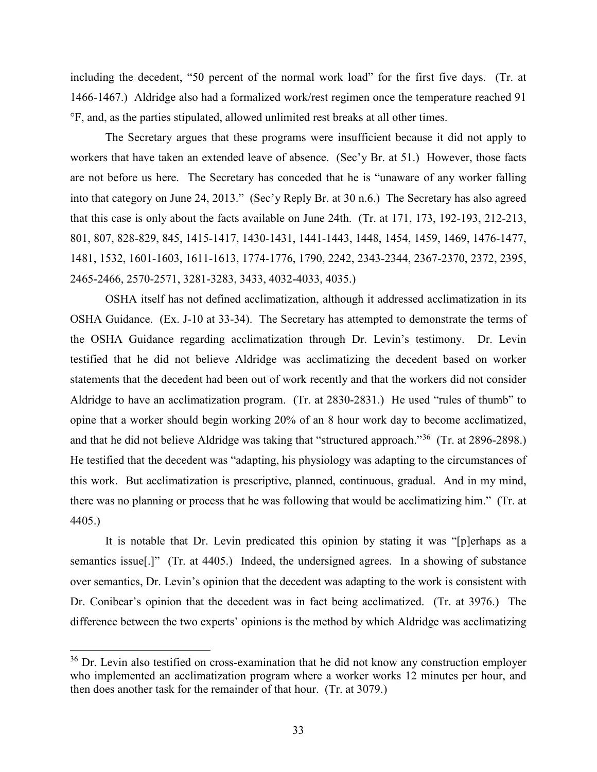including the decedent, "50 percent of the normal work load" for the first five days. (Tr. at 1466-1467.) Aldridge also had a formalized work/rest regimen once the temperature reached 91 °F, and, as the parties stipulated, allowed unlimited rest breaks at all other times.

The Secretary argues that these programs were insufficient because it did not apply to workers that have taken an extended leave of absence. (Sec'y Br. at 51.) However, those facts are not before us here. The Secretary has conceded that he is "unaware of any worker falling into that category on June 24, 2013." (Sec'y Reply Br. at 30 n.6.) The Secretary has also agreed that this case is only about the facts available on June 24th. (Tr. at 171, 173, 192-193, 212-213, 801, 807, 828-829, 845, 1415-1417, 1430-1431, 1441-1443, 1448, 1454, 1459, 1469, 1476-1477, 1481, 1532, 1601-1603, 1611-1613, 1774-1776, 1790, 2242, 2343-2344, 2367-2370, 2372, 2395, 2465-2466, 2570-2571, 3281-3283, 3433, 4032-4033, 4035.)

OSHA itself has not defined acclimatization, although it addressed acclimatization in its OSHA Guidance. (Ex. J-10 at 33-34). The Secretary has attempted to demonstrate the terms of the OSHA Guidance regarding acclimatization through Dr. Levin's testimony. Dr. Levin testified that he did not believe Aldridge was acclimatizing the decedent based on worker statements that the decedent had been out of work recently and that the workers did not consider Aldridge to have an acclimatization program. (Tr. at 2830-2831.) He used "rules of thumb" to opine that a worker should begin working 20% of an 8 hour work day to become acclimatized, and that he did not believe Aldridge was taking that "structured approach."[36](#page-32-0) (Tr. at 2896-2898.) He testified that the decedent was "adapting, his physiology was adapting to the circumstances of this work. But acclimatization is prescriptive, planned, continuous, gradual. And in my mind, there was no planning or process that he was following that would be acclimatizing him." (Tr. at 4405.)

It is notable that Dr. Levin predicated this opinion by stating it was "[p]erhaps as a semantics issue[.]" (Tr. at 4405.) Indeed, the undersigned agrees. In a showing of substance over semantics, Dr. Levin's opinion that the decedent was adapting to the work is consistent with Dr. Conibear's opinion that the decedent was in fact being acclimatized. (Tr. at 3976.) The difference between the two experts' opinions is the method by which Aldridge was acclimatizing

l

<span id="page-32-0"></span><sup>&</sup>lt;sup>36</sup> Dr. Levin also testified on cross-examination that he did not know any construction employer who implemented an acclimatization program where a worker works 12 minutes per hour, and then does another task for the remainder of that hour. (Tr. at 3079.)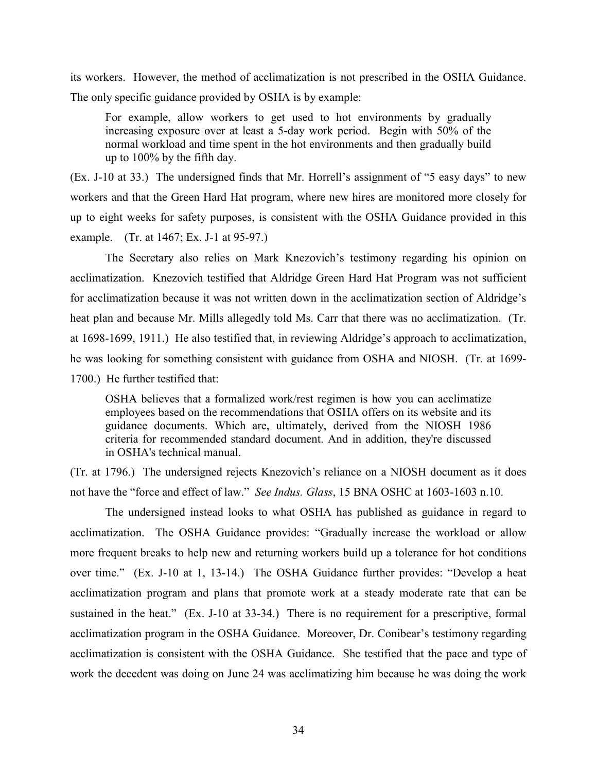its workers. However, the method of acclimatization is not prescribed in the OSHA Guidance. The only specific guidance provided by OSHA is by example:

For example, allow workers to get used to hot environments by gradually increasing exposure over at least a 5-day work period. Begin with 50% of the normal workload and time spent in the hot environments and then gradually build up to 100% by the fifth day.

(Ex. J-10 at 33.) The undersigned finds that Mr. Horrell's assignment of "5 easy days" to new workers and that the Green Hard Hat program, where new hires are monitored more closely for up to eight weeks for safety purposes, is consistent with the OSHA Guidance provided in this example. (Tr. at 1467; Ex. J-1 at 95-97.)

The Secretary also relies on Mark Knezovich's testimony regarding his opinion on acclimatization. Knezovich testified that Aldridge Green Hard Hat Program was not sufficient for acclimatization because it was not written down in the acclimatization section of Aldridge's heat plan and because Mr. Mills allegedly told Ms. Carr that there was no acclimatization. (Tr. at 1698-1699, 1911.) He also testified that, in reviewing Aldridge's approach to acclimatization, he was looking for something consistent with guidance from OSHA and NIOSH. (Tr. at 1699- 1700.) He further testified that:

OSHA believes that a formalized work/rest regimen is how you can acclimatize employees based on the recommendations that OSHA offers on its website and its guidance documents. Which are, ultimately, derived from the NIOSH 1986 criteria for recommended standard document. And in addition, they're discussed in OSHA's technical manual.

(Tr. at 1796.) The undersigned rejects Knezovich's reliance on a NIOSH document as it does not have the "force and effect of law." *See Indus. Glass*, 15 BNA OSHC at 1603-1603 n.10.

The undersigned instead looks to what OSHA has published as guidance in regard to acclimatization. The OSHA Guidance provides: "Gradually increase the workload or allow more frequent breaks to help new and returning workers build up a tolerance for hot conditions over time." (Ex. J-10 at 1, 13-14.) The OSHA Guidance further provides: "Develop a heat acclimatization program and plans that promote work at a steady moderate rate that can be sustained in the heat." (Ex. J-10 at 33-34.) There is no requirement for a prescriptive, formal acclimatization program in the OSHA Guidance. Moreover, Dr. Conibear's testimony regarding acclimatization is consistent with the OSHA Guidance. She testified that the pace and type of work the decedent was doing on June 24 was acclimatizing him because he was doing the work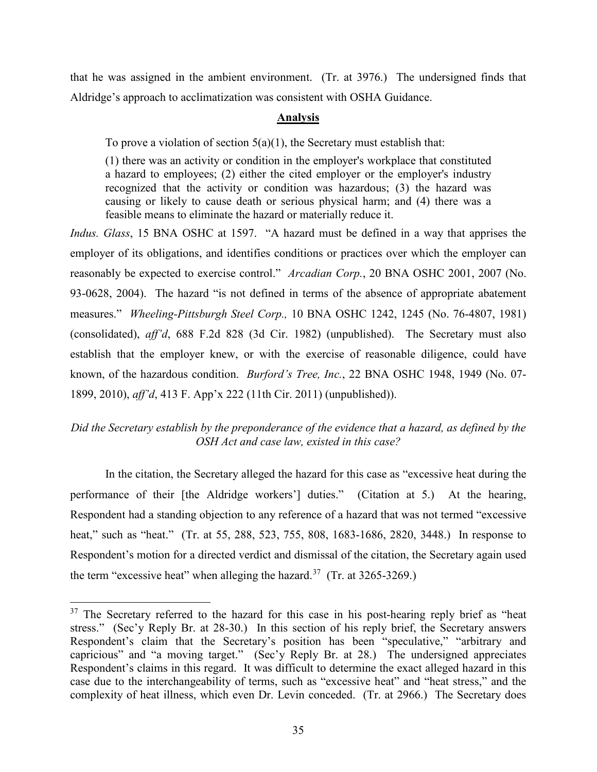that he was assigned in the ambient environment. (Tr. at 3976.) The undersigned finds that Aldridge's approach to acclimatization was consistent with OSHA Guidance.

# **Analysis**

To prove a violation of section  $5(a)(1)$ , the Secretary must establish that:

(1) there was an activity or condition in the employer's workplace that constituted a hazard to employees; (2) either the cited employer or the employer's industry recognized that the activity or condition was hazardous; (3) the hazard was causing or likely to cause death or serious physical harm; and (4) there was a feasible means to eliminate the hazard or materially reduce it.

*Indus. Glass*, 15 BNA OSHC at 1597. "A hazard must be defined in a way that apprises the employer of its obligations, and identifies conditions or practices over which the employer can reasonably be expected to exercise control." *Arcadian Corp.*, 20 BNA OSHC 2001, 2007 (No. 93-0628, 2004). The hazard "is not defined in terms of the absence of appropriate abatement measures." *Wheeling-Pittsburgh Steel Corp.,* 10 BNA OSHC 1242, 1245 (No. 76-4807, 1981) (consolidated), *aff'd*, 688 F.2d 828 (3d Cir. 1982) (unpublished). The Secretary must also establish that the employer knew, or with the exercise of reasonable diligence, could have known, of the hazardous condition. *Burford's Tree, Inc.*, 22 BNA OSHC 1948, 1949 (No. 07- 1899, 2010), *aff'd*, 413 F. App'x 222 (11th Cir. 2011) (unpublished)).

# *Did the Secretary establish by the preponderance of the evidence that a hazard, as defined by the OSH Act and case law, existed in this case?*

In the citation, the Secretary alleged the hazard for this case as "excessive heat during the performance of their [the Aldridge workers'] duties." (Citation at 5.) At the hearing, Respondent had a standing objection to any reference of a hazard that was not termed "excessive heat," such as "heat." (Tr. at 55, 288, 523, 755, 808, 1683-1686, 2820, 3448.) In response to Respondent's motion for a directed verdict and dismissal of the citation, the Secretary again used the term "excessive heat" when alleging the hazard.<sup>[37](#page-34-0)</sup> (Tr. at  $3265-3269$ .)

 $\overline{a}$ 

<span id="page-34-0"></span> $37$  The Secretary referred to the hazard for this case in his post-hearing reply brief as "heat stress." (Sec'y Reply Br. at 28-30.) In this section of his reply brief, the Secretary answers Respondent's claim that the Secretary's position has been "speculative," "arbitrary and capricious" and "a moving target." (Sec'y Reply Br. at 28.) The undersigned appreciates Respondent's claims in this regard. It was difficult to determine the exact alleged hazard in this case due to the interchangeability of terms, such as "excessive heat" and "heat stress," and the complexity of heat illness, which even Dr. Levin conceded. (Tr. at 2966.) The Secretary does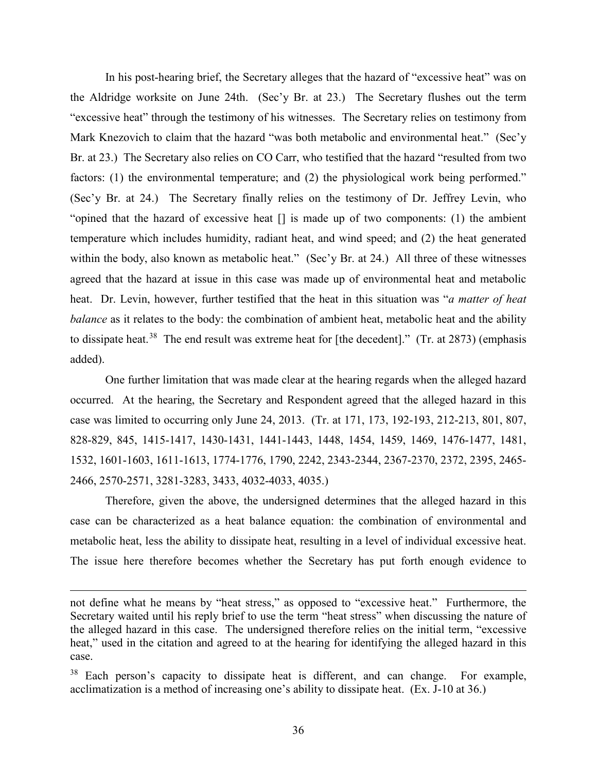In his post-hearing brief, the Secretary alleges that the hazard of "excessive heat" was on the Aldridge worksite on June 24th. (Sec'y Br. at 23.) The Secretary flushes out the term "excessive heat" through the testimony of his witnesses. The Secretary relies on testimony from Mark Knezovich to claim that the hazard "was both metabolic and environmental heat." (Sec'y Br. at 23.) The Secretary also relies on CO Carr, who testified that the hazard "resulted from two factors: (1) the environmental temperature; and (2) the physiological work being performed." (Sec'y Br. at 24.) The Secretary finally relies on the testimony of Dr. Jeffrey Levin, who "opined that the hazard of excessive heat [] is made up of two components: (1) the ambient temperature which includes humidity, radiant heat, and wind speed; and (2) the heat generated within the body, also known as metabolic heat." (Sec'y Br. at 24.) All three of these witnesses agreed that the hazard at issue in this case was made up of environmental heat and metabolic heat. Dr. Levin, however, further testified that the heat in this situation was "*a matter of heat balance* as it relates to the body: the combination of ambient heat, metabolic heat and the ability to dissipate heat.<sup>[38](#page-35-0)</sup> The end result was extreme heat for [the decedent]." (Tr. at 2873) (emphasis added).

One further limitation that was made clear at the hearing regards when the alleged hazard occurred. At the hearing, the Secretary and Respondent agreed that the alleged hazard in this case was limited to occurring only June 24, 2013. (Tr. at 171, 173, 192-193, 212-213, 801, 807, 828-829, 845, 1415-1417, 1430-1431, 1441-1443, 1448, 1454, 1459, 1469, 1476-1477, 1481, 1532, 1601-1603, 1611-1613, 1774-1776, 1790, 2242, 2343-2344, 2367-2370, 2372, 2395, 2465- 2466, 2570-2571, 3281-3283, 3433, 4032-4033, 4035.)

Therefore, given the above, the undersigned determines that the alleged hazard in this case can be characterized as a heat balance equation: the combination of environmental and metabolic heat, less the ability to dissipate heat, resulting in a level of individual excessive heat. The issue here therefore becomes whether the Secretary has put forth enough evidence to

 $\overline{a}$ 

not define what he means by "heat stress," as opposed to "excessive heat." Furthermore, the Secretary waited until his reply brief to use the term "heat stress" when discussing the nature of the alleged hazard in this case. The undersigned therefore relies on the initial term, "excessive heat," used in the citation and agreed to at the hearing for identifying the alleged hazard in this case.

<span id="page-35-0"></span><sup>&</sup>lt;sup>38</sup> Each person's capacity to dissipate heat is different, and can change. For example, acclimatization is a method of increasing one's ability to dissipate heat. (Ex. J-10 at 36.)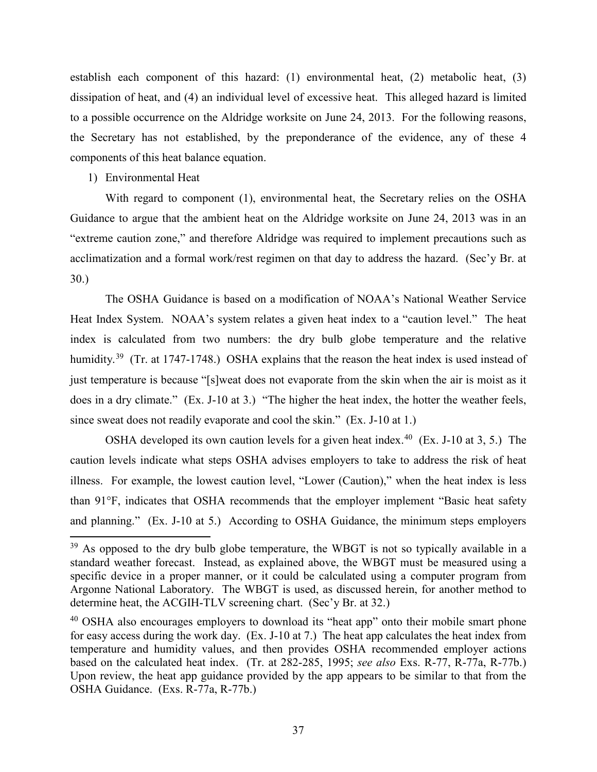establish each component of this hazard: (1) environmental heat, (2) metabolic heat, (3) dissipation of heat, and (4) an individual level of excessive heat. This alleged hazard is limited to a possible occurrence on the Aldridge worksite on June 24, 2013. For the following reasons, the Secretary has not established, by the preponderance of the evidence, any of these 4 components of this heat balance equation.

#### 1) Environmental Heat

 $\overline{\phantom{a}}$ 

With regard to component (1), environmental heat, the Secretary relies on the OSHA Guidance to argue that the ambient heat on the Aldridge worksite on June 24, 2013 was in an "extreme caution zone," and therefore Aldridge was required to implement precautions such as acclimatization and a formal work/rest regimen on that day to address the hazard. (Sec'y Br. at 30.)

The OSHA Guidance is based on a modification of NOAA's National Weather Service Heat Index System. NOAA's system relates a given heat index to a "caution level." The heat index is calculated from two numbers: the dry bulb globe temperature and the relative humidity.<sup>39</sup> (Tr. at 1747-1748.) OSHA explains that the reason the heat index is used instead of just temperature is because "[s]weat does not evaporate from the skin when the air is moist as it does in a dry climate." (Ex. J-10 at 3.) "The higher the heat index, the hotter the weather feels, since sweat does not readily evaporate and cool the skin." (Ex. J-10 at 1.)

OSHA developed its own caution levels for a given heat index.<sup>[40](#page-36-1)</sup> (Ex. J-10 at 3, 5.) The caution levels indicate what steps OSHA advises employers to take to address the risk of heat illness. For example, the lowest caution level, "Lower (Caution)," when the heat index is less than 91°F, indicates that OSHA recommends that the employer implement "Basic heat safety and planning." (Ex. J-10 at 5.) According to OSHA Guidance, the minimum steps employers

<span id="page-36-0"></span> $39$  As opposed to the dry bulb globe temperature, the WBGT is not so typically available in a standard weather forecast. Instead, as explained above, the WBGT must be measured using a specific device in a proper manner, or it could be calculated using a computer program from Argonne National Laboratory. The WBGT is used, as discussed herein, for another method to determine heat, the ACGIH-TLV screening chart. (Sec'y Br. at 32.)

<span id="page-36-1"></span><sup>&</sup>lt;sup>40</sup> OSHA also encourages employers to download its "heat app" onto their mobile smart phone for easy access during the work day. (Ex. J-10 at 7.) The heat app calculates the heat index from temperature and humidity values, and then provides OSHA recommended employer actions based on the calculated heat index. (Tr. at 282-285, 1995; *see also* Exs. R-77, R-77a, R-77b.) Upon review, the heat app guidance provided by the app appears to be similar to that from the OSHA Guidance. (Exs. R-77a, R-77b.)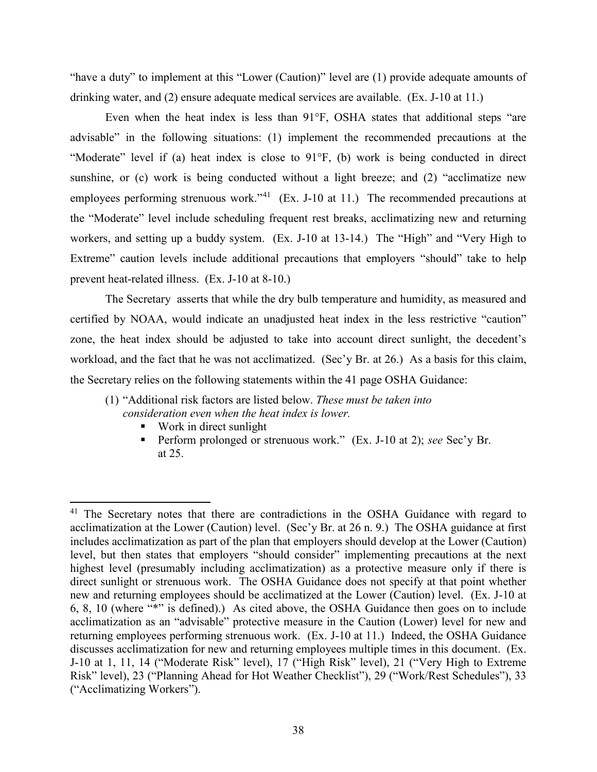"have a duty" to implement at this "Lower (Caution)" level are (1) provide adequate amounts of drinking water, and (2) ensure adequate medical services are available. (Ex. J-10 at 11.)

Even when the heat index is less than 91°F, OSHA states that additional steps "are advisable" in the following situations: (1) implement the recommended precautions at the "Moderate" level if (a) heat index is close to 91°F, (b) work is being conducted in direct sunshine, or (c) work is being conducted without a light breeze; and (2) "acclimatize new employees performing strenuous work."<sup>41</sup> (Ex. J-10 at 11.) The recommended precautions at the "Moderate" level include scheduling frequent rest breaks, acclimatizing new and returning workers, and setting up a buddy system. (Ex. J-10 at 13-14.) The "High" and "Very High to Extreme" caution levels include additional precautions that employers "should" take to help prevent heat-related illness. (Ex. J-10 at 8-10.)

The Secretary asserts that while the dry bulb temperature and humidity, as measured and certified by NOAA, would indicate an unadjusted heat index in the less restrictive "caution" zone, the heat index should be adjusted to take into account direct sunlight, the decedent's workload, and the fact that he was not acclimatized. (Sec'y Br. at 26.) As a basis for this claim, the Secretary relies on the following statements within the 41 page OSHA Guidance:

■ Work in direct sunlight

l

 Perform prolonged or strenuous work." (Ex. J-10 at 2); *see* Sec'y Br. at 25.

<sup>(1)</sup> "Additional risk factors are listed below. *These must be taken into consideration even when the heat index is lower.*

<span id="page-37-0"></span><sup>&</sup>lt;sup>41</sup> The Secretary notes that there are contradictions in the OSHA Guidance with regard to acclimatization at the Lower (Caution) level. (Sec'y Br. at 26 n. 9.) The OSHA guidance at first includes acclimatization as part of the plan that employers should develop at the Lower (Caution) level, but then states that employers "should consider" implementing precautions at the next highest level (presumably including acclimatization) as a protective measure only if there is direct sunlight or strenuous work. The OSHA Guidance does not specify at that point whether new and returning employees should be acclimatized at the Lower (Caution) level. (Ex. J-10 at 6, 8, 10 (where "\*" is defined).) As cited above, the OSHA Guidance then goes on to include acclimatization as an "advisable" protective measure in the Caution (Lower) level for new and returning employees performing strenuous work. (Ex. J-10 at 11.) Indeed, the OSHA Guidance discusses acclimatization for new and returning employees multiple times in this document. (Ex. J-10 at 1, 11, 14 ("Moderate Risk" level), 17 ("High Risk" level), 21 ("Very High to Extreme Risk" level), 23 ("Planning Ahead for Hot Weather Checklist"), 29 ("Work/Rest Schedules"), 33 ("Acclimatizing Workers").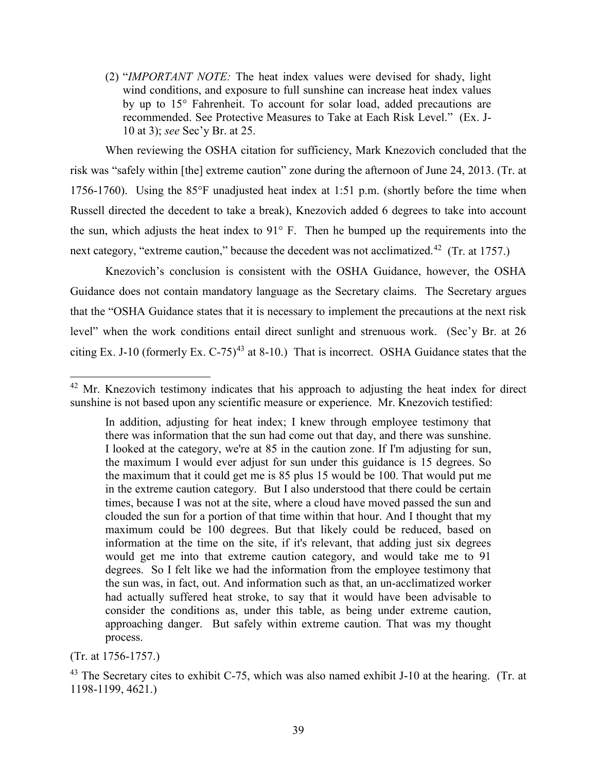(2) "*IMPORTANT NOTE:* The heat index values were devised for shady, light wind conditions, and exposure to full sunshine can increase heat index values by up to 15° Fahrenheit. To account for solar load, added precautions are recommended. See Protective Measures to Take at Each Risk Level." (Ex. J-10 at 3); *see* Sec'y Br. at 25.

When reviewing the OSHA citation for sufficiency, Mark Knezovich concluded that the risk was "safely within [the] extreme caution" zone during the afternoon of June 24, 2013. (Tr. at 1756-1760). Using the 85°F unadjusted heat index at 1:51 p.m. (shortly before the time when Russell directed the decedent to take a break), Knezovich added 6 degrees to take into account the sun, which adjusts the heat index to 91° F. Then he bumped up the requirements into the next category, "extreme caution," because the decedent was not acclimatized.<sup>[42](#page-38-0)</sup> (Tr. at 1757.)

Knezovich's conclusion is consistent with the OSHA Guidance, however, the OSHA Guidance does not contain mandatory language as the Secretary claims. The Secretary argues that the "OSHA Guidance states that it is necessary to implement the precautions at the next risk level" when the work conditions entail direct sunlight and strenuous work. (Sec'y Br. at 26 citing Ex. J-10 (formerly Ex.  $C$ -75)<sup>[43](#page-38-1)</sup> at 8-10.) That is incorrect. OSHA Guidance states that the

 $\overline{a}$ 

<span id="page-38-0"></span> $42$  Mr. Knezovich testimony indicates that his approach to adjusting the heat index for direct sunshine is not based upon any scientific measure or experience. Mr. Knezovich testified:

In addition, adjusting for heat index; I knew through employee testimony that there was information that the sun had come out that day, and there was sunshine. I looked at the category, we're at 85 in the caution zone. If I'm adjusting for sun, the maximum I would ever adjust for sun under this guidance is 15 degrees. So the maximum that it could get me is 85 plus 15 would be 100. That would put me in the extreme caution category. But I also understood that there could be certain times, because I was not at the site, where a cloud have moved passed the sun and clouded the sun for a portion of that time within that hour. And I thought that my maximum could be 100 degrees. But that likely could be reduced, based on information at the time on the site, if it's relevant, that adding just six degrees would get me into that extreme caution category, and would take me to 91 degrees. So I felt like we had the information from the employee testimony that the sun was, in fact, out. And information such as that, an un-acclimatized worker had actually suffered heat stroke, to say that it would have been advisable to consider the conditions as, under this table, as being under extreme caution, approaching danger. But safely within extreme caution. That was my thought process.

<sup>(</sup>Tr. at 1756-1757.)

<span id="page-38-1"></span> $43$  The Secretary cites to exhibit C-75, which was also named exhibit J-10 at the hearing. (Tr. at 1198-1199, 4621.)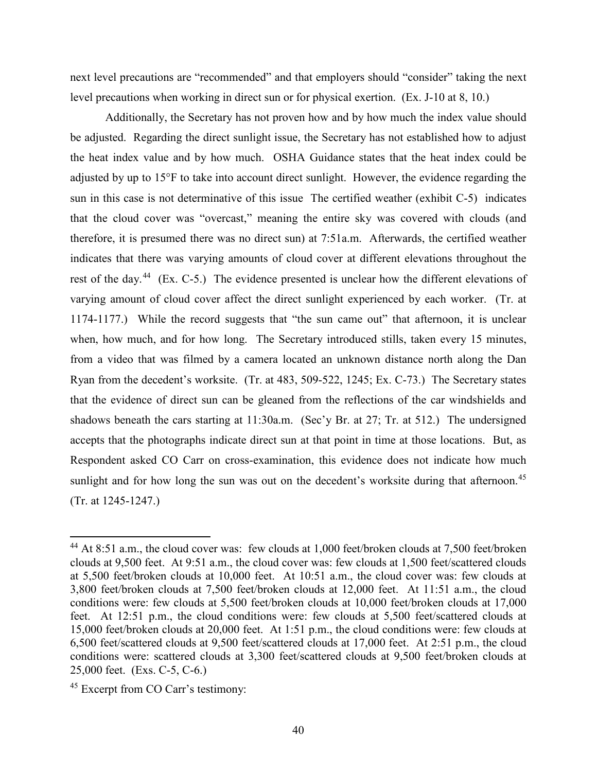next level precautions are "recommended" and that employers should "consider" taking the next level precautions when working in direct sun or for physical exertion. (Ex. J-10 at 8, 10.)

Additionally, the Secretary has not proven how and by how much the index value should be adjusted. Regarding the direct sunlight issue, the Secretary has not established how to adjust the heat index value and by how much. OSHA Guidance states that the heat index could be adjusted by up to 15°F to take into account direct sunlight. However, the evidence regarding the sun in this case is not determinative of this issue The certified weather (exhibit C-5) indicates that the cloud cover was "overcast," meaning the entire sky was covered with clouds (and therefore, it is presumed there was no direct sun) at 7:51a.m. Afterwards, the certified weather indicates that there was varying amounts of cloud cover at different elevations throughout the rest of the day.<sup>44</sup> (Ex. C-5.) The evidence presented is unclear how the different elevations of varying amount of cloud cover affect the direct sunlight experienced by each worker. (Tr. at 1174-1177.) While the record suggests that "the sun came out" that afternoon, it is unclear when, how much, and for how long. The Secretary introduced stills, taken every 15 minutes, from a video that was filmed by a camera located an unknown distance north along the Dan Ryan from the decedent's worksite. (Tr. at 483, 509-522, 1245; Ex. C-73.) The Secretary states that the evidence of direct sun can be gleaned from the reflections of the car windshields and shadows beneath the cars starting at 11:30a.m. (Sec'y Br. at 27; Tr. at 512.) The undersigned accepts that the photographs indicate direct sun at that point in time at those locations. But, as Respondent asked CO Carr on cross-examination, this evidence does not indicate how much sunlight and for how long the sun was out on the decedent's worksite during that afternoon.<sup>[45](#page-39-1)</sup> (Tr. at 1245-1247.)

<span id="page-39-0"></span><sup>&</sup>lt;sup>44</sup> At 8:51 a.m., the cloud cover was: few clouds at 1,000 feet/broken clouds at 7,500 feet/broken clouds at 9,500 feet. At 9:51 a.m., the cloud cover was: few clouds at 1,500 feet/scattered clouds at 5,500 feet/broken clouds at 10,000 feet. At 10:51 a.m., the cloud cover was: few clouds at 3,800 feet/broken clouds at 7,500 feet/broken clouds at 12,000 feet. At 11:51 a.m., the cloud conditions were: few clouds at 5,500 feet/broken clouds at 10,000 feet/broken clouds at 17,000 feet. At 12:51 p.m., the cloud conditions were: few clouds at 5,500 feet/scattered clouds at 15,000 feet/broken clouds at 20,000 feet. At 1:51 p.m., the cloud conditions were: few clouds at 6,500 feet/scattered clouds at 9,500 feet/scattered clouds at 17,000 feet. At 2:51 p.m., the cloud conditions were: scattered clouds at 3,300 feet/scattered clouds at 9,500 feet/broken clouds at 25,000 feet. (Exs. C-5, C-6.)

<span id="page-39-1"></span><sup>45</sup> Excerpt from CO Carr's testimony: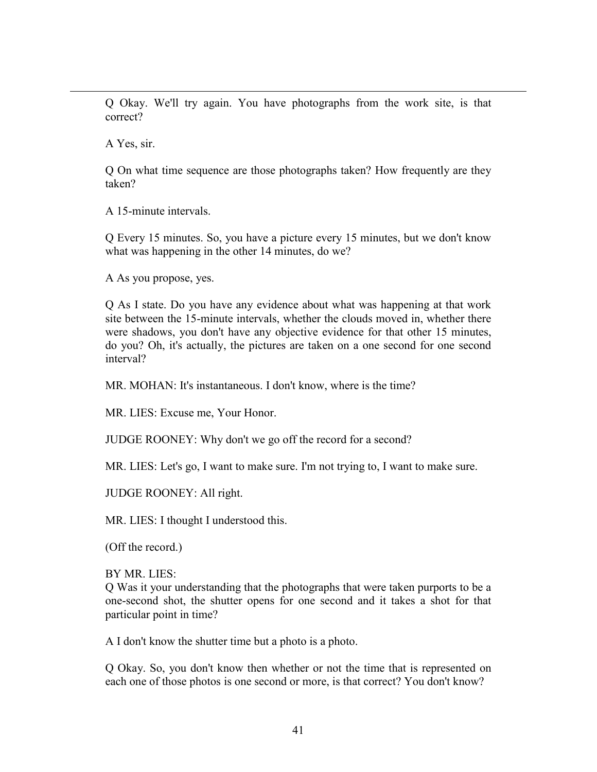Q Okay. We'll try again. You have photographs from the work site, is that correct?

A Yes, sir.

 $\overline{a}$ 

Q On what time sequence are those photographs taken? How frequently are they taken?

A 15-minute intervals.

Q Every 15 minutes. So, you have a picture every 15 minutes, but we don't know what was happening in the other 14 minutes, do we?

A As you propose, yes.

Q As I state. Do you have any evidence about what was happening at that work site between the 15-minute intervals, whether the clouds moved in, whether there were shadows, you don't have any objective evidence for that other 15 minutes, do you? Oh, it's actually, the pictures are taken on a one second for one second interval?

MR. MOHAN: It's instantaneous. I don't know, where is the time?

MR. LIES: Excuse me, Your Honor.

JUDGE ROONEY: Why don't we go off the record for a second?

MR. LIES: Let's go, I want to make sure. I'm not trying to, I want to make sure.

JUDGE ROONEY: All right.

MR. LIES: I thought I understood this.

(Off the record.)

BY MR. LIES:

Q Was it your understanding that the photographs that were taken purports to be a one-second shot, the shutter opens for one second and it takes a shot for that particular point in time?

A I don't know the shutter time but a photo is a photo.

Q Okay. So, you don't know then whether or not the time that is represented on each one of those photos is one second or more, is that correct? You don't know?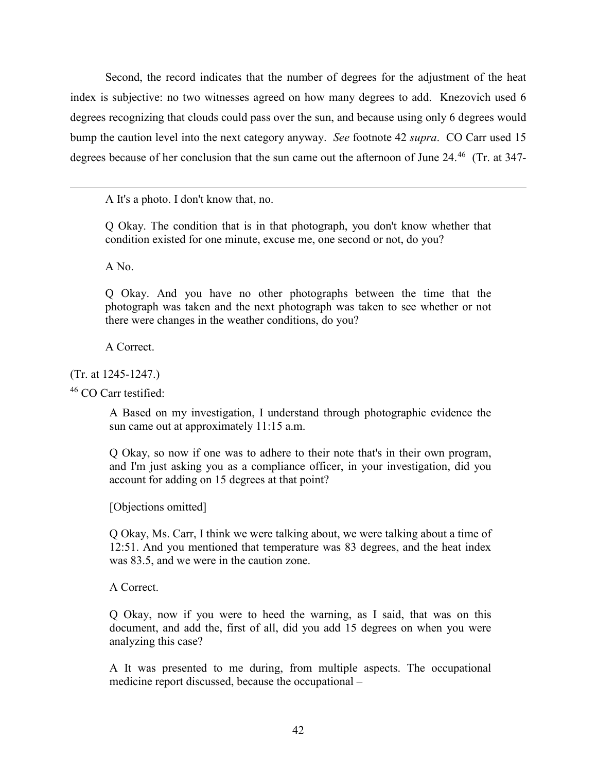Second, the record indicates that the number of degrees for the adjustment of the heat index is subjective: no two witnesses agreed on how many degrees to add. Knezovich used 6 degrees recognizing that clouds could pass over the sun, and because using only 6 degrees would bump the caution level into the next category anyway. *See* footnote 42 *supra*. CO Carr used 15 degrees because of her conclusion that the sun came out the afternoon of June 24.<sup>46</sup> (Tr. at 347-

A It's a photo. I don't know that, no.

Q Okay. The condition that is in that photograph, you don't know whether that condition existed for one minute, excuse me, one second or not, do you?

A No.

 $\overline{a}$ 

Q Okay. And you have no other photographs between the time that the photograph was taken and the next photograph was taken to see whether or not there were changes in the weather conditions, do you?

A Correct.

(Tr. at 1245-1247.)

<span id="page-41-0"></span><sup>46</sup> CO Carr testified:

A Based on my investigation, I understand through photographic evidence the sun came out at approximately 11:15 a.m.

Q Okay, so now if one was to adhere to their note that's in their own program, and I'm just asking you as a compliance officer, in your investigation, did you account for adding on 15 degrees at that point?

[Objections omitted]

Q Okay, Ms. Carr, I think we were talking about, we were talking about a time of 12:51. And you mentioned that temperature was 83 degrees, and the heat index was 83.5, and we were in the caution zone.

A Correct.

Q Okay, now if you were to heed the warning, as I said, that was on this document, and add the, first of all, did you add 15 degrees on when you were analyzing this case?

A It was presented to me during, from multiple aspects. The occupational medicine report discussed, because the occupational –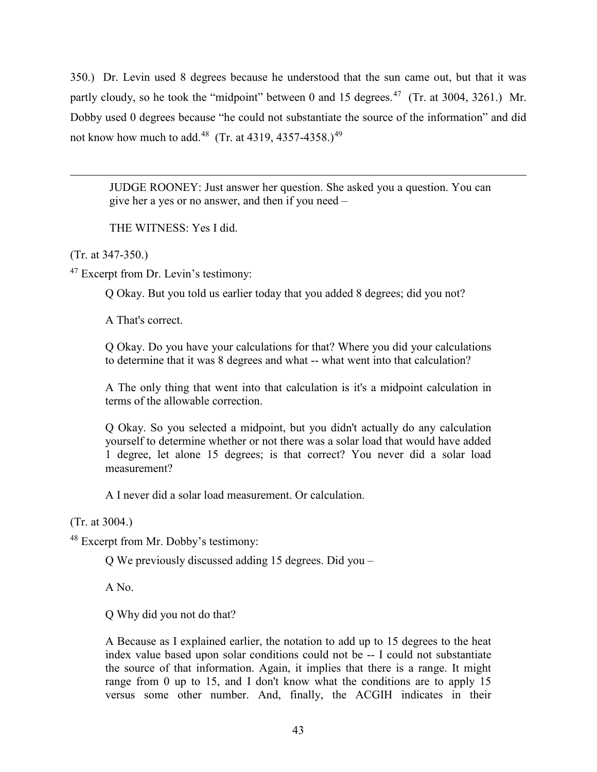350.) Dr. Levin used 8 degrees because he understood that the sun came out, but that it was partly cloudy, so he took the "midpoint" between 0 and 15 degrees.<sup>47</sup> (Tr. at 3004, 3261.) Mr. Dobby used 0 degrees because "he could not substantiate the source of the information" and did not know how much to add.<sup>48</sup> (Tr. at 4319, 4357-4358.)<sup>[49](#page-42-2)</sup>

JUDGE ROONEY: Just answer her question. She asked you a question. You can give her a yes or no answer, and then if you need –

THE WITNESS: Yes I did.

(Tr. at 347-350.)

 $\overline{a}$ 

<span id="page-42-0"></span><sup>47</sup> Excerpt from Dr. Levin's testimony:

Q Okay. But you told us earlier today that you added 8 degrees; did you not?

A That's correct.

Q Okay. Do you have your calculations for that? Where you did your calculations to determine that it was 8 degrees and what -- what went into that calculation?

A The only thing that went into that calculation is it's a midpoint calculation in terms of the allowable correction.

<span id="page-42-2"></span>Q Okay. So you selected a midpoint, but you didn't actually do any calculation yourself to determine whether or not there was a solar load that would have added 1 degree, let alone 15 degrees; is that correct? You never did a solar load measurement?

A I never did a solar load measurement. Or calculation.

(Tr. at 3004.)

<span id="page-42-1"></span><sup>48</sup> Excerpt from Mr. Dobby's testimony:

Q We previously discussed adding 15 degrees. Did you –

A No.

Q Why did you not do that?

A Because as I explained earlier, the notation to add up to 15 degrees to the heat index value based upon solar conditions could not be -- I could not substantiate the source of that information. Again, it implies that there is a range. It might range from 0 up to 15, and I don't know what the conditions are to apply 15 versus some other number. And, finally, the ACGIH indicates in their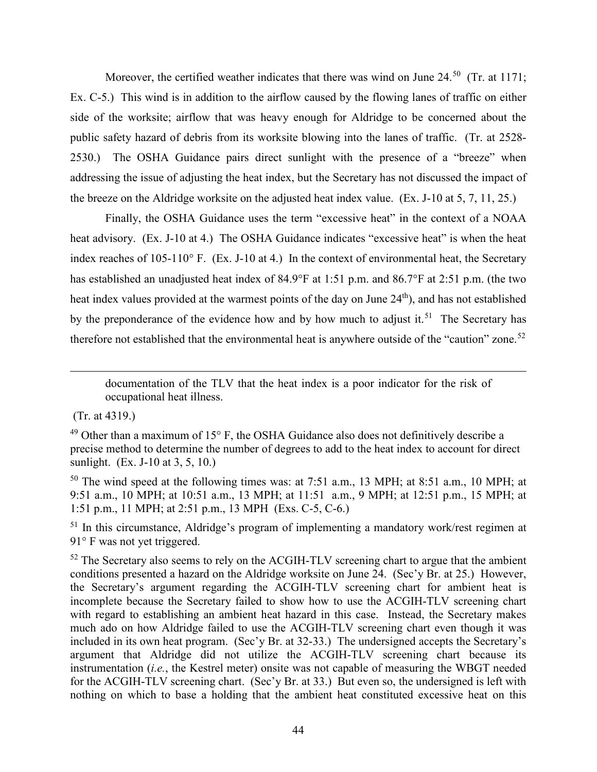Moreover, the certified weather indicates that there was wind on June 24.<sup>50</sup> (Tr. at 1171; Ex. C-5.) This wind is in addition to the airflow caused by the flowing lanes of traffic on either side of the worksite; airflow that was heavy enough for Aldridge to be concerned about the public safety hazard of debris from its worksite blowing into the lanes of traffic. (Tr. at 2528- 2530.) The OSHA Guidance pairs direct sunlight with the presence of a "breeze" when addressing the issue of adjusting the heat index, but the Secretary has not discussed the impact of the breeze on the Aldridge worksite on the adjusted heat index value. (Ex. J-10 at 5, 7, 11, 25.)

Finally, the OSHA Guidance uses the term "excessive heat" in the context of a NOAA heat advisory. (Ex. J-10 at 4.) The OSHA Guidance indicates "excessive heat" is when the heat index reaches of 105-110° F. (Ex. J-10 at 4.) In the context of environmental heat, the Secretary has established an unadjusted heat index of 84.9°F at 1:51 p.m. and 86.7°F at 2:51 p.m. (the two heat index values provided at the warmest points of the day on June 24<sup>th</sup>), and has not established by the preponderance of the evidence how and by how much to adjust it.<sup>51</sup> The Secretary has therefore not established that the environmental heat is anywhere outside of the "caution" zone.<sup>[52](#page-43-2)</sup>

 $\overline{a}$ 

<span id="page-43-0"></span> $50$  The wind speed at the following times was: at 7:51 a.m., 13 MPH; at 8:51 a.m., 10 MPH; at 9:51 a.m., 10 MPH; at 10:51 a.m., 13 MPH; at 11:51 a.m., 9 MPH; at 12:51 p.m., 15 MPH; at 1:51 p.m., 11 MPH; at 2:51 p.m., 13 MPH (Exs. C-5, C-6.)

<span id="page-43-1"></span> $<sup>51</sup>$  In this circumstance, Aldridge's program of implementing a mandatory work/rest regimen at</sup> 91° F was not yet triggered.

<span id="page-43-2"></span> $52$  The Secretary also seems to rely on the ACGIH-TLV screening chart to argue that the ambient conditions presented a hazard on the Aldridge worksite on June 24. (Sec'y Br. at 25.) However, the Secretary's argument regarding the ACGIH-TLV screening chart for ambient heat is incomplete because the Secretary failed to show how to use the ACGIH-TLV screening chart with regard to establishing an ambient heat hazard in this case. Instead, the Secretary makes much ado on how Aldridge failed to use the ACGIH-TLV screening chart even though it was included in its own heat program. (Sec'y Br. at 32-33.) The undersigned accepts the Secretary's argument that Aldridge did not utilize the ACGIH-TLV screening chart because its instrumentation (*i.e.*, the Kestrel meter) onsite was not capable of measuring the WBGT needed for the ACGIH-TLV screening chart. (Sec'y Br. at 33.) But even so, the undersigned is left with nothing on which to base a holding that the ambient heat constituted excessive heat on this

documentation of the TLV that the heat index is a poor indicator for the risk of occupational heat illness.

 <sup>(</sup>Tr. at 4319.)

 $49$  Other than a maximum of 15 $\degree$  F, the OSHA Guidance also does not definitively describe a precise method to determine the number of degrees to add to the heat index to account for direct sunlight. (Ex. J-10 at 3, 5, 10.)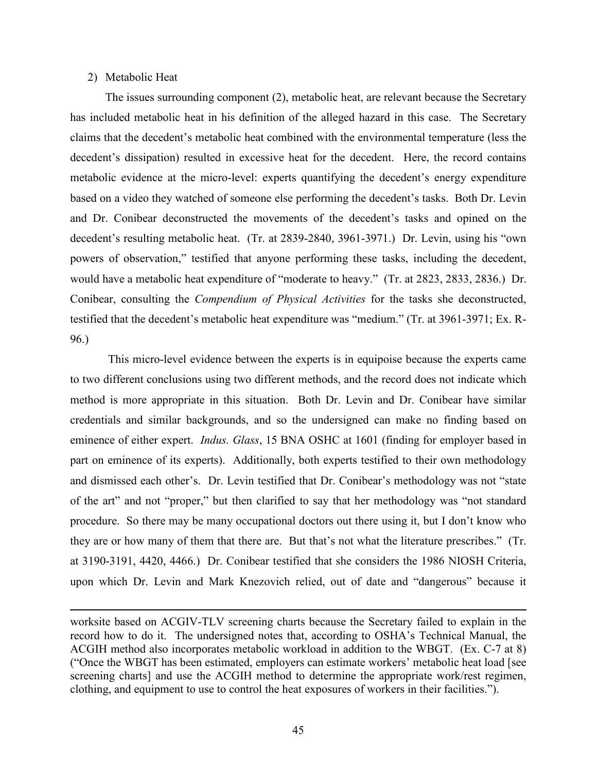#### 2) Metabolic Heat

 $\overline{\phantom{a}}$ 

The issues surrounding component (2), metabolic heat, are relevant because the Secretary has included metabolic heat in his definition of the alleged hazard in this case. The Secretary claims that the decedent's metabolic heat combined with the environmental temperature (less the decedent's dissipation) resulted in excessive heat for the decedent. Here, the record contains metabolic evidence at the micro-level: experts quantifying the decedent's energy expenditure based on a video they watched of someone else performing the decedent's tasks. Both Dr. Levin and Dr. Conibear deconstructed the movements of the decedent's tasks and opined on the decedent's resulting metabolic heat. (Tr. at 2839-2840, 3961-3971.) Dr. Levin, using his "own powers of observation," testified that anyone performing these tasks, including the decedent, would have a metabolic heat expenditure of "moderate to heavy." (Tr. at 2823, 2833, 2836.) Dr. Conibear, consulting the *Compendium of Physical Activities* for the tasks she deconstructed, testified that the decedent's metabolic heat expenditure was "medium." (Tr. at 3961-3971; Ex. R-96.)

This micro-level evidence between the experts is in equipoise because the experts came to two different conclusions using two different methods, and the record does not indicate which method is more appropriate in this situation. Both Dr. Levin and Dr. Conibear have similar credentials and similar backgrounds, and so the undersigned can make no finding based on eminence of either expert. *Indus. Glass*, 15 BNA OSHC at 1601 (finding for employer based in part on eminence of its experts). Additionally, both experts testified to their own methodology and dismissed each other's. Dr. Levin testified that Dr. Conibear's methodology was not "state of the art" and not "proper," but then clarified to say that her methodology was "not standard procedure. So there may be many occupational doctors out there using it, but I don't know who they are or how many of them that there are. But that's not what the literature prescribes." (Tr. at 3190-3191, 4420, 4466.) Dr. Conibear testified that she considers the 1986 NIOSH Criteria, upon which Dr. Levin and Mark Knezovich relied, out of date and "dangerous" because it

worksite based on ACGIV-TLV screening charts because the Secretary failed to explain in the record how to do it. The undersigned notes that, according to OSHA's Technical Manual, the ACGIH method also incorporates metabolic workload in addition to the WBGT. (Ex. C-7 at 8) ("Once the WBGT has been estimated, employers can estimate workers' metabolic heat load [see screening charts] and use the ACGIH method to determine the appropriate work/rest regimen, clothing, and equipment to use to control the heat exposures of workers in their facilities.").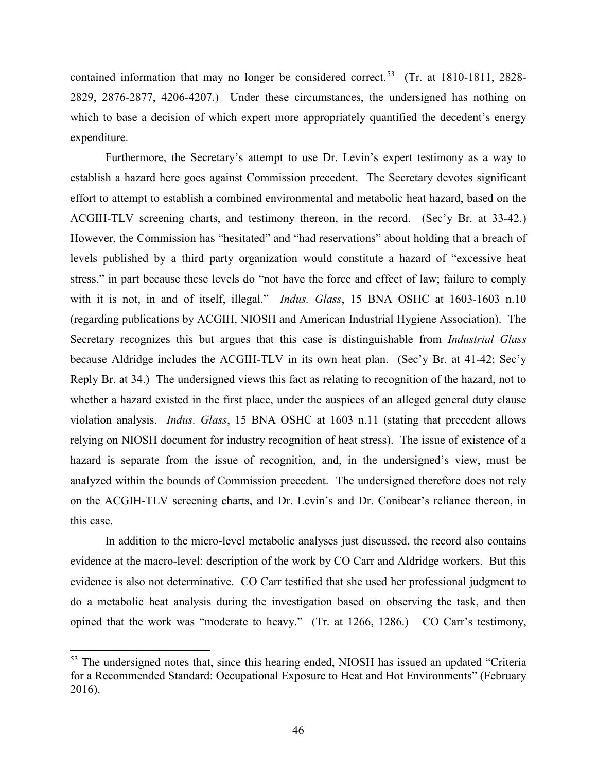contained information that may no longer be considered correct.<sup>[53](#page-45-0)</sup> (Tr. at 1810-1811, 2828-2829, 2876-2877, 4206-4207.) Under these circumstances, the undersigned has nothing on which to base a decision of which expert more appropriately quantified the decedent's energy expenditure.

Furthermore, the Secretary's attempt to use Dr. Levin's expert testimony as a way to establish a hazard here goes against Commission precedent. The Secretary devotes significant effort to attempt to establish a combined environmental and metabolic heat hazard, based on the ACGIH-TLV screening charts, and testimony thereon, in the record. (Sec'y Br. at 33-42.) However, the Commission has "hesitated" and "had reservations" about holding that a breach of levels published by a third party organization would constitute a hazard of "excessive heat stress," in part because these levels do "not have the force and effect of law; failure to comply with it is not, in and of itself, illegal." *Indus. Glass*, 15 BNA OSHC at 1603-1603 n.10 (regarding publications by ACGIH, NIOSH and American Industrial Hygiene Association). The Secretary recognizes this but argues that this case is distinguishable from *Industrial Glass* because Aldridge includes the ACGIH-TLV in its own heat plan. (Sec'y Br. at 41-42; Sec'y Reply Br. at 34.) The undersigned views this fact as relating to recognition of the hazard, not to whether a hazard existed in the first place, under the auspices of an alleged general duty clause violation analysis. *Indus. Glass*, 15 BNA OSHC at 1603 n.11 (stating that precedent allows relying on NIOSH document for industry recognition of heat stress). The issue of existence of a hazard is separate from the issue of recognition, and, in the undersigned's view, must be analyzed within the bounds of Commission precedent. The undersigned therefore does not rely on the ACGIH-TLV screening charts, and Dr. Levin's and Dr. Conibear's reliance thereon, in this case.

In addition to the micro-level metabolic analyses just discussed, the record also contains evidence at the macro-level: description of the work by CO Carr and Aldridge workers. But this evidence is also not determinative. CO Carr testified that she used her professional judgment to do a metabolic heat analysis during the investigation based on observing the task, and then opined that the work was "moderate to heavy." (Tr. at 1266, 1286.) CO Carr's testimony,

l

<span id="page-45-0"></span><sup>&</sup>lt;sup>53</sup> The undersigned notes that, since this hearing ended, NIOSH has issued an updated "Criteria" for a Recommended Standard: Occupational Exposure to Heat and Hot Environments" (February 2016).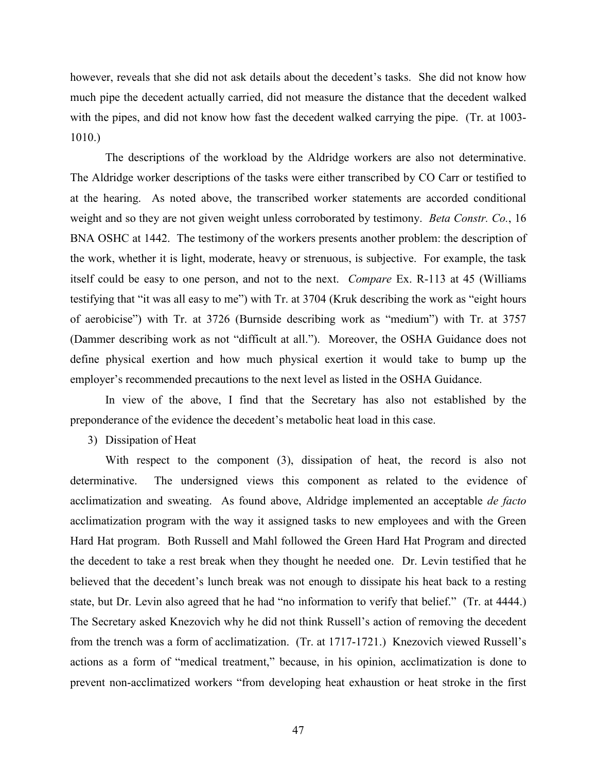however, reveals that she did not ask details about the decedent's tasks. She did not know how much pipe the decedent actually carried, did not measure the distance that the decedent walked with the pipes, and did not know how fast the decedent walked carrying the pipe. (Tr. at 1003- 1010.)

The descriptions of the workload by the Aldridge workers are also not determinative. The Aldridge worker descriptions of the tasks were either transcribed by CO Carr or testified to at the hearing. As noted above, the transcribed worker statements are accorded conditional weight and so they are not given weight unless corroborated by testimony. *Beta Constr. Co.*, 16 BNA OSHC at 1442. The testimony of the workers presents another problem: the description of the work, whether it is light, moderate, heavy or strenuous, is subjective. For example, the task itself could be easy to one person, and not to the next. *Compare* Ex. R-113 at 45 (Williams testifying that "it was all easy to me") with Tr. at 3704 (Kruk describing the work as "eight hours of aerobicise") with Tr. at 3726 (Burnside describing work as "medium") with Tr. at 3757 (Dammer describing work as not "difficult at all."). Moreover, the OSHA Guidance does not define physical exertion and how much physical exertion it would take to bump up the employer's recommended precautions to the next level as listed in the OSHA Guidance.

In view of the above, I find that the Secretary has also not established by the preponderance of the evidence the decedent's metabolic heat load in this case.

3) Dissipation of Heat

With respect to the component (3), dissipation of heat, the record is also not determinative. The undersigned views this component as related to the evidence of acclimatization and sweating. As found above, Aldridge implemented an acceptable *de facto* acclimatization program with the way it assigned tasks to new employees and with the Green Hard Hat program. Both Russell and Mahl followed the Green Hard Hat Program and directed the decedent to take a rest break when they thought he needed one. Dr. Levin testified that he believed that the decedent's lunch break was not enough to dissipate his heat back to a resting state, but Dr. Levin also agreed that he had "no information to verify that belief." (Tr. at 4444.) The Secretary asked Knezovich why he did not think Russell's action of removing the decedent from the trench was a form of acclimatization. (Tr. at 1717-1721.) Knezovich viewed Russell's actions as a form of "medical treatment," because, in his opinion, acclimatization is done to prevent non-acclimatized workers "from developing heat exhaustion or heat stroke in the first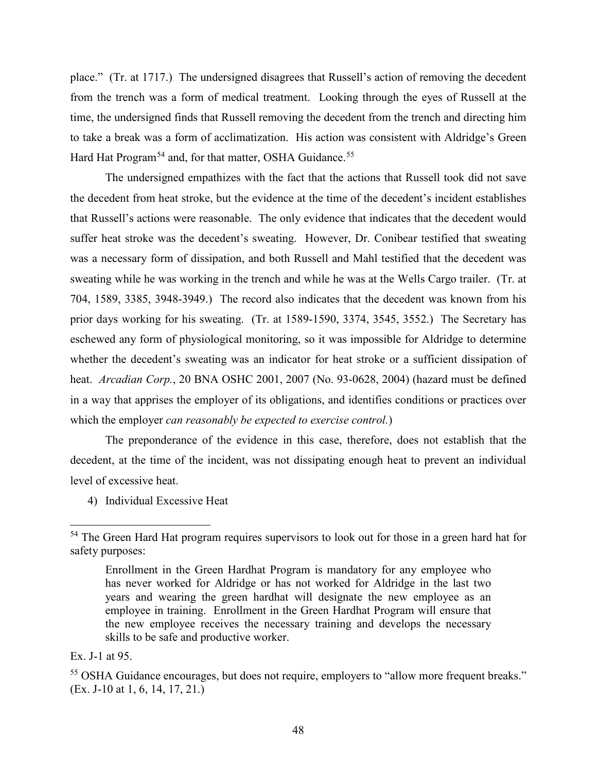place." (Tr. at 1717.) The undersigned disagrees that Russell's action of removing the decedent from the trench was a form of medical treatment. Looking through the eyes of Russell at the time, the undersigned finds that Russell removing the decedent from the trench and directing him to take a break was a form of acclimatization. His action was consistent with Aldridge's Green Hard Hat Program<sup>[54](#page-47-0)</sup> and, for that matter, OSHA Guidance.<sup>55</sup>

The undersigned empathizes with the fact that the actions that Russell took did not save the decedent from heat stroke, but the evidence at the time of the decedent's incident establishes that Russell's actions were reasonable. The only evidence that indicates that the decedent would suffer heat stroke was the decedent's sweating. However, Dr. Conibear testified that sweating was a necessary form of dissipation, and both Russell and Mahl testified that the decedent was sweating while he was working in the trench and while he was at the Wells Cargo trailer. (Tr. at 704, 1589, 3385, 3948-3949.) The record also indicates that the decedent was known from his prior days working for his sweating. (Tr. at 1589-1590, 3374, 3545, 3552.) The Secretary has eschewed any form of physiological monitoring, so it was impossible for Aldridge to determine whether the decedent's sweating was an indicator for heat stroke or a sufficient dissipation of heat. *Arcadian Corp.*, 20 BNA OSHC 2001, 2007 (No. 93-0628, 2004) (hazard must be defined in a way that apprises the employer of its obligations, and identifies conditions or practices over which the employer *can reasonably be expected to exercise control.*)

The preponderance of the evidence in this case, therefore, does not establish that the decedent, at the time of the incident, was not dissipating enough heat to prevent an individual level of excessive heat.

4) Individual Excessive Heat

<span id="page-47-0"></span><sup>&</sup>lt;sup>54</sup> The Green Hard Hat program requires supervisors to look out for those in a green hard hat for safety purposes:

Enrollment in the Green Hardhat Program is mandatory for any employee who has never worked for Aldridge or has not worked for Aldridge in the last two years and wearing the green hardhat will designate the new employee as an employee in training. Enrollment in the Green Hardhat Program will ensure that the new employee receives the necessary training and develops the necessary skills to be safe and productive worker.

Ex. J-1 at 95.

<span id="page-47-1"></span><sup>&</sup>lt;sup>55</sup> OSHA Guidance encourages, but does not require, employers to "allow more frequent breaks." (Ex. J-10 at 1, 6, 14, 17, 21.)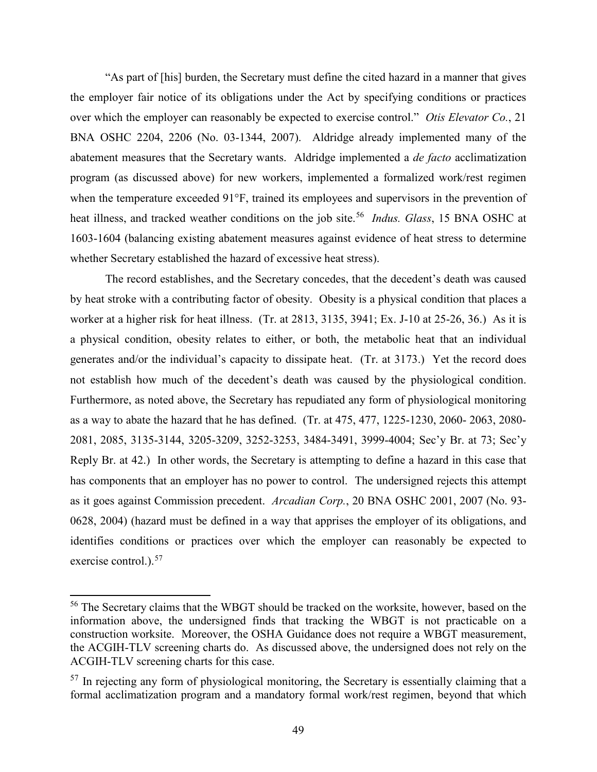"As part of [his] burden, the Secretary must define the cited hazard in a manner that gives the employer fair notice of its obligations under the Act by specifying conditions or practices over which the employer can reasonably be expected to exercise control." *Otis Elevator Co.*, 21 BNA OSHC 2204, 2206 (No. 03-1344, 2007). Aldridge already implemented many of the abatement measures that the Secretary wants. Aldridge implemented a *de facto* acclimatization program (as discussed above) for new workers, implemented a formalized work/rest regimen when the temperature exceeded 91°F, trained its employees and supervisors in the prevention of heat illness, and tracked weather conditions on the job site.<sup>[56](#page-48-0)</sup> *Indus. Glass*, 15 BNA OSHC at 1603-1604 (balancing existing abatement measures against evidence of heat stress to determine whether Secretary established the hazard of excessive heat stress).

The record establishes, and the Secretary concedes, that the decedent's death was caused by heat stroke with a contributing factor of obesity. Obesity is a physical condition that places a worker at a higher risk for heat illness. (Tr. at 2813, 3135, 3941; Ex. J-10 at 25-26, 36.) As it is a physical condition, obesity relates to either, or both, the metabolic heat that an individual generates and/or the individual's capacity to dissipate heat. (Tr. at 3173.) Yet the record does not establish how much of the decedent's death was caused by the physiological condition. Furthermore, as noted above, the Secretary has repudiated any form of physiological monitoring as a way to abate the hazard that he has defined. (Tr. at 475, 477, 1225-1230, 2060- 2063, 2080- 2081, 2085, 3135-3144, 3205-3209, 3252-3253, 3484-3491, 3999-4004; Sec'y Br. at 73; Sec'y Reply Br. at 42.) In other words, the Secretary is attempting to define a hazard in this case that has components that an employer has no power to control. The undersigned rejects this attempt as it goes against Commission precedent. *Arcadian Corp.*, 20 BNA OSHC 2001, 2007 (No. 93- 0628, 2004) (hazard must be defined in a way that apprises the employer of its obligations, and identifies conditions or practices over which the employer can reasonably be expected to exercise control.).<sup>57</sup>

l

<span id="page-48-0"></span><sup>&</sup>lt;sup>56</sup> The Secretary claims that the WBGT should be tracked on the worksite, however, based on the information above, the undersigned finds that tracking the WBGT is not practicable on a construction worksite. Moreover, the OSHA Guidance does not require a WBGT measurement, the ACGIH-TLV screening charts do. As discussed above, the undersigned does not rely on the ACGIH-TLV screening charts for this case.

<span id="page-48-1"></span> $57$  In rejecting any form of physiological monitoring, the Secretary is essentially claiming that a formal acclimatization program and a mandatory formal work/rest regimen, beyond that which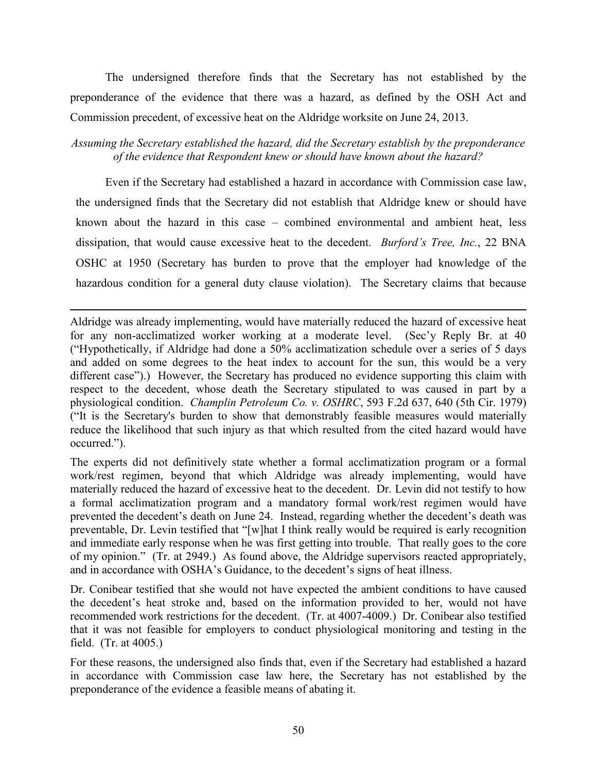The undersigned therefore finds that the Secretary has not established by the preponderance of the evidence that there was a hazard, as defined by the OSH Act and Commission precedent, of excessive heat on the Aldridge worksite on June 24, 2013.

*Assuming the Secretary established the hazard, did the Secretary establish by the preponderance of the evidence that Respondent knew or should have known about the hazard?* 

Even if the Secretary had established a hazard in accordance with Commission case law, the undersigned finds that the Secretary did not establish that Aldridge knew or should have known about the hazard in this case – combined environmental and ambient heat, less dissipation, that would cause excessive heat to the decedent. *Burford's Tree, Inc.*, 22 BNA OSHC at 1950 (Secretary has burden to prove that the employer had knowledge of the hazardous condition for a general duty clause violation). The Secretary claims that because

Aldridge was already implementing, would have materially reduced the hazard of excessive heat for any non-acclimatized worker working at a moderate level. (Sec'y Reply Br. at 40 ("Hypothetically, if Aldridge had done a 50% acclimatization schedule over a series of 5 days and added on some degrees to the heat index to account for the sun, this would be a very different case").) However, the Secretary has produced no evidence supporting this claim with respect to the decedent, whose death the Secretary stipulated to was caused in part by a physiological condition. *Champlin Petroleum Co. v. OSHRC*, 593 F.2d 637, 640 (5th Cir. 1979) ("It is the Secretary's burden to show that demonstrably feasible measures would materially reduce the likelihood that such injury as that which resulted from the cited hazard would have occurred.").

 $\overline{a}$ 

The experts did not definitively state whether a formal acclimatization program or a formal work/rest regimen, beyond that which Aldridge was already implementing, would have materially reduced the hazard of excessive heat to the decedent. Dr. Levin did not testify to how a formal acclimatization program and a mandatory formal work/rest regimen would have prevented the decedent's death on June 24. Instead, regarding whether the decedent's death was preventable, Dr. Levin testified that "[w]hat I think really would be required is early recognition and immediate early response when he was first getting into trouble. That really goes to the core of my opinion." (Tr. at 2949.) As found above, the Aldridge supervisors reacted appropriately, and in accordance with OSHA's Guidance, to the decedent's signs of heat illness.

Dr. Conibear testified that she would not have expected the ambient conditions to have caused the decedent's heat stroke and, based on the information provided to her, would not have recommended work restrictions for the decedent. (Tr. at 4007-4009.) Dr. Conibear also testified that it was not feasible for employers to conduct physiological monitoring and testing in the field. (Tr. at 4005.)

For these reasons, the undersigned also finds that, even if the Secretary had established a hazard in accordance with Commission case law here, the Secretary has not established by the preponderance of the evidence a feasible means of abating it.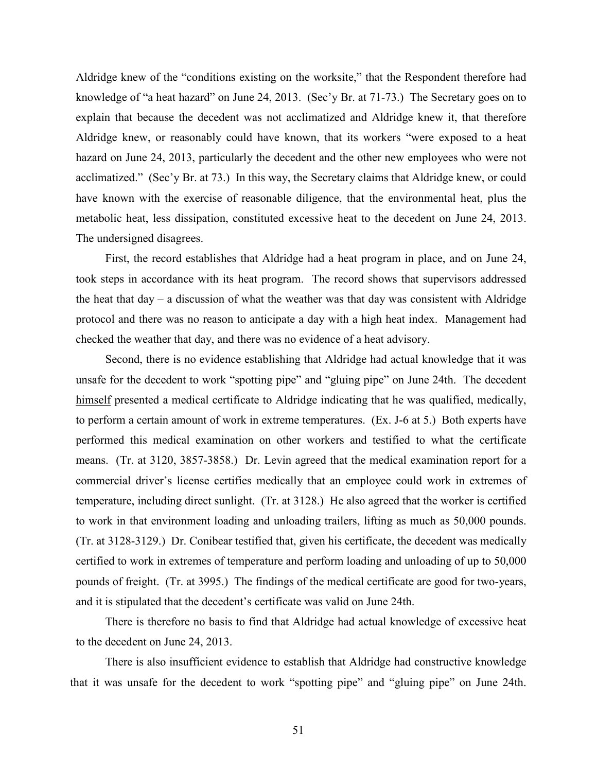Aldridge knew of the "conditions existing on the worksite," that the Respondent therefore had knowledge of "a heat hazard" on June 24, 2013. (Sec'y Br. at 71-73.) The Secretary goes on to explain that because the decedent was not acclimatized and Aldridge knew it, that therefore Aldridge knew, or reasonably could have known, that its workers "were exposed to a heat hazard on June 24, 2013, particularly the decedent and the other new employees who were not acclimatized." (Sec'y Br. at 73.) In this way, the Secretary claims that Aldridge knew, or could have known with the exercise of reasonable diligence, that the environmental heat, plus the metabolic heat, less dissipation, constituted excessive heat to the decedent on June 24, 2013. The undersigned disagrees.

First, the record establishes that Aldridge had a heat program in place, and on June 24, took steps in accordance with its heat program. The record shows that supervisors addressed the heat that  $day - a$  discussion of what the weather was that day was consistent with Aldridge protocol and there was no reason to anticipate a day with a high heat index. Management had checked the weather that day, and there was no evidence of a heat advisory.

Second, there is no evidence establishing that Aldridge had actual knowledge that it was unsafe for the decedent to work "spotting pipe" and "gluing pipe" on June 24th. The decedent himself presented a medical certificate to Aldridge indicating that he was qualified, medically, to perform a certain amount of work in extreme temperatures. (Ex. J-6 at 5.) Both experts have performed this medical examination on other workers and testified to what the certificate means. (Tr. at 3120, 3857-3858.) Dr. Levin agreed that the medical examination report for a commercial driver's license certifies medically that an employee could work in extremes of temperature, including direct sunlight. (Tr. at 3128.) He also agreed that the worker is certified to work in that environment loading and unloading trailers, lifting as much as 50,000 pounds. (Tr. at 3128-3129.) Dr. Conibear testified that, given his certificate, the decedent was medically certified to work in extremes of temperature and perform loading and unloading of up to 50,000 pounds of freight. (Tr. at 3995.) The findings of the medical certificate are good for two-years, and it is stipulated that the decedent's certificate was valid on June 24th.

There is therefore no basis to find that Aldridge had actual knowledge of excessive heat to the decedent on June 24, 2013.

 There is also insufficient evidence to establish that Aldridge had constructive knowledge that it was unsafe for the decedent to work "spotting pipe" and "gluing pipe" on June 24th.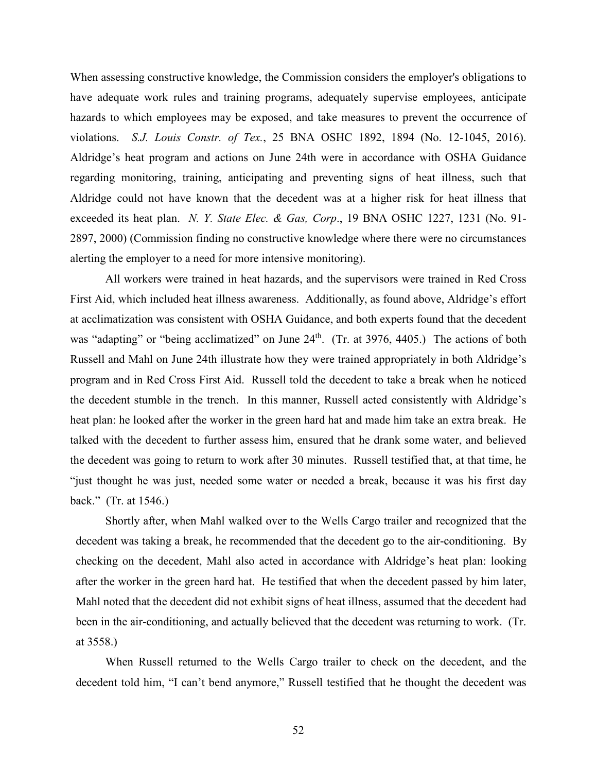When assessing constructive knowledge, the Commission considers the employer's obligations to have adequate work rules and training programs, adequately supervise employees, anticipate hazards to which employees may be exposed, and take measures to prevent the occurrence of violations. *S.J. Louis Constr. of Tex.*, 25 BNA OSHC 1892, 1894 (No. 12-1045, 2016). Aldridge's heat program and actions on June 24th were in accordance with OSHA Guidance regarding monitoring, training, anticipating and preventing signs of heat illness, such that Aldridge could not have known that the decedent was at a higher risk for heat illness that exceeded its heat plan. *N. Y. State Elec. & Gas, Corp*., 19 BNA OSHC 1227, 1231 (No. 91- 2897, 2000) (Commission finding no constructive knowledge where there were no circumstances alerting the employer to a need for more intensive monitoring).

All workers were trained in heat hazards, and the supervisors were trained in Red Cross First Aid, which included heat illness awareness. Additionally, as found above, Aldridge's effort at acclimatization was consistent with OSHA Guidance, and both experts found that the decedent was "adapting" or "being acclimatized" on June 24<sup>th</sup>. (Tr. at 3976, 4405.) The actions of both Russell and Mahl on June 24th illustrate how they were trained appropriately in both Aldridge's program and in Red Cross First Aid. Russell told the decedent to take a break when he noticed the decedent stumble in the trench. In this manner, Russell acted consistently with Aldridge's heat plan: he looked after the worker in the green hard hat and made him take an extra break. He talked with the decedent to further assess him, ensured that he drank some water, and believed the decedent was going to return to work after 30 minutes. Russell testified that, at that time, he "just thought he was just, needed some water or needed a break, because it was his first day back." (Tr. at 1546.)

Shortly after, when Mahl walked over to the Wells Cargo trailer and recognized that the decedent was taking a break, he recommended that the decedent go to the air-conditioning. By checking on the decedent, Mahl also acted in accordance with Aldridge's heat plan: looking after the worker in the green hard hat. He testified that when the decedent passed by him later, Mahl noted that the decedent did not exhibit signs of heat illness, assumed that the decedent had been in the air-conditioning, and actually believed that the decedent was returning to work. (Tr. at 3558.)

When Russell returned to the Wells Cargo trailer to check on the decedent, and the decedent told him, "I can't bend anymore," Russell testified that he thought the decedent was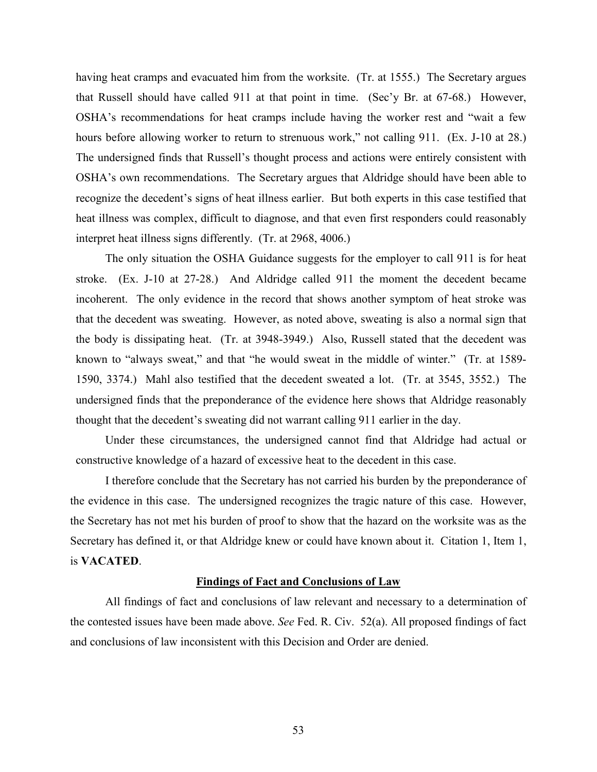having heat cramps and evacuated him from the worksite. (Tr. at 1555.) The Secretary argues that Russell should have called 911 at that point in time. (Sec'y Br. at 67-68.) However, OSHA's recommendations for heat cramps include having the worker rest and "wait a few hours before allowing worker to return to strenuous work," not calling 911. (Ex. J-10 at 28.) The undersigned finds that Russell's thought process and actions were entirely consistent with OSHA's own recommendations. The Secretary argues that Aldridge should have been able to recognize the decedent's signs of heat illness earlier. But both experts in this case testified that heat illness was complex, difficult to diagnose, and that even first responders could reasonably interpret heat illness signs differently. (Tr. at 2968, 4006.)

The only situation the OSHA Guidance suggests for the employer to call 911 is for heat stroke. (Ex. J-10 at 27-28.) And Aldridge called 911 the moment the decedent became incoherent. The only evidence in the record that shows another symptom of heat stroke was that the decedent was sweating. However, as noted above, sweating is also a normal sign that the body is dissipating heat. (Tr. at 3948-3949.) Also, Russell stated that the decedent was known to "always sweat," and that "he would sweat in the middle of winter." (Tr. at 1589- 1590, 3374.) Mahl also testified that the decedent sweated a lot. (Tr. at 3545, 3552.) The undersigned finds that the preponderance of the evidence here shows that Aldridge reasonably thought that the decedent's sweating did not warrant calling 911 earlier in the day.

Under these circumstances, the undersigned cannot find that Aldridge had actual or constructive knowledge of a hazard of excessive heat to the decedent in this case.

I therefore conclude that the Secretary has not carried his burden by the preponderance of the evidence in this case. The undersigned recognizes the tragic nature of this case. However, the Secretary has not met his burden of proof to show that the hazard on the worksite was as the Secretary has defined it, or that Aldridge knew or could have known about it. Citation 1, Item 1, is **VACATED**.

#### **Findings of Fact and Conclusions of Law**

All findings of fact and conclusions of law relevant and necessary to a determination of the contested issues have been made above. *See* Fed. R. Civ. 52(a). All proposed findings of fact and conclusions of law inconsistent with this Decision and Order are denied.